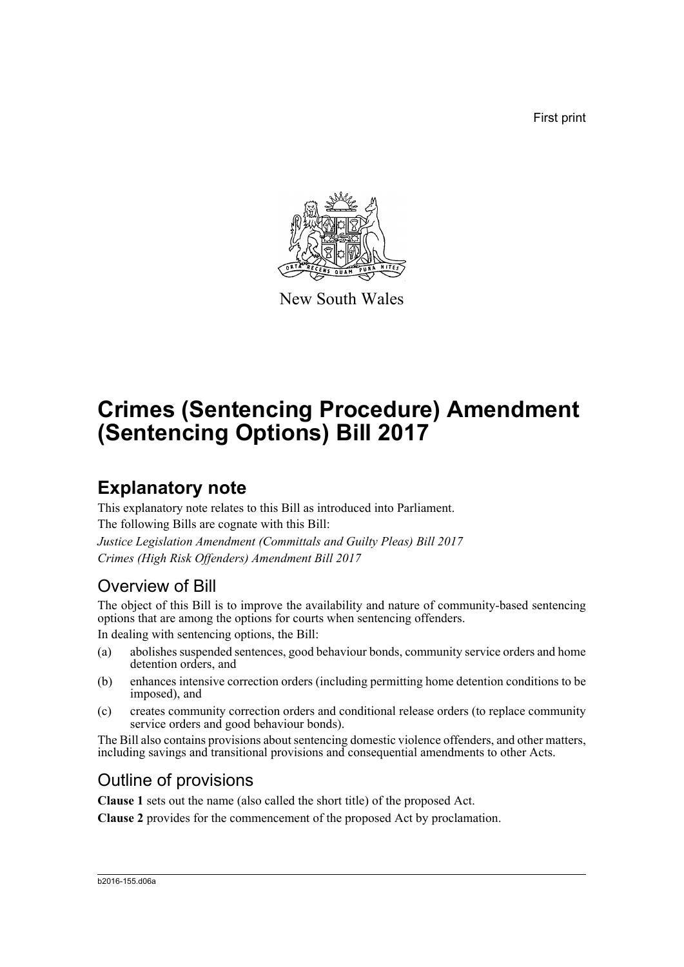First print



New South Wales

# **Crimes (Sentencing Procedure) Amendment (Sentencing Options) Bill 2017**

## **Explanatory note**

This explanatory note relates to this Bill as introduced into Parliament. The following Bills are cognate with this Bill: *Justice Legislation Amendment (Committals and Guilty Pleas) Bill 2017 Crimes (High Risk Offenders) Amendment Bill 2017*

## Overview of Bill

The object of this Bill is to improve the availability and nature of community-based sentencing options that are among the options for courts when sentencing offenders.

In dealing with sentencing options, the Bill:

- (a) abolishes suspended sentences, good behaviour bonds, community service orders and home detention orders, and
- (b) enhances intensive correction orders (including permitting home detention conditions to be imposed), and
- (c) creates community correction orders and conditional release orders (to replace community service orders and good behaviour bonds).

The Bill also contains provisions about sentencing domestic violence offenders, and other matters, including savings and transitional provisions and consequential amendments to other Acts.

## Outline of provisions

**Clause 1** sets out the name (also called the short title) of the proposed Act.

**Clause 2** provides for the commencement of the proposed Act by proclamation.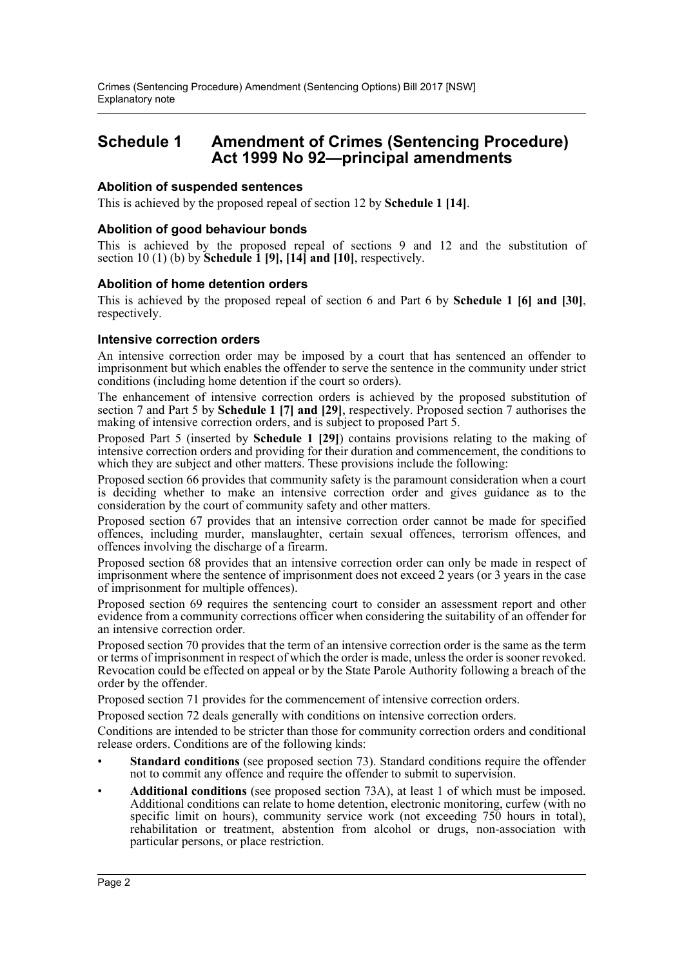### **Schedule 1 Amendment of Crimes (Sentencing Procedure) Act 1999 No 92—principal amendments**

#### **Abolition of suspended sentences**

This is achieved by the proposed repeal of section 12 by **Schedule 1 [14]**.

#### **Abolition of good behaviour bonds**

This is achieved by the proposed repeal of sections 9 and 12 and the substitution of section 10 (1) (b) by **Schedule 1 [9], [14] and [10]**, respectively.

#### **Abolition of home detention orders**

This is achieved by the proposed repeal of section 6 and Part 6 by **Schedule 1 [6] and [30]**, respectively.

#### **Intensive correction orders**

An intensive correction order may be imposed by a court that has sentenced an offender to imprisonment but which enables the offender to serve the sentence in the community under strict conditions (including home detention if the court so orders).

The enhancement of intensive correction orders is achieved by the proposed substitution of section 7 and Part 5 by **Schedule 1 [7] and [29]**, respectively. Proposed section 7 authorises the making of intensive correction orders, and is subject to proposed Part 5.

Proposed Part 5 (inserted by **Schedule 1 [29]**) contains provisions relating to the making of intensive correction orders and providing for their duration and commencement, the conditions to which they are subject and other matters. These provisions include the following:

Proposed section 66 provides that community safety is the paramount consideration when a court is deciding whether to make an intensive correction order and gives guidance as to the consideration by the court of community safety and other matters.

Proposed section 67 provides that an intensive correction order cannot be made for specified offences, including murder, manslaughter, certain sexual offences, terrorism offences, and offences involving the discharge of a firearm.

Proposed section 68 provides that an intensive correction order can only be made in respect of imprisonment where the sentence of imprisonment does not exceed 2 years (or 3 years in the case of imprisonment for multiple offences).

Proposed section 69 requires the sentencing court to consider an assessment report and other evidence from a community corrections officer when considering the suitability of an offender for an intensive correction order.

Proposed section 70 provides that the term of an intensive correction order is the same as the term or terms of imprisonment in respect of which the order is made, unless the order is sooner revoked. Revocation could be effected on appeal or by the State Parole Authority following a breach of the order by the offender.

Proposed section 71 provides for the commencement of intensive correction orders.

Proposed section 72 deals generally with conditions on intensive correction orders.

Conditions are intended to be stricter than those for community correction orders and conditional release orders. Conditions are of the following kinds:

- **Standard conditions** (see proposed section 73). Standard conditions require the offender not to commit any offence and require the offender to submit to supervision.
- **Additional conditions** (see proposed section 73A), at least 1 of which must be imposed. Additional conditions can relate to home detention, electronic monitoring, curfew (with no specific limit on hours), community service work (not exceeding 750 hours in total), rehabilitation or treatment, abstention from alcohol or drugs, non-association with particular persons, or place restriction.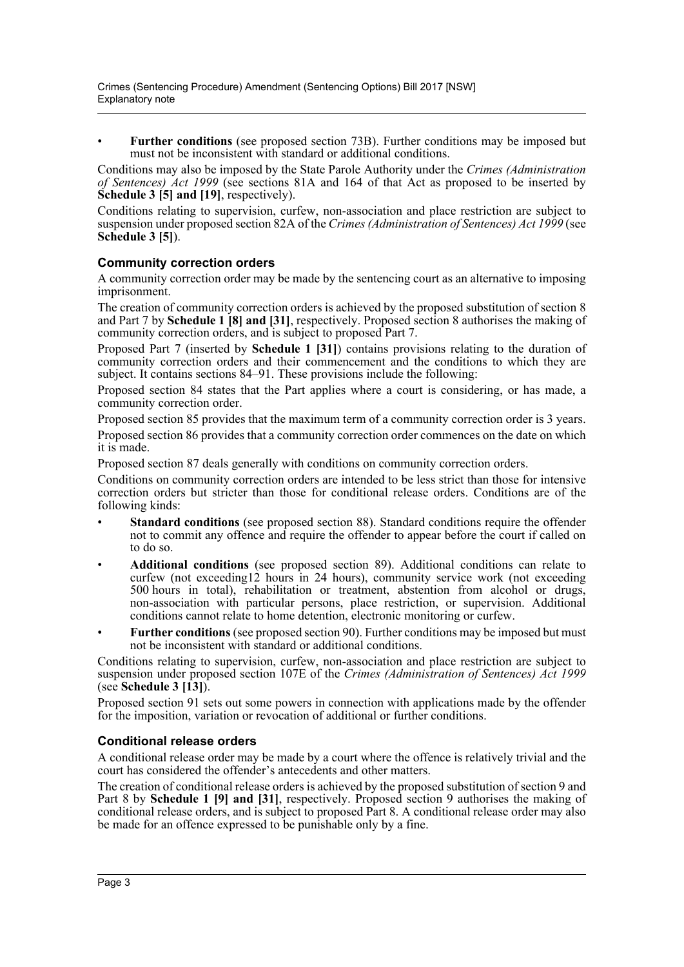• **Further conditions** (see proposed section 73B). Further conditions may be imposed but must not be inconsistent with standard or additional conditions.

Conditions may also be imposed by the State Parole Authority under the *Crimes (Administration of Sentences) Act 1999* (see sections 81A and 164 of that Act as proposed to be inserted by **Schedule 3 [5] and [19]**, respectively).

Conditions relating to supervision, curfew, non-association and place restriction are subject to suspension under proposed section 82A of the *Crimes (Administration of Sentences) Act 1999* (see **Schedule 3 [5]**).

#### **Community correction orders**

A community correction order may be made by the sentencing court as an alternative to imposing imprisonment.

The creation of community correction orders is achieved by the proposed substitution of section 8 and Part 7 by **Schedule 1 [8] and [31]**, respectively. Proposed section 8 authorises the making of community correction orders, and is subject to proposed Part 7.

Proposed Part 7 (inserted by **Schedule 1 [31]**) contains provisions relating to the duration of community correction orders and their commencement and the conditions to which they are subject. It contains sections 84–91. These provisions include the following:

Proposed section 84 states that the Part applies where a court is considering, or has made, a community correction order.

Proposed section 85 provides that the maximum term of a community correction order is 3 years. Proposed section 86 provides that a community correction order commences on the date on which it is made.

Proposed section 87 deals generally with conditions on community correction orders.

Conditions on community correction orders are intended to be less strict than those for intensive correction orders but stricter than those for conditional release orders. Conditions are of the following kinds:

- **Standard conditions** (see proposed section 88). Standard conditions require the offender not to commit any offence and require the offender to appear before the court if called on to do so.
- **Additional conditions** (see proposed section 89). Additional conditions can relate to curfew (not exceeding12 hours in 24 hours), community service work (not exceeding 500 hours in total), rehabilitation or treatment, abstention from alcohol or drugs, non-association with particular persons, place restriction, or supervision. Additional conditions cannot relate to home detention, electronic monitoring or curfew.
- **Further conditions** (see proposed section 90). Further conditions may be imposed but must not be inconsistent with standard or additional conditions.

Conditions relating to supervision, curfew, non-association and place restriction are subject to suspension under proposed section 107E of the *Crimes (Administration of Sentences) Act 1999* (see **Schedule 3 [13]**).

Proposed section 91 sets out some powers in connection with applications made by the offender for the imposition, variation or revocation of additional or further conditions.

#### **Conditional release orders**

A conditional release order may be made by a court where the offence is relatively trivial and the court has considered the offender's antecedents and other matters.

The creation of conditional release orders is achieved by the proposed substitution of section 9 and Part 8 by **Schedule 1 [9] and [31]**, respectively. Proposed section 9 authorises the making of conditional release orders, and is subject to proposed Part 8. A conditional release order may also be made for an offence expressed to be punishable only by a fine.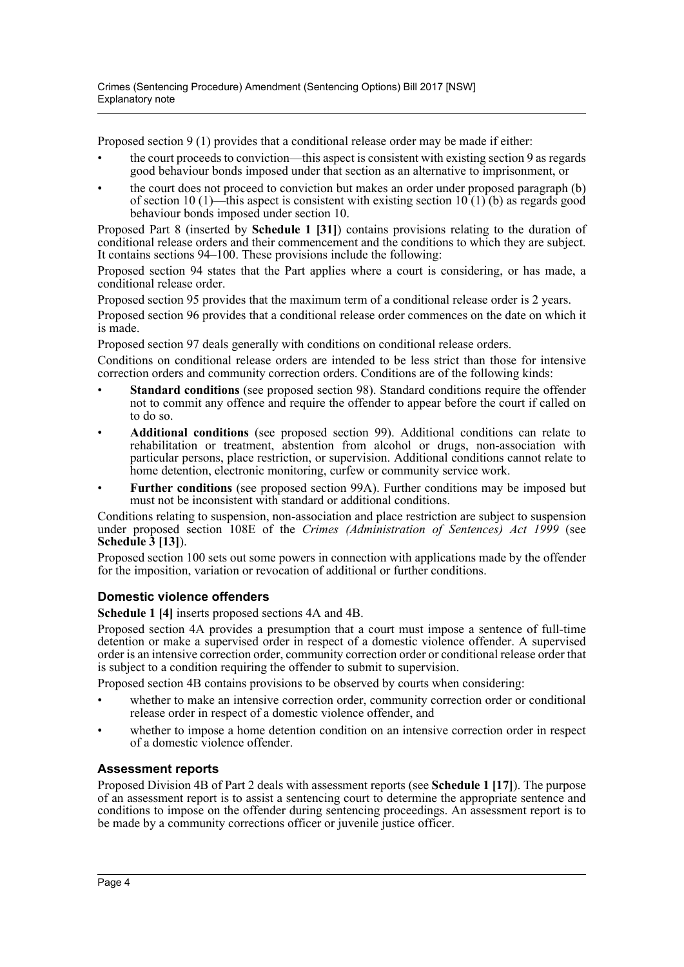Proposed section 9 (1) provides that a conditional release order may be made if either:

- the court proceeds to conviction—this aspect is consistent with existing section 9 as regards good behaviour bonds imposed under that section as an alternative to imprisonment, or
- the court does not proceed to conviction but makes an order under proposed paragraph (b) of section 10 (1)—this aspect is consistent with existing section  $10(1)(b)$  as regards good behaviour bonds imposed under section 10.

Proposed Part 8 (inserted by **Schedule 1 [31]**) contains provisions relating to the duration of conditional release orders and their commencement and the conditions to which they are subject. It contains sections 94–100. These provisions include the following:

Proposed section 94 states that the Part applies where a court is considering, or has made, a conditional release order.

Proposed section 95 provides that the maximum term of a conditional release order is 2 years. Proposed section 96 provides that a conditional release order commences on the date on which it is made.

Proposed section 97 deals generally with conditions on conditional release orders.

Conditions on conditional release orders are intended to be less strict than those for intensive correction orders and community correction orders. Conditions are of the following kinds:

- **Standard conditions** (see proposed section 98). Standard conditions require the offender not to commit any offence and require the offender to appear before the court if called on to do so.
- **Additional conditions** (see proposed section 99). Additional conditions can relate to rehabilitation or treatment, abstention from alcohol or drugs, non-association with particular persons, place restriction, or supervision. Additional conditions cannot relate to home detention, electronic monitoring, curfew or community service work.
- **Further conditions** (see proposed section 99A). Further conditions may be imposed but must not be inconsistent with standard or additional conditions.

Conditions relating to suspension, non-association and place restriction are subject to suspension under proposed section 108E of the *Crimes (Administration of Sentences) Act 1999* (see **Schedule 3 [13]**).

Proposed section 100 sets out some powers in connection with applications made by the offender for the imposition, variation or revocation of additional or further conditions.

#### **Domestic violence offenders**

**Schedule 1 [4]** inserts proposed sections 4A and 4B.

Proposed section 4A provides a presumption that a court must impose a sentence of full-time detention or make a supervised order in respect of a domestic violence offender. A supervised order is an intensive correction order, community correction order or conditional release order that is subject to a condition requiring the offender to submit to supervision.

Proposed section 4B contains provisions to be observed by courts when considering:

- whether to make an intensive correction order, community correction order or conditional release order in respect of a domestic violence offender, and
- whether to impose a home detention condition on an intensive correction order in respect of a domestic violence offender.

#### **Assessment reports**

Proposed Division 4B of Part 2 deals with assessment reports (see **Schedule 1 [17]**). The purpose of an assessment report is to assist a sentencing court to determine the appropriate sentence and conditions to impose on the offender during sentencing proceedings. An assessment report is to be made by a community corrections officer or juvenile justice officer.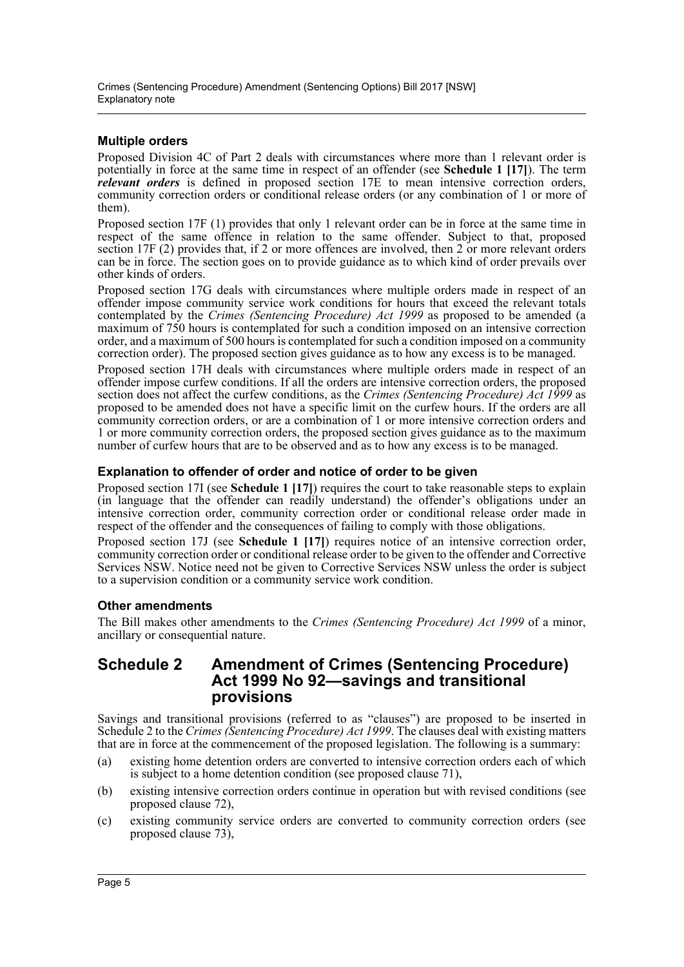#### **Multiple orders**

Proposed Division 4C of Part 2 deals with circumstances where more than 1 relevant order is potentially in force at the same time in respect of an offender (see **Schedule 1 [17]**). The term *relevant orders* is defined in proposed section 17E to mean intensive correction orders, community correction orders or conditional release orders (or any combination of 1 or more of them).

Proposed section 17F (1) provides that only 1 relevant order can be in force at the same time in respect of the same offence in relation to the same offender. Subject to that, proposed section 17F (2) provides that, if 2 or more offences are involved, then 2 or more relevant orders can be in force. The section goes on to provide guidance as to which kind of order prevails over other kinds of orders.

Proposed section 17G deals with circumstances where multiple orders made in respect of an offender impose community service work conditions for hours that exceed the relevant totals contemplated by the *Crimes (Sentencing Procedure) Act 1999* as proposed to be amended (a maximum of 750 hours is contemplated for such a condition imposed on an intensive correction order, and a maximum of 500 hours is contemplated for such a condition imposed on a community correction order). The proposed section gives guidance as to how any excess is to be managed.

Proposed section 17H deals with circumstances where multiple orders made in respect of an offender impose curfew conditions. If all the orders are intensive correction orders, the proposed section does not affect the curfew conditions, as the *Crimes (Sentencing Procedure) Act 1999* as proposed to be amended does not have a specific limit on the curfew hours. If the orders are all community correction orders, or are a combination of 1 or more intensive correction orders and 1 or more community correction orders, the proposed section gives guidance as to the maximum number of curfew hours that are to be observed and as to how any excess is to be managed.

#### **Explanation to offender of order and notice of order to be given**

Proposed section 17I (see **Schedule 1 [17]**) requires the court to take reasonable steps to explain (in language that the offender can readily understand) the offender's obligations under an intensive correction order, community correction order or conditional release order made in respect of the offender and the consequences of failing to comply with those obligations.

Proposed section 17J (see **Schedule 1 [17]**) requires notice of an intensive correction order, community correction order or conditional release order to be given to the offender and Corrective Services NSW. Notice need not be given to Corrective Services NSW unless the order is subject to a supervision condition or a community service work condition.

#### **Other amendments**

The Bill makes other amendments to the *Crimes (Sentencing Procedure) Act 1999* of a minor, ancillary or consequential nature.

### **Schedule 2 Amendment of Crimes (Sentencing Procedure) Act 1999 No 92—savings and transitional provisions**

Savings and transitional provisions (referred to as "clauses") are proposed to be inserted in Schedule 2 to the *Crimes (Sentencing Procedure) Act 1999*. The clauses deal with existing matters that are in force at the commencement of the proposed legislation. The following is a summary:

- (a) existing home detention orders are converted to intensive correction orders each of which is subject to a home detention condition (see proposed clause 71),
- (b) existing intensive correction orders continue in operation but with revised conditions (see proposed clause 72),
- (c) existing community service orders are converted to community correction orders (see proposed clause 73),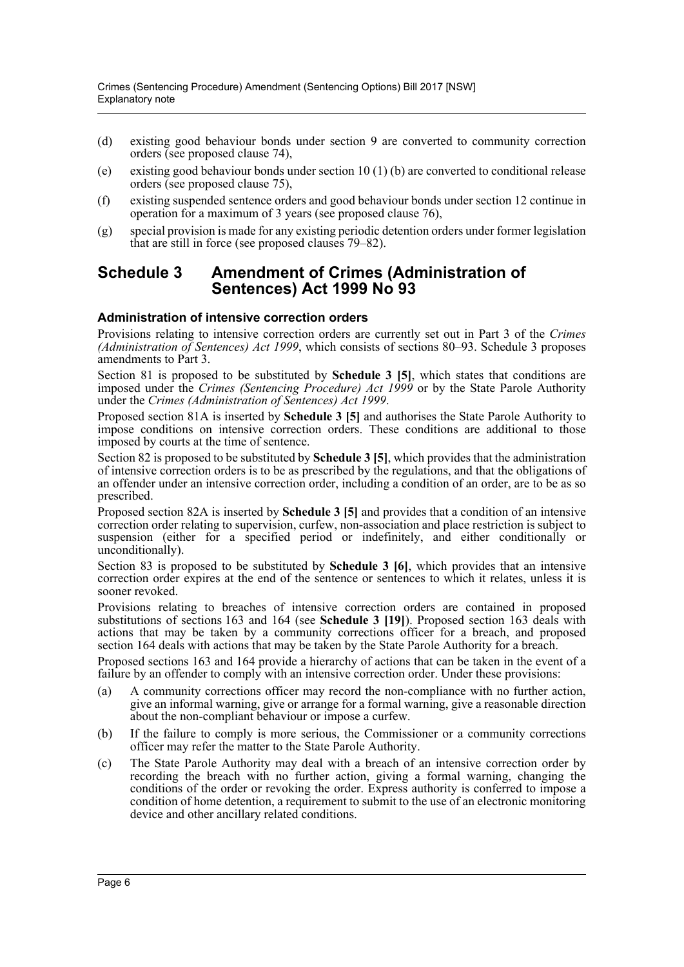- (d) existing good behaviour bonds under section 9 are converted to community correction orders (see proposed clause 74),
- (e) existing good behaviour bonds under section  $10(1)$  (b) are converted to conditional release orders (see proposed clause 75),
- (f) existing suspended sentence orders and good behaviour bonds under section 12 continue in operation for a maximum of 3 years (see proposed clause 76),
- (g) special provision is made for any existing periodic detention orders under former legislation that are still in force (see proposed clauses 79–82).

### **Schedule 3 Amendment of Crimes (Administration of Sentences) Act 1999 No 93**

#### **Administration of intensive correction orders**

Provisions relating to intensive correction orders are currently set out in Part 3 of the *Crimes (Administration of Sentences) Act 1999*, which consists of sections 80–93. Schedule 3 proposes amendments to Part 3.

Section 81 is proposed to be substituted by **Schedule 3 [5]**, which states that conditions are imposed under the *Crimes (Sentencing Procedure) Act 1999* or by the State Parole Authority under the *Crimes (Administration of Sentences) Act 1999*.

Proposed section 81A is inserted by **Schedule 3 [5]** and authorises the State Parole Authority to impose conditions on intensive correction orders. These conditions are additional to those imposed by courts at the time of sentence.

Section 82 is proposed to be substituted by **Schedule 3 [5]**, which provides that the administration of intensive correction orders is to be as prescribed by the regulations, and that the obligations of an offender under an intensive correction order, including a condition of an order, are to be as so prescribed.

Proposed section 82A is inserted by **Schedule 3 [5]** and provides that a condition of an intensive correction order relating to supervision, curfew, non-association and place restriction is subject to suspension (either for a specified period or indefinitely, and either conditionally or unconditionally).

Section 83 is proposed to be substituted by **Schedule 3 [6]**, which provides that an intensive correction order expires at the end of the sentence or sentences to which it relates, unless it is sooner revoked.

Provisions relating to breaches of intensive correction orders are contained in proposed substitutions of sections 163 and 164 (see **Schedule 3 [19]**). Proposed section 163 deals with actions that may be taken by a community corrections officer for a breach, and proposed section 164 deals with actions that may be taken by the State Parole Authority for a breach.

Proposed sections 163 and 164 provide a hierarchy of actions that can be taken in the event of a failure by an offender to comply with an intensive correction order. Under these provisions:

- (a) A community corrections officer may record the non-compliance with no further action, give an informal warning, give or arrange for a formal warning, give a reasonable direction about the non-compliant behaviour or impose a curfew.
- (b) If the failure to comply is more serious, the Commissioner or a community corrections officer may refer the matter to the State Parole Authority.
- (c) The State Parole Authority may deal with a breach of an intensive correction order by recording the breach with no further action, giving a formal warning, changing the conditions of the order or revoking the order. Express authority is conferred to impose a condition of home detention, a requirement to submit to the use of an electronic monitoring device and other ancillary related conditions.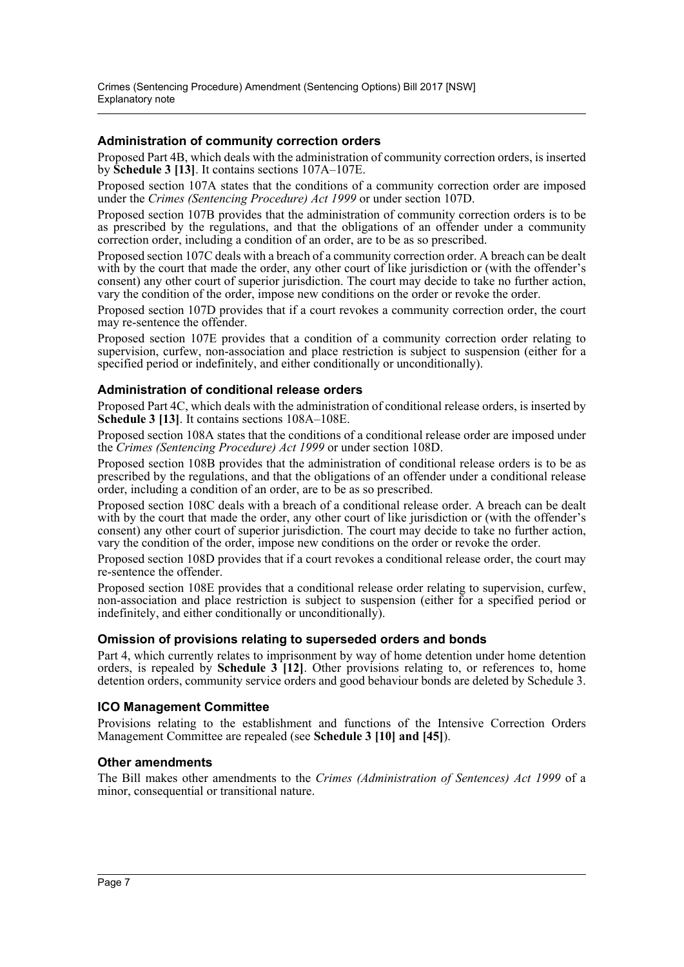#### **Administration of community correction orders**

Proposed Part 4B, which deals with the administration of community correction orders, is inserted by **Schedule 3 [13]**. It contains sections 107A–107E.

Proposed section 107A states that the conditions of a community correction order are imposed under the *Crimes (Sentencing Procedure) Act 1999* or under section 107D.

Proposed section 107B provides that the administration of community correction orders is to be as prescribed by the regulations, and that the obligations of an offender under a community correction order, including a condition of an order, are to be as so prescribed.

Proposed section 107C deals with a breach of a community correction order. A breach can be dealt with by the court that made the order, any other court of like jurisdiction or (with the offender's consent) any other court of superior jurisdiction. The court may decide to take no further action, vary the condition of the order, impose new conditions on the order or revoke the order.

Proposed section 107D provides that if a court revokes a community correction order, the court may re-sentence the offender.

Proposed section 107E provides that a condition of a community correction order relating to supervision, curfew, non-association and place restriction is subject to suspension (either for a specified period or indefinitely, and either conditionally or unconditionally).

#### **Administration of conditional release orders**

Proposed Part 4C, which deals with the administration of conditional release orders, is inserted by **Schedule 3 [13]**. It contains sections 108A–108E.

Proposed section 108A states that the conditions of a conditional release order are imposed under the *Crimes (Sentencing Procedure) Act 1999* or under section 108D.

Proposed section 108B provides that the administration of conditional release orders is to be as prescribed by the regulations, and that the obligations of an offender under a conditional release order, including a condition of an order, are to be as so prescribed.

Proposed section 108C deals with a breach of a conditional release order. A breach can be dealt with by the court that made the order, any other court of like jurisdiction or (with the offender's consent) any other court of superior jurisdiction. The court may decide to take no further action, vary the condition of the order, impose new conditions on the order or revoke the order.

Proposed section 108D provides that if a court revokes a conditional release order, the court may re-sentence the offender.

Proposed section 108E provides that a conditional release order relating to supervision, curfew, non-association and place restriction is subject to suspension (either for a specified period or indefinitely, and either conditionally or unconditionally).

#### **Omission of provisions relating to superseded orders and bonds**

Part 4, which currently relates to imprisonment by way of home detention under home detention orders, is repealed by **Schedule 3 [12]**. Other provisions relating to, or references to, home detention orders, community service orders and good behaviour bonds are deleted by Schedule 3.

#### **ICO Management Committee**

Provisions relating to the establishment and functions of the Intensive Correction Orders Management Committee are repealed (see **Schedule 3 [10] and [45]**).

#### **Other amendments**

The Bill makes other amendments to the *Crimes (Administration of Sentences) Act 1999* of a minor, consequential or transitional nature.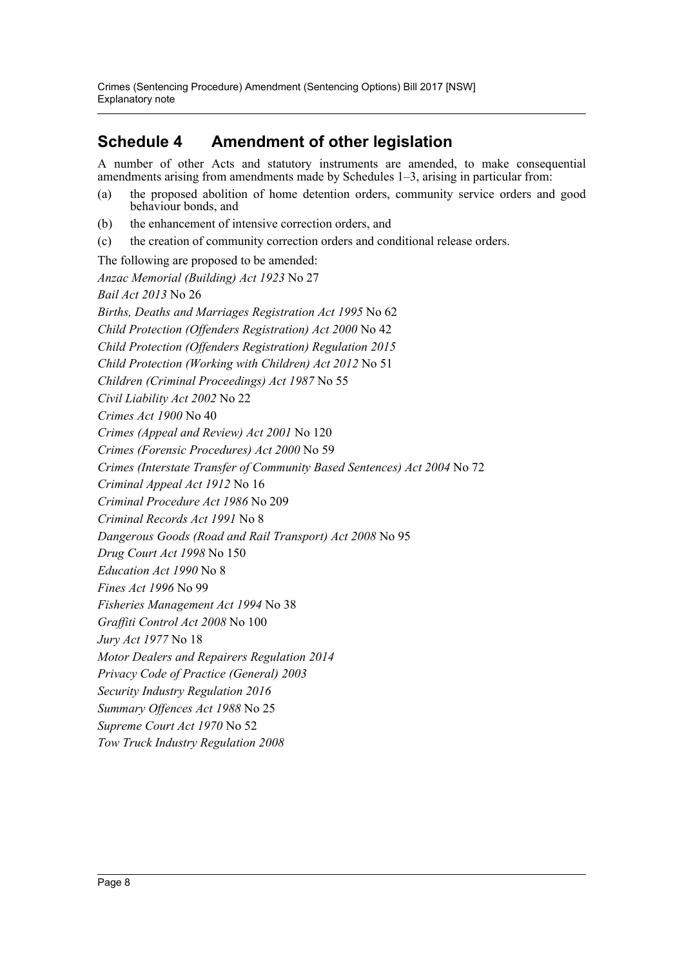## **Schedule 4 Amendment of other legislation**

A number of other Acts and statutory instruments are amended, to make consequential amendments arising from amendments made by Schedules 1–3, arising in particular from:

- (a) the proposed abolition of home detention orders, community service orders and good behaviour bonds, and
- (b) the enhancement of intensive correction orders, and
- (c) the creation of community correction orders and conditional release orders.

The following are proposed to be amended: *Anzac Memorial (Building) Act 1923* No 27 *Bail Act 2013* No 26 *Births, Deaths and Marriages Registration Act 1995* No 62 *Child Protection (Offenders Registration) Act 2000* No 42 *Child Protection (Offenders Registration) Regulation 2015 Child Protection (Working with Children) Act 2012* No 51 *Children (Criminal Proceedings) Act 1987* No 55 *Civil Liability Act 2002* No 22 *Crimes Act 1900* No 40 *Crimes (Appeal and Review) Act 2001* No 120 *Crimes (Forensic Procedures) Act 2000* No 59 *Crimes (Interstate Transfer of Community Based Sentences) Act 2004* No 72 *Criminal Appeal Act 1912* No 16 *Criminal Procedure Act 1986* No 209 *Criminal Records Act 1991* No 8 *Dangerous Goods (Road and Rail Transport) Act 2008* No 95 *Drug Court Act 1998* No 150 *Education Act 1990* No 8 *Fines Act 1996* No 99 *Fisheries Management Act 1994* No 38 *Graffiti Control Act 2008* No 100 *Jury Act 1977* No 18 *Motor Dealers and Repairers Regulation 2014 Privacy Code of Practice (General) 2003 Security Industry Regulation 2016 Summary Offences Act 1988* No 25 *Supreme Court Act 1970* No 52 *Tow Truck Industry Regulation 2008*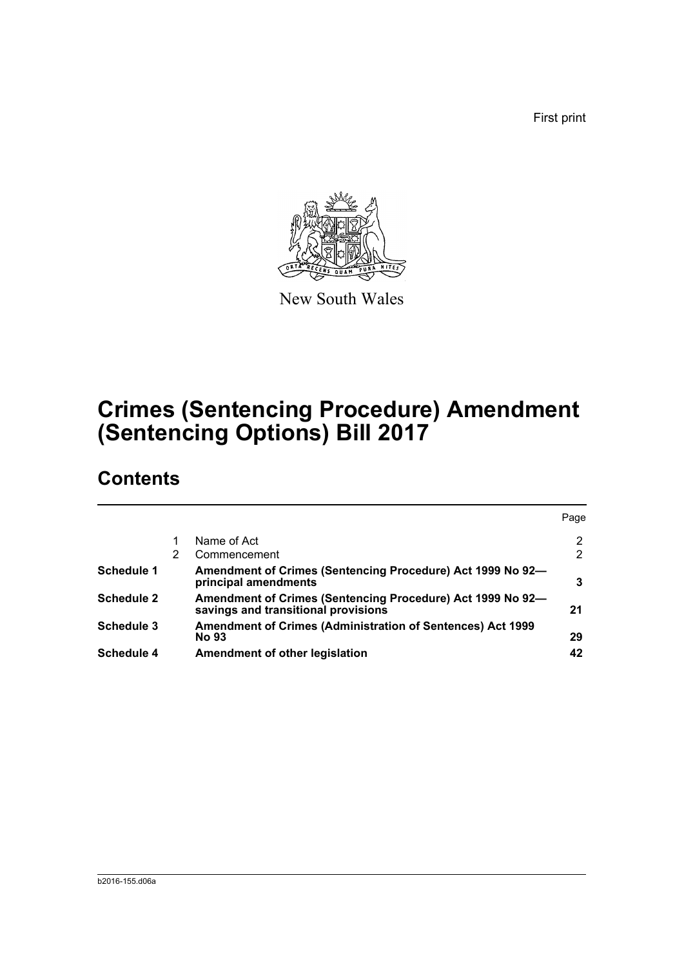First print



New South Wales

# **Crimes (Sentencing Procedure) Amendment (Sentencing Options) Bill 2017**

## **Contents**

|                   |   |                                                                                                   | Page           |
|-------------------|---|---------------------------------------------------------------------------------------------------|----------------|
|                   |   | Name of Act                                                                                       | $\overline{2}$ |
|                   | 2 | Commencement                                                                                      | 2              |
| <b>Schedule 1</b> |   | Amendment of Crimes (Sentencing Procedure) Act 1999 No 92-<br>principal amendments                | 3              |
| <b>Schedule 2</b> |   | Amendment of Crimes (Sentencing Procedure) Act 1999 No 92-<br>savings and transitional provisions | 21             |
| <b>Schedule 3</b> |   | <b>Amendment of Crimes (Administration of Sentences) Act 1999</b><br><b>No 93</b>                 | 29             |
| <b>Schedule 4</b> |   | Amendment of other legislation                                                                    | 42             |
|                   |   |                                                                                                   |                |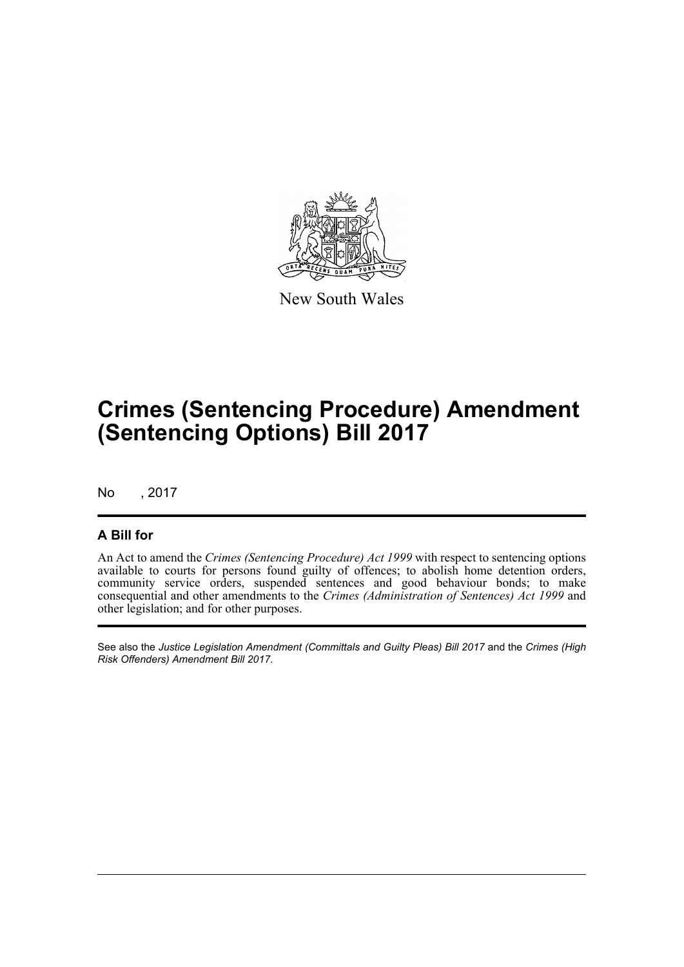

New South Wales

## **Crimes (Sentencing Procedure) Amendment (Sentencing Options) Bill 2017**

No , 2017

### **A Bill for**

An Act to amend the *Crimes (Sentencing Procedure) Act 1999* with respect to sentencing options available to courts for persons found guilty of offences; to abolish home detention orders, community service orders, suspended sentences and good behaviour bonds; to make consequential and other amendments to the *Crimes (Administration of Sentences) Act 1999* and other legislation; and for other purposes.

See also the *Justice Legislation Amendment (Committals and Guilty Pleas) Bill 2017* and the *Crimes (High Risk Offenders) Amendment Bill 2017*.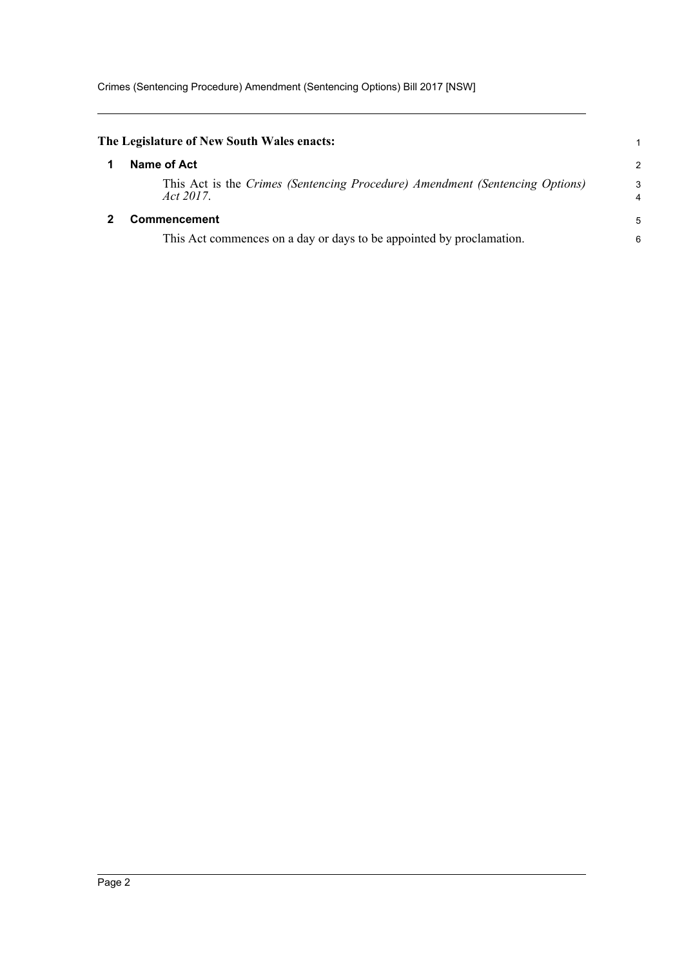<span id="page-10-1"></span><span id="page-10-0"></span>

| The Legislature of New South Wales enacts:                                                |                |
|-------------------------------------------------------------------------------------------|----------------|
| Name of Act                                                                               | $\overline{2}$ |
| This Act is the Crimes (Sentencing Procedure) Amendment (Sentencing Options)<br>Act 2017. | 3<br>4         |
| <b>Commencement</b>                                                                       | 5              |
| This Act commences on a day or days to be appointed by proclamation.                      | 6              |
|                                                                                           |                |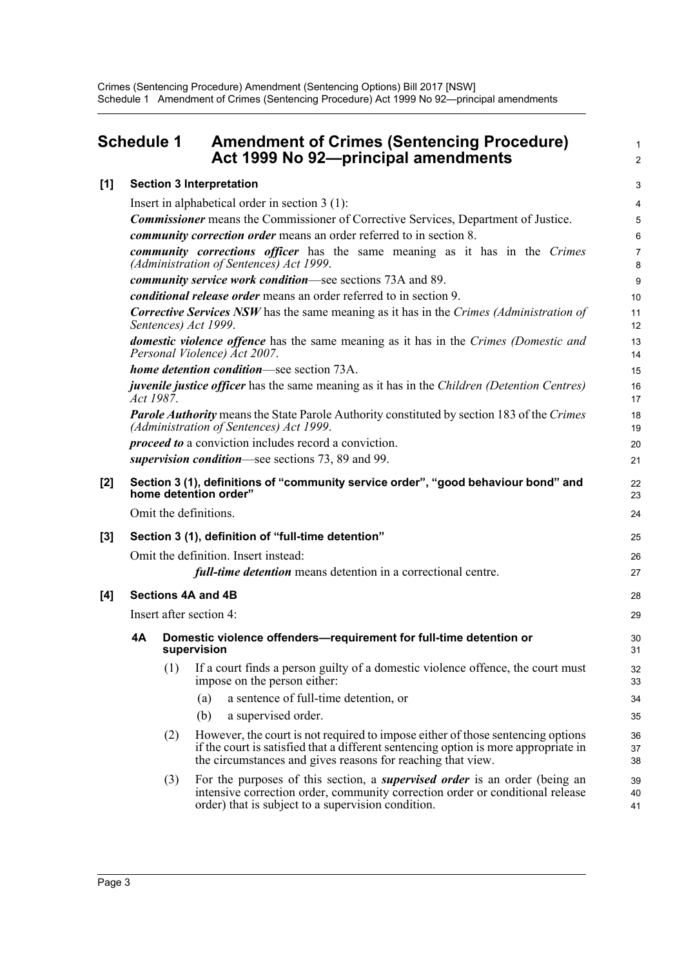## <span id="page-11-0"></span>**Schedule 1 Amendment of Crimes (Sentencing Procedure)** <sup>1</sup> **Act 1999 No 92—principal amendments** <sup>2</sup>

3

41

## **[1] Section 3 Interpretation**

|     |           |     | Insert in alphabetical order in section $3(1)$ :                                                                                                                                                                                      | 4              |
|-----|-----------|-----|---------------------------------------------------------------------------------------------------------------------------------------------------------------------------------------------------------------------------------------|----------------|
|     |           |     | <b>Commissioner</b> means the Commissioner of Corrective Services, Department of Justice.                                                                                                                                             | 5              |
|     |           |     | <i>community correction order</i> means an order referred to in section 8.                                                                                                                                                            | 6              |
|     |           |     | community corrections officer has the same meaning as it has in the Crimes<br>(Administration of Sentences) Act 1999.                                                                                                                 | 7<br>8         |
|     |           |     | community service work condition—see sections 73A and 89.                                                                                                                                                                             | 9              |
|     |           |     | <i>conditional release order</i> means an order referred to in section 9.                                                                                                                                                             | 10             |
|     |           |     | <b>Corrective Services NSW</b> has the same meaning as it has in the Crimes (Administration of<br>Sentences) Act 1999.                                                                                                                | 11<br>12       |
|     |           |     | <b>domestic violence offence</b> has the same meaning as it has in the Crimes (Domestic and<br>Personal Violence) Act 2007.                                                                                                           | 13<br>14       |
|     |           |     | home detention condition—see section 73A.                                                                                                                                                                                             | 15             |
|     | Act 1987. |     | <i>juvenile justice officer</i> has the same meaning as it has in the <i>Children (Detention Centres)</i>                                                                                                                             | 16<br>17       |
|     |           |     | <b>Parole Authority</b> means the State Parole Authority constituted by section 183 of the Crimes<br>(Administration of Sentences) Act 1999.                                                                                          | 18<br>19       |
|     |           |     | <i>proceed to</i> a conviction includes record a conviction.                                                                                                                                                                          | 20             |
|     |           |     | supervision condition—see sections 73, 89 and 99.                                                                                                                                                                                     | 21             |
| [2] |           |     | Section 3 (1), definitions of "community service order", "good behaviour bond" and<br>home detention order"                                                                                                                           | 22<br>23       |
|     |           |     | Omit the definitions.                                                                                                                                                                                                                 | 24             |
| [3] |           |     | Section 3 (1), definition of "full-time detention"                                                                                                                                                                                    | 25             |
|     |           |     | Omit the definition. Insert instead:                                                                                                                                                                                                  | 26             |
|     |           |     | full-time detention means detention in a correctional centre.                                                                                                                                                                         | 27             |
| [4] |           |     | <b>Sections 4A and 4B</b>                                                                                                                                                                                                             | 28             |
|     |           |     | Insert after section 4:                                                                                                                                                                                                               | 29             |
|     | 4A        |     | Domestic violence offenders-requirement for full-time detention or<br>supervision                                                                                                                                                     | 30<br>31       |
|     |           | (1) | If a court finds a person guilty of a domestic violence offence, the court must<br>impose on the person either:                                                                                                                       | 32<br>33       |
|     |           |     | a sentence of full-time detention, or<br>(a)                                                                                                                                                                                          | 34             |
|     |           |     | (b)<br>a supervised order.                                                                                                                                                                                                            | 35             |
|     |           | (2) | However, the court is not required to impose either of those sentencing options<br>if the court is satisfied that a different sentencing option is more appropriate in<br>the circumstances and gives reasons for reaching that view. | 36<br>37<br>38 |
|     |           | (3) | For the purposes of this section, a <i>supervised order</i> is an order (being an<br>intensive correction order, community correction order or conditional release                                                                    | 39<br>40       |

order) that is subject to a supervision condition.

 $[4]$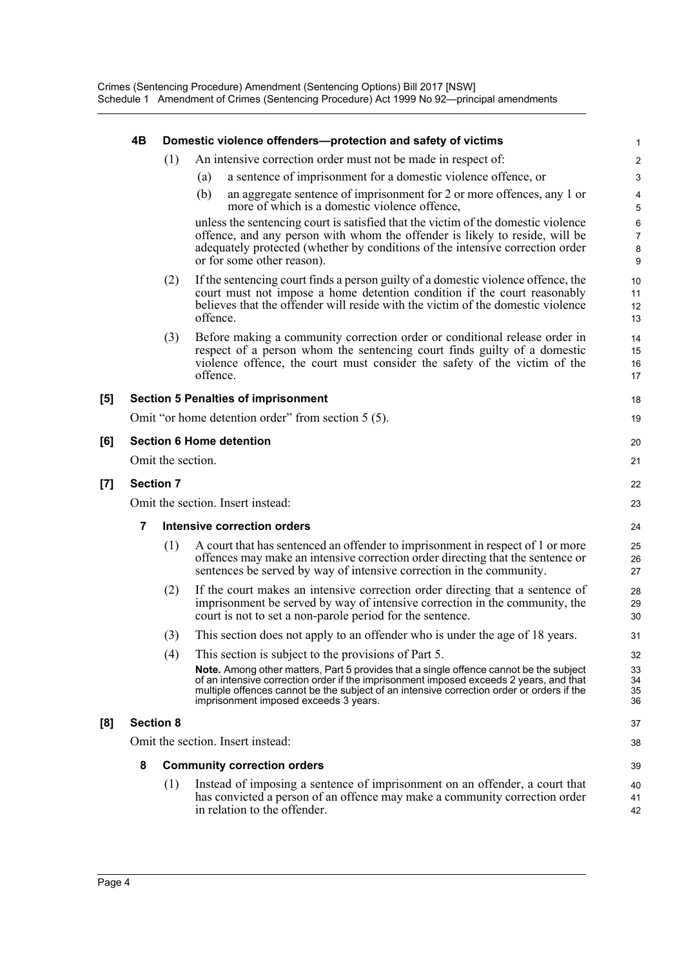|     | 4Β               |                   | Domestic violence offenders-protection and safety of victims                                                                                                                                                                                                                                                                  | 1                             |
|-----|------------------|-------------------|-------------------------------------------------------------------------------------------------------------------------------------------------------------------------------------------------------------------------------------------------------------------------------------------------------------------------------|-------------------------------|
|     |                  | (1)               | An intensive correction order must not be made in respect of:                                                                                                                                                                                                                                                                 | $\boldsymbol{2}$              |
|     |                  |                   | a sentence of imprisonment for a domestic violence offence, or<br>(a)                                                                                                                                                                                                                                                         | 3                             |
|     |                  |                   | an aggregate sentence of imprisonment for 2 or more offences, any 1 or<br>(b)<br>more of which is a domestic violence offence,                                                                                                                                                                                                | 4<br>5                        |
|     |                  |                   | unless the sentencing court is satisfied that the victim of the domestic violence<br>offence, and any person with whom the offender is likely to reside, will be<br>adequately protected (whether by conditions of the intensive correction order<br>or for some other reason).                                               | 6<br>$\overline{7}$<br>8<br>9 |
|     |                  | (2)               | If the sentencing court finds a person guilty of a domestic violence offence, the<br>court must not impose a home detention condition if the court reasonably<br>believes that the offender will reside with the victim of the domestic violence<br>offence.                                                                  | 10<br>11<br>12<br>13          |
|     |                  | (3)               | Before making a community correction order or conditional release order in<br>respect of a person whom the sentencing court finds guilty of a domestic<br>violence offence, the court must consider the safety of the victim of the<br>offence.                                                                               | 14<br>15<br>16<br>17          |
| [5] |                  |                   | <b>Section 5 Penalties of imprisonment</b>                                                                                                                                                                                                                                                                                    | 18                            |
|     |                  |                   | Omit "or home detention order" from section 5 (5).                                                                                                                                                                                                                                                                            | 19                            |
| [6] |                  |                   | <b>Section 6 Home detention</b>                                                                                                                                                                                                                                                                                               | 20                            |
|     |                  | Omit the section. |                                                                                                                                                                                                                                                                                                                               | 21                            |
| [7] | <b>Section 7</b> |                   |                                                                                                                                                                                                                                                                                                                               | 22                            |
|     |                  |                   | Omit the section. Insert instead:                                                                                                                                                                                                                                                                                             | 23                            |
|     | 7                |                   | <b>Intensive correction orders</b>                                                                                                                                                                                                                                                                                            | 24                            |
|     |                  | (1)               | A court that has sentenced an offender to imprisonment in respect of 1 or more<br>offences may make an intensive correction order directing that the sentence or<br>sentences be served by way of intensive correction in the community.                                                                                      | 25<br>26<br>27                |
|     |                  | (2)               | If the court makes an intensive correction order directing that a sentence of<br>imprisonment be served by way of intensive correction in the community, the<br>court is not to set a non-parole period for the sentence.                                                                                                     | 28<br>29<br>30                |
|     |                  | (3)               | This section does not apply to an offender who is under the age of 18 years.                                                                                                                                                                                                                                                  | 31                            |
|     |                  | (4)               | This section is subject to the provisions of Part 5.                                                                                                                                                                                                                                                                          | 32                            |
|     |                  |                   | <b>Note.</b> Among other matters, Part 5 provides that a single offence cannot be the subject<br>of an intensive correction order if the imprisonment imposed exceeds 2 years, and that<br>multiple offences cannot be the subject of an intensive correction order or orders if the<br>imprisonment imposed exceeds 3 years. | 33<br>34<br>35<br>36          |
| [8] | <b>Section 8</b> |                   |                                                                                                                                                                                                                                                                                                                               | 37                            |
|     |                  |                   | Omit the section. Insert instead:                                                                                                                                                                                                                                                                                             | 38                            |
|     | 8                |                   | <b>Community correction orders</b>                                                                                                                                                                                                                                                                                            | 39                            |
|     |                  | (1)               | Instead of imposing a sentence of imprisonment on an offender, a court that<br>has convicted a person of an offence may make a community correction order<br>in relation to the offender.                                                                                                                                     | 40<br>41<br>42                |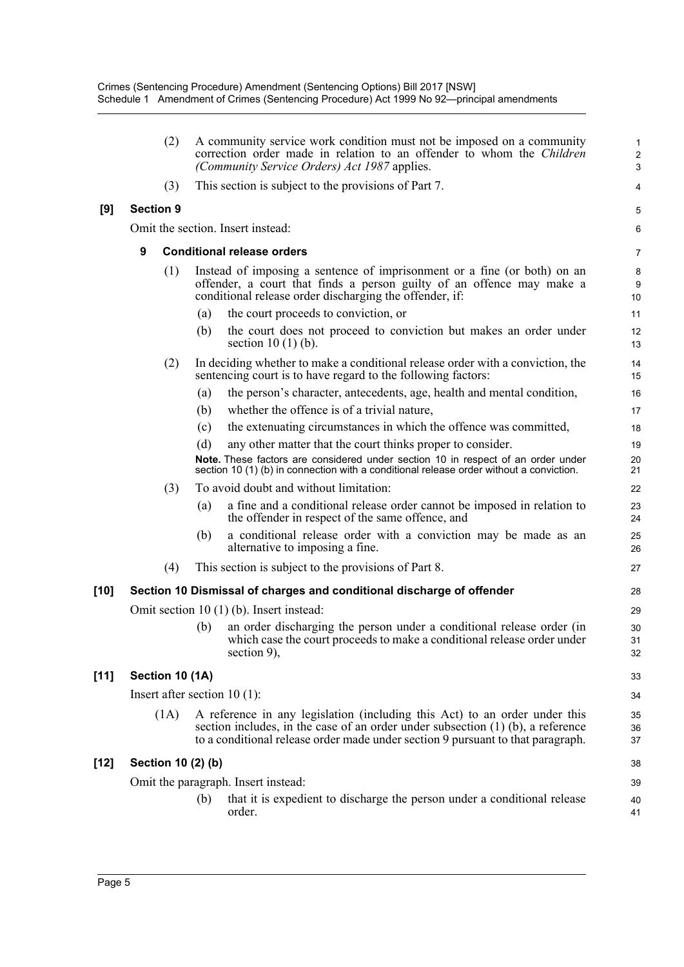|        | (2)                            |     | A community service work condition must not be imposed on a community<br>correction order made in relation to an offender to whom the Children<br>(Community Service Orders) Act 1987 applies.                                                        | $\mathbf{1}$<br>$\sqrt{2}$<br>3 |
|--------|--------------------------------|-----|-------------------------------------------------------------------------------------------------------------------------------------------------------------------------------------------------------------------------------------------------------|---------------------------------|
|        | (3)                            |     | This section is subject to the provisions of Part 7.                                                                                                                                                                                                  | 4                               |
| [9]    | <b>Section 9</b>               |     |                                                                                                                                                                                                                                                       | 5                               |
|        |                                |     | Omit the section. Insert instead:                                                                                                                                                                                                                     | 6                               |
|        | 9                              |     | <b>Conditional release orders</b>                                                                                                                                                                                                                     | 7                               |
|        | (1)                            |     | Instead of imposing a sentence of imprisonment or a fine (or both) on an<br>offender, a court that finds a person guilty of an offence may make a<br>conditional release order discharging the offender, if:                                          | 8<br>9<br>10                    |
|        |                                | (a) | the court proceeds to conviction, or                                                                                                                                                                                                                  | 11                              |
|        |                                | (b) | the court does not proceed to conviction but makes an order under<br>section $10(1)$ (b).                                                                                                                                                             | 12<br>13                        |
|        | (2)                            |     | In deciding whether to make a conditional release order with a conviction, the<br>sentencing court is to have regard to the following factors:                                                                                                        | 14<br>15                        |
|        |                                | (a) | the person's character, antecedents, age, health and mental condition,                                                                                                                                                                                | 16                              |
|        |                                | (b) | whether the offence is of a trivial nature,                                                                                                                                                                                                           | 17                              |
|        |                                | (c) | the extenuating circumstances in which the offence was committed,                                                                                                                                                                                     | 18                              |
|        |                                | (d) | any other matter that the court thinks proper to consider.<br>Note. These factors are considered under section 10 in respect of an order under<br>section 10 (1) (b) in connection with a conditional release order without a conviction.             | 19<br>20<br>21                  |
|        | (3)                            |     | To avoid doubt and without limitation:                                                                                                                                                                                                                | 22                              |
|        |                                | (a) | a fine and a conditional release order cannot be imposed in relation to<br>the offender in respect of the same offence, and                                                                                                                           | 23<br>24                        |
|        |                                | (b) | a conditional release order with a conviction may be made as an<br>alternative to imposing a fine.                                                                                                                                                    | 25<br>26                        |
|        | (4)                            |     | This section is subject to the provisions of Part 8.                                                                                                                                                                                                  | 27                              |
| [10]   |                                |     | Section 10 Dismissal of charges and conditional discharge of offender                                                                                                                                                                                 | 28                              |
|        |                                |     | Omit section $10(1)$ (b). Insert instead:                                                                                                                                                                                                             | 29                              |
|        |                                | (b) | an order discharging the person under a conditional release order (in<br>which case the court proceeds to make a conditional release order under<br>section $9$ ),                                                                                    | 30<br>31<br>32                  |
| $[11]$ | Section 10 (1A)                |     |                                                                                                                                                                                                                                                       | 33                              |
|        | Insert after section $10(1)$ : |     |                                                                                                                                                                                                                                                       | 34                              |
|        | (1A)                           |     | A reference in any legislation (including this Act) to an order under this<br>section includes, in the case of an order under subsection $(1)$ $(b)$ , a reference<br>to a conditional release order made under section 9 pursuant to that paragraph. | 35<br>36<br>37                  |
| [12]   | Section 10 (2) (b)             |     |                                                                                                                                                                                                                                                       | 38                              |
|        |                                |     | Omit the paragraph. Insert instead:                                                                                                                                                                                                                   | 39                              |
|        |                                | (b) | that it is expedient to discharge the person under a conditional release<br>order.                                                                                                                                                                    | 40<br>41                        |
|        |                                |     |                                                                                                                                                                                                                                                       |                                 |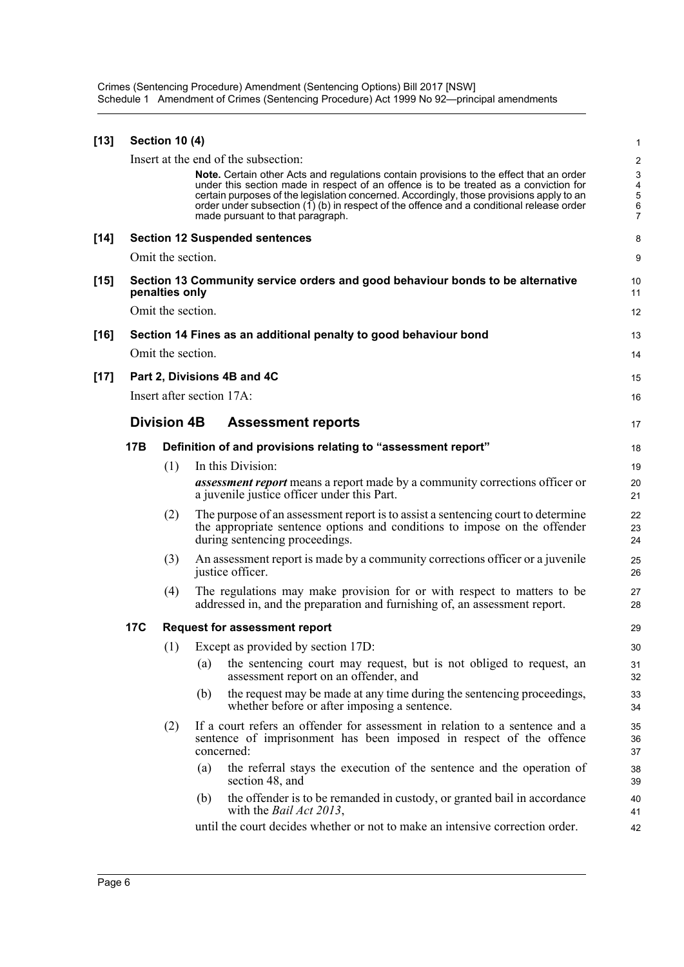Crimes (Sentencing Procedure) Amendment (Sentencing Options) Bill 2017 [NSW] Schedule 1 Amendment of Crimes (Sentencing Procedure) Act 1999 No 92—principal amendments

| $[13]$ |            | <b>Section 10 (4)</b> |     |                                                                                                                                                                                                                                                                                                                                                                                                                | 1                                                          |
|--------|------------|-----------------------|-----|----------------------------------------------------------------------------------------------------------------------------------------------------------------------------------------------------------------------------------------------------------------------------------------------------------------------------------------------------------------------------------------------------------------|------------------------------------------------------------|
|        |            |                       |     | Insert at the end of the subsection:                                                                                                                                                                                                                                                                                                                                                                           | 2                                                          |
|        |            |                       |     | Note. Certain other Acts and regulations contain provisions to the effect that an order<br>under this section made in respect of an offence is to be treated as a conviction for<br>certain purposes of the legislation concerned. Accordingly, those provisions apply to an<br>order under subsection $(1)$ (b) in respect of the offence and a conditional release order<br>made pursuant to that paragraph. | $\ensuremath{\mathsf{3}}$<br>4<br>5<br>6<br>$\overline{7}$ |
| $[14]$ |            |                       |     | <b>Section 12 Suspended sentences</b>                                                                                                                                                                                                                                                                                                                                                                          | 8                                                          |
|        |            | Omit the section.     |     |                                                                                                                                                                                                                                                                                                                                                                                                                | 9                                                          |
| $[15]$ |            | penalties only        |     | Section 13 Community service orders and good behaviour bonds to be alternative                                                                                                                                                                                                                                                                                                                                 | 10<br>11                                                   |
|        |            | Omit the section.     |     |                                                                                                                                                                                                                                                                                                                                                                                                                | 12                                                         |
| $[16]$ |            |                       |     | Section 14 Fines as an additional penalty to good behaviour bond                                                                                                                                                                                                                                                                                                                                               | 13                                                         |
|        |            | Omit the section.     |     |                                                                                                                                                                                                                                                                                                                                                                                                                | 14                                                         |
| $[17]$ |            |                       |     | Part 2, Divisions 4B and 4C                                                                                                                                                                                                                                                                                                                                                                                    | 15                                                         |
|        |            |                       |     | Insert after section 17A:                                                                                                                                                                                                                                                                                                                                                                                      | 16                                                         |
|        |            | <b>Division 4B</b>    |     | <b>Assessment reports</b>                                                                                                                                                                                                                                                                                                                                                                                      | 17                                                         |
|        | 17B        |                       |     | Definition of and provisions relating to "assessment report"                                                                                                                                                                                                                                                                                                                                                   | 18                                                         |
|        |            | (1)                   |     | In this Division:                                                                                                                                                                                                                                                                                                                                                                                              | 19                                                         |
|        |            |                       |     | <b>assessment report</b> means a report made by a community corrections officer or<br>a juvenile justice officer under this Part.                                                                                                                                                                                                                                                                              | 20<br>21                                                   |
|        |            | (2)                   |     | The purpose of an assessment report is to assist a sentencing court to determine<br>the appropriate sentence options and conditions to impose on the offender<br>during sentencing proceedings.                                                                                                                                                                                                                | 22<br>23<br>24                                             |
|        |            | (3)                   |     | An assessment report is made by a community corrections officer or a juvenile<br>justice officer.                                                                                                                                                                                                                                                                                                              | 25<br>26                                                   |
|        |            | (4)                   |     | The regulations may make provision for or with respect to matters to be<br>addressed in, and the preparation and furnishing of, an assessment report.                                                                                                                                                                                                                                                          | 27<br>28                                                   |
|        | <b>17C</b> |                       |     | <b>Request for assessment report</b>                                                                                                                                                                                                                                                                                                                                                                           | 29                                                         |
|        |            |                       |     | (1) Except as provided by section 17D:                                                                                                                                                                                                                                                                                                                                                                         | 30                                                         |
|        |            |                       | (a) | the sentencing court may request, but is not obliged to request, an<br>assessment report on an offender, and                                                                                                                                                                                                                                                                                                   | 31<br>32                                                   |
|        |            |                       | (b) | the request may be made at any time during the sentencing proceedings,<br>whether before or after imposing a sentence.                                                                                                                                                                                                                                                                                         | 33<br>34                                                   |
|        |            | (2)                   |     | If a court refers an offender for assessment in relation to a sentence and a<br>sentence of imprisonment has been imposed in respect of the offence<br>concerned:                                                                                                                                                                                                                                              | 35<br>36<br>37                                             |
|        |            |                       | (a) | the referral stays the execution of the sentence and the operation of<br>section 48, and                                                                                                                                                                                                                                                                                                                       | 38<br>39                                                   |
|        |            |                       | (b) | the offender is to be remanded in custody, or granted bail in accordance<br>with the <i>Bail Act 2013</i> ,                                                                                                                                                                                                                                                                                                    | 40<br>41                                                   |
|        |            |                       |     | until the court decides whether or not to make an intensive correction order.                                                                                                                                                                                                                                                                                                                                  | 42                                                         |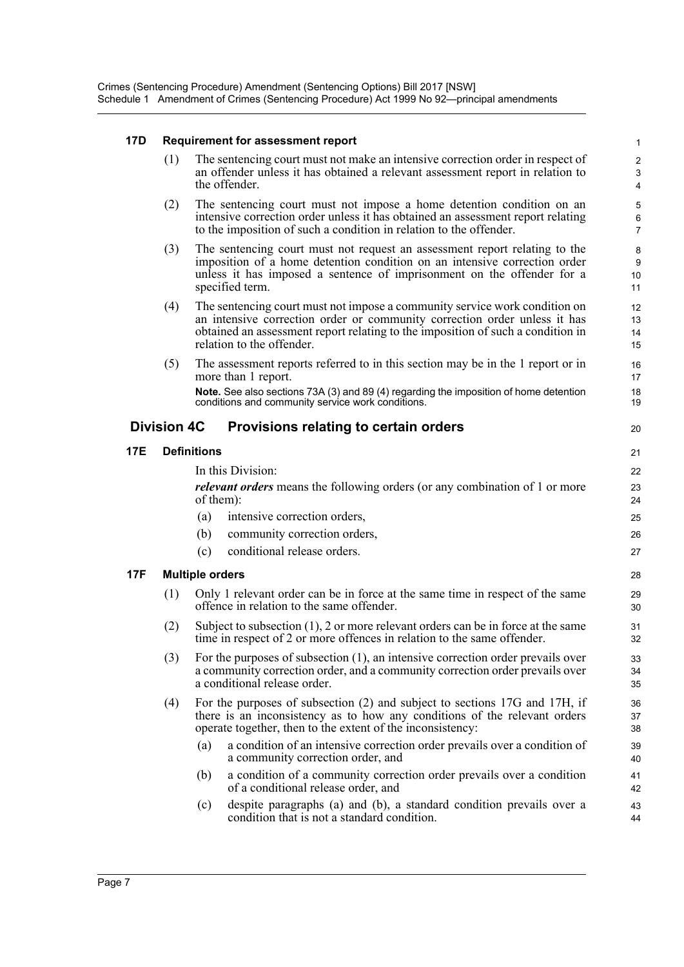#### **17D Requirement for assessment report**

(1) The sentencing court must not make an intensive correction order in respect of an offender unless it has obtained a relevant assessment report in relation to the offender.

20

- (2) The sentencing court must not impose a home detention condition on an intensive correction order unless it has obtained an assessment report relating to the imposition of such a condition in relation to the offender.
- (3) The sentencing court must not request an assessment report relating to the imposition of a home detention condition on an intensive correction order unless it has imposed a sentence of imprisonment on the offender for a specified term.
- (4) The sentencing court must not impose a community service work condition on an intensive correction order or community correction order unless it has obtained an assessment report relating to the imposition of such a condition in relation to the offender.
- (5) The assessment reports referred to in this section may be in the 1 report or in more than 1 report.

**Note.** See also sections 73A (3) and 89 (4) regarding the imposition of home detention conditions and community service work conditions.

#### **Division 4C Provisions relating to certain orders**

#### **17E Definitions**

In this Division:

*relevant orders* means the following orders (or any combination of 1 or more of them):

- (a) intensive correction orders,
- (b) community correction orders,
- (c) conditional release orders.

#### **17F Multiple orders**

- (1) Only 1 relevant order can be in force at the same time in respect of the same offence in relation to the same offender.
- (2) Subject to subsection (1), 2 or more relevant orders can be in force at the same time in respect of 2 or more offences in relation to the same offender.
- (3) For the purposes of subsection (1), an intensive correction order prevails over a community correction order, and a community correction order prevails over a conditional release order.
- (4) For the purposes of subsection (2) and subject to sections 17G and 17H, if there is an inconsistency as to how any conditions of the relevant orders operate together, then to the extent of the inconsistency:
	- (a) a condition of an intensive correction order prevails over a condition of a community correction order, and
	- (b) a condition of a community correction order prevails over a condition of a conditional release order, and
	- (c) despite paragraphs (a) and (b), a standard condition prevails over a condition that is not a standard condition.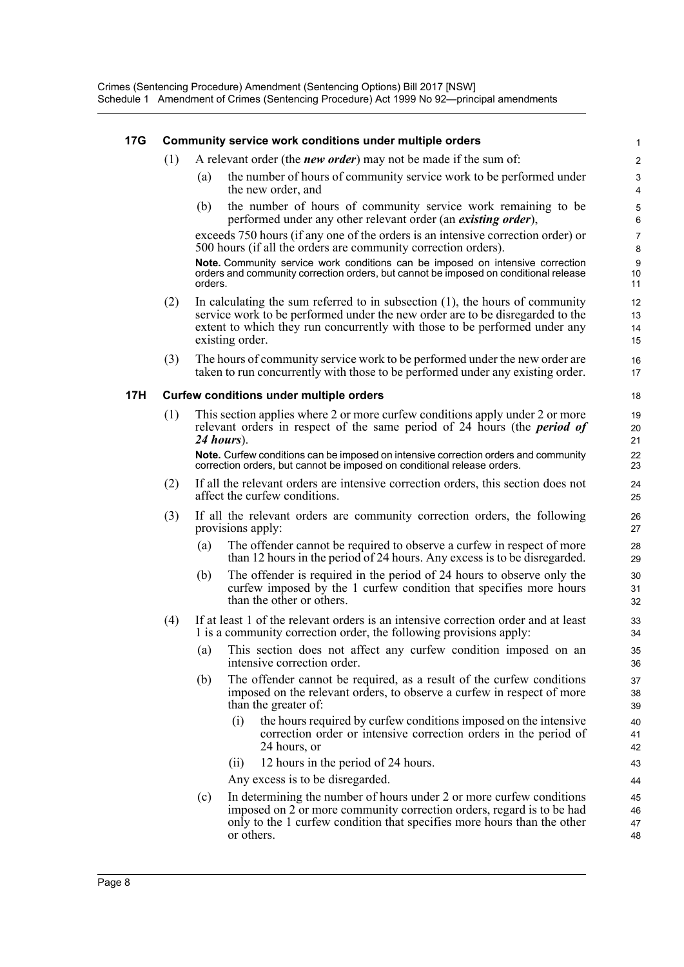#### **17G Community service work conditions under multiple orders**

- (1) A relevant order (the *new order*) may not be made if the sum of:
	- (a) the number of hours of community service work to be performed under the new order, and

(b) the number of hours of community service work remaining to be performed under any other relevant order (an *existing order*),

exceeds 750 hours (if any one of the orders is an intensive correction order) or 500 hours (if all the orders are community correction orders).

**Note.** Community service work conditions can be imposed on intensive correction orders and community correction orders, but cannot be imposed on conditional release orders.

- (2) In calculating the sum referred to in subsection (1), the hours of community service work to be performed under the new order are to be disregarded to the extent to which they run concurrently with those to be performed under any existing order.
- (3) The hours of community service work to be performed under the new order are taken to run concurrently with those to be performed under any existing order.

#### **17H Curfew conditions under multiple orders**

(1) This section applies where 2 or more curfew conditions apply under 2 or more relevant orders in respect of the same period of 24 hours (the *period of 24 hours*).

**Note.** Curfew conditions can be imposed on intensive correction orders and community correction orders, but cannot be imposed on conditional release orders.

- (2) If all the relevant orders are intensive correction orders, this section does not affect the curfew conditions.
- (3) If all the relevant orders are community correction orders, the following provisions apply:
	- (a) The offender cannot be required to observe a curfew in respect of more than 12 hours in the period of 24 hours. Any excess is to be disregarded.
	- (b) The offender is required in the period of 24 hours to observe only the curfew imposed by the 1 curfew condition that specifies more hours than the other or others.
- (4) If at least 1 of the relevant orders is an intensive correction order and at least 1 is a community correction order, the following provisions apply:
	- (a) This section does not affect any curfew condition imposed on an intensive correction order.
	- (b) The offender cannot be required, as a result of the curfew conditions imposed on the relevant orders, to observe a curfew in respect of more than the greater of:
		- (i) the hours required by curfew conditions imposed on the intensive correction order or intensive correction orders in the period of 24 hours, or
		- (ii) 12 hours in the period of 24 hours.

Any excess is to be disregarded.

(c) In determining the number of hours under 2 or more curfew conditions imposed on 2 or more community correction orders, regard is to be had only to the 1 curfew condition that specifies more hours than the other or others.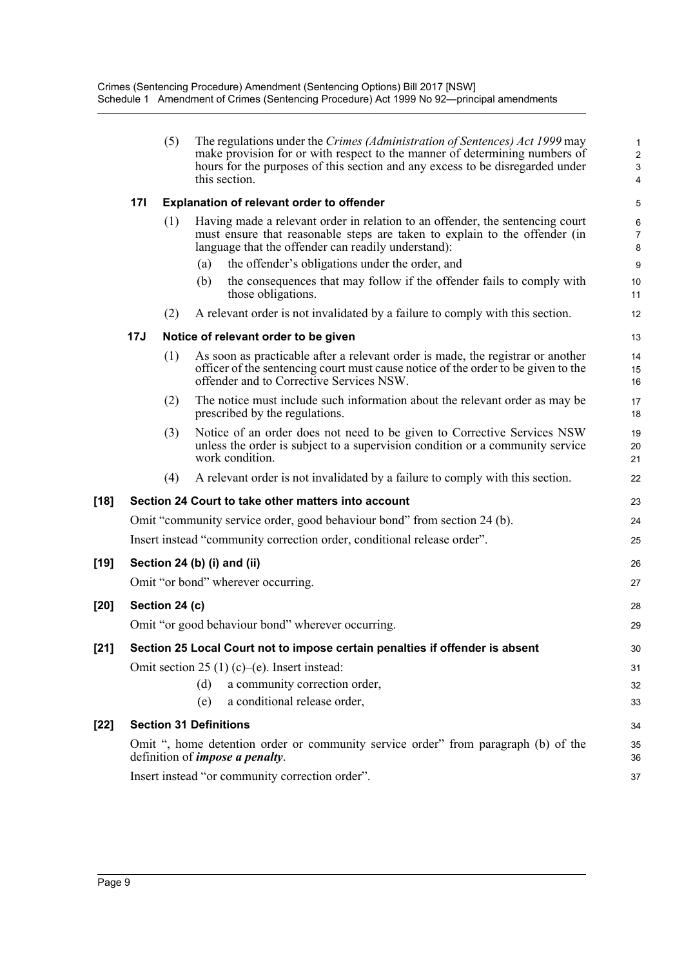|        |            | (5)            |                               | The regulations under the Crimes (Administration of Sentences) Act 1999 may<br>make provision for or with respect to the manner of determining numbers of<br>hours for the purposes of this section and any excess to be disregarded under<br>this section. | $\mathbf{1}$<br>$\overline{\mathbf{c}}$<br>3<br>4 |
|--------|------------|----------------|-------------------------------|-------------------------------------------------------------------------------------------------------------------------------------------------------------------------------------------------------------------------------------------------------------|---------------------------------------------------|
|        | <b>171</b> |                |                               | Explanation of relevant order to offender                                                                                                                                                                                                                   | 5                                                 |
|        |            | (1)            |                               | Having made a relevant order in relation to an offender, the sentencing court<br>must ensure that reasonable steps are taken to explain to the offender (in<br>language that the offender can readily understand):                                          | $\,6$<br>$\overline{7}$<br>8                      |
|        |            |                | (a)                           | the offender's obligations under the order, and                                                                                                                                                                                                             | 9                                                 |
|        |            |                | (b)                           | the consequences that may follow if the offender fails to comply with<br>those obligations.                                                                                                                                                                 | 10<br>11                                          |
|        |            | (2)            |                               | A relevant order is not invalidated by a failure to comply with this section.                                                                                                                                                                               | 12                                                |
|        | <b>17J</b> |                |                               | Notice of relevant order to be given                                                                                                                                                                                                                        | 13                                                |
|        |            | (1)            |                               | As soon as practicable after a relevant order is made, the registrar or another<br>officer of the sentencing court must cause notice of the order to be given to the<br>offender and to Corrective Services NSW.                                            | 14<br>15<br>16                                    |
|        |            | (2)            |                               | The notice must include such information about the relevant order as may be<br>prescribed by the regulations.                                                                                                                                               | 17<br>18                                          |
|        |            | (3)            |                               | Notice of an order does not need to be given to Corrective Services NSW<br>unless the order is subject to a supervision condition or a community service<br>work condition.                                                                                 | 19<br>20<br>21                                    |
|        |            | (4)            |                               | A relevant order is not invalidated by a failure to comply with this section.                                                                                                                                                                               | 22                                                |
| $[18]$ |            |                |                               | Section 24 Court to take other matters into account                                                                                                                                                                                                         | 23                                                |
|        |            |                |                               | Omit "community service order, good behaviour bond" from section 24 (b).                                                                                                                                                                                    | 24                                                |
|        |            |                |                               | Insert instead "community correction order, conditional release order".                                                                                                                                                                                     | 25                                                |
| $[19]$ |            |                |                               | Section 24 (b) (i) and (ii)                                                                                                                                                                                                                                 | 26                                                |
|        |            |                |                               | Omit "or bond" wherever occurring.                                                                                                                                                                                                                          | 27                                                |
| $[20]$ |            | Section 24 (c) |                               |                                                                                                                                                                                                                                                             | 28                                                |
|        |            |                |                               | Omit "or good behaviour bond" wherever occurring.                                                                                                                                                                                                           | 29                                                |
| $[21]$ |            |                |                               | Section 25 Local Court not to impose certain penalties if offender is absent                                                                                                                                                                                | 30                                                |
|        |            |                |                               | Omit section 25 (1) (c)–(e). Insert instead:                                                                                                                                                                                                                | 31                                                |
|        |            |                | (d)                           | a community correction order,                                                                                                                                                                                                                               | 32                                                |
|        |            |                | (e)                           | a conditional release order,                                                                                                                                                                                                                                | 33                                                |
| $[22]$ |            |                | <b>Section 31 Definitions</b> |                                                                                                                                                                                                                                                             | 34                                                |
|        |            |                |                               | Omit ", home detention order or community service order" from paragraph (b) of the<br>definition of <i>impose a penalty</i> .                                                                                                                               | 35<br>36                                          |
|        |            |                |                               | Insert instead "or community correction order".                                                                                                                                                                                                             | 37                                                |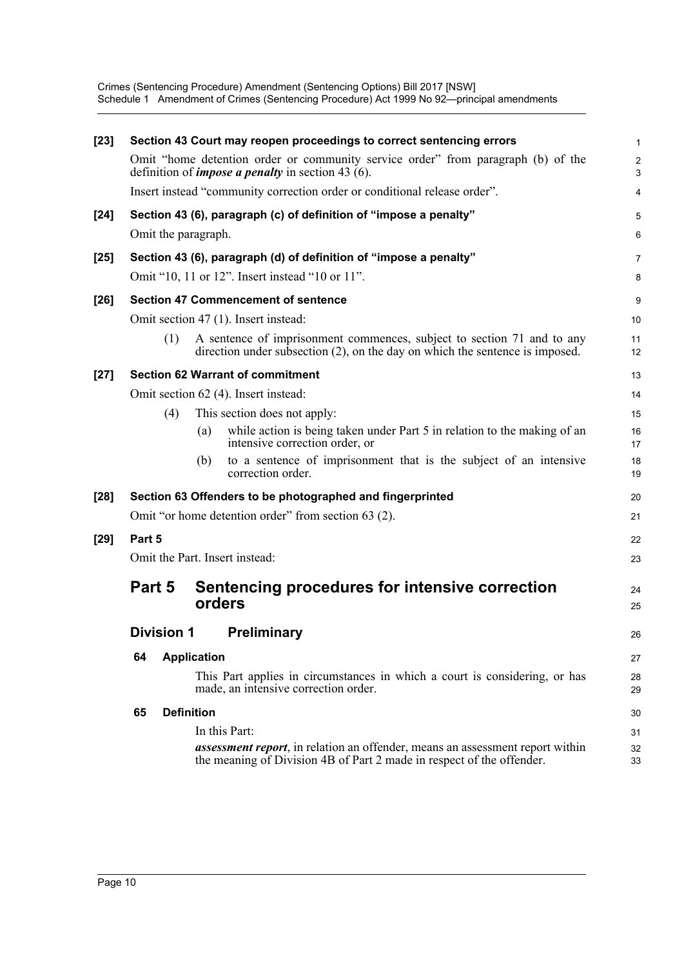Crimes (Sentencing Procedure) Amendment (Sentencing Options) Bill 2017 [NSW] Schedule 1 Amendment of Crimes (Sentencing Procedure) Act 1999 No 92—principal amendments

| $[23]$ |                     | Section 43 Court may reopen proceedings to correct sentencing errors                                                                                           | $\mathbf{1}$        |
|--------|---------------------|----------------------------------------------------------------------------------------------------------------------------------------------------------------|---------------------|
|        |                     | Omit "home detention order or community service order" from paragraph (b) of the<br>definition of <i>impose a penalty</i> in section 43 $(6)$ .                | $\overline{c}$<br>3 |
|        |                     | Insert instead "community correction order or conditional release order".                                                                                      | 4                   |
| $[24]$ |                     | Section 43 (6), paragraph (c) of definition of "impose a penalty"                                                                                              | 5                   |
|        | Omit the paragraph. |                                                                                                                                                                | 6                   |
| $[25]$ |                     | Section 43 (6), paragraph (d) of definition of "impose a penalty"                                                                                              | $\overline{7}$      |
|        |                     | Omit "10, 11 or 12". Insert instead "10 or 11".                                                                                                                | 8                   |
| $[26]$ |                     | <b>Section 47 Commencement of sentence</b>                                                                                                                     | 9                   |
|        |                     | Omit section 47 (1). Insert instead:                                                                                                                           | 10                  |
|        | (1)                 | A sentence of imprisonment commences, subject to section 71 and to any<br>direction under subsection $(2)$ , on the day on which the sentence is imposed.      | 11<br>12            |
| $[27]$ |                     | <b>Section 62 Warrant of commitment</b>                                                                                                                        | 13                  |
|        |                     | Omit section 62 (4). Insert instead:                                                                                                                           | 14                  |
|        | (4)                 | This section does not apply:                                                                                                                                   | 15                  |
|        |                     | while action is being taken under Part 5 in relation to the making of an<br>(a)<br>intensive correction order, or                                              | 16<br>17            |
|        |                     | to a sentence of imprisonment that is the subject of an intensive<br>(b)<br>correction order.                                                                  | 18<br>19            |
| $[28]$ |                     | Section 63 Offenders to be photographed and fingerprinted                                                                                                      | 20                  |
|        |                     | Omit "or home detention order" from section 63 (2).                                                                                                            | 21                  |
| $[29]$ | Part 5              |                                                                                                                                                                | 22                  |
|        |                     | Omit the Part. Insert instead:                                                                                                                                 | 23                  |
|        | Part 5              | Sentencing procedures for intensive correction                                                                                                                 | 24                  |
|        |                     | orders                                                                                                                                                         | 25                  |
|        | <b>Division 1</b>   | <b>Preliminary</b>                                                                                                                                             | 26                  |
|        | 64                  | <b>Application</b>                                                                                                                                             | 27                  |
|        |                     | This Part applies in circumstances in which a court is considering, or has<br>made, an intensive correction order.                                             | 28<br>29            |
|        | 65                  | <b>Definition</b>                                                                                                                                              | 30                  |
|        |                     | In this Part:                                                                                                                                                  | 31                  |
|        |                     | <b>assessment report</b> , in relation an offender, means an assessment report within<br>the meaning of Division 4B of Part 2 made in respect of the offender. | 32<br>33            |
|        |                     |                                                                                                                                                                |                     |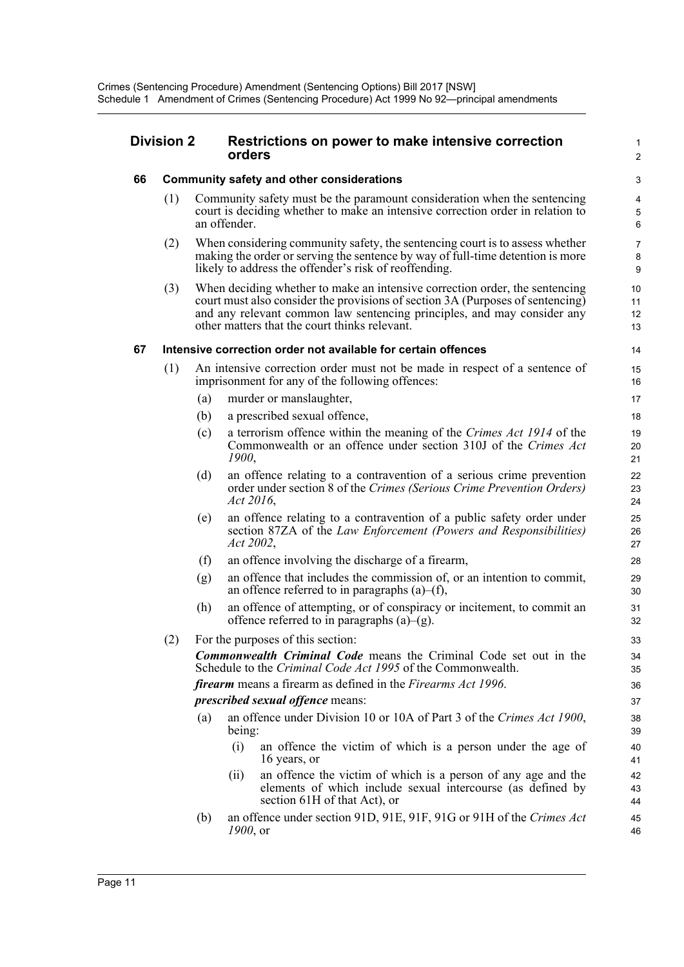|    | <b>Division 2</b> |     | Restrictions on power to make intensive correction<br>orders                                                                                                                                                                                                                              | 1<br>$\overline{2}$         |
|----|-------------------|-----|-------------------------------------------------------------------------------------------------------------------------------------------------------------------------------------------------------------------------------------------------------------------------------------------|-----------------------------|
| 66 |                   |     | <b>Community safety and other considerations</b>                                                                                                                                                                                                                                          | $\ensuremath{\mathsf{3}}$   |
|    | (1)               |     | Community safety must be the paramount consideration when the sentencing<br>court is deciding whether to make an intensive correction order in relation to<br>an offender.                                                                                                                | 4<br>$\mathbf 5$<br>$\,6\,$ |
|    | (2)               |     | When considering community safety, the sentencing court is to assess whether<br>making the order or serving the sentence by way of full-time detention is more<br>likely to address the offender's risk of reoffending.                                                                   | $\overline{7}$<br>8<br>9    |
|    | (3)               |     | When deciding whether to make an intensive correction order, the sentencing<br>court must also consider the provisions of section 3A (Purposes of sentencing)<br>and any relevant common law sentencing principles, and may consider any<br>other matters that the court thinks relevant. | 10<br>11<br>12<br>13        |
| 67 |                   |     | Intensive correction order not available for certain offences                                                                                                                                                                                                                             | 14                          |
|    | (1)               |     | An intensive correction order must not be made in respect of a sentence of<br>imprisonment for any of the following offences:                                                                                                                                                             | 15<br>16                    |
|    |                   | (a) | murder or manslaughter,                                                                                                                                                                                                                                                                   | 17                          |
|    |                   | (b) | a prescribed sexual offence,                                                                                                                                                                                                                                                              | 18                          |
|    |                   | (c) | a terrorism offence within the meaning of the Crimes Act 1914 of the<br>Commonwealth or an offence under section 310J of the Crimes Act<br>1900,                                                                                                                                          | 19<br>20<br>21              |
|    |                   | (d) | an offence relating to a contravention of a serious crime prevention<br>order under section 8 of the Crimes (Serious Crime Prevention Orders)<br>Act 2016,                                                                                                                                | 22<br>23<br>24              |
|    |                   | (e) | an offence relating to a contravention of a public safety order under<br>section 87ZA of the Law Enforcement (Powers and Responsibilities)<br>Act 2002,                                                                                                                                   | 25<br>26<br>27              |
|    |                   | (f) | an offence involving the discharge of a firearm,                                                                                                                                                                                                                                          | 28                          |
|    |                   | (g) | an offence that includes the commission of, or an intention to commit,<br>an offence referred to in paragraphs $(a)$ – $(f)$ ,                                                                                                                                                            | 29<br>30                    |
|    |                   | (h) | an offence of attempting, or of conspiracy or incitement, to commit an<br>offence referred to in paragraphs $(a)$ – $(g)$ .                                                                                                                                                               | 31<br>32                    |
|    | (2)               |     | For the purposes of this section:<br><b>Commonwealth Criminal Code</b> means the Criminal Code set out in the<br>Schedule to the Criminal Code Act 1995 of the Commonwealth.                                                                                                              | 33<br>34<br>35              |
|    |                   |     | firearm means a firearm as defined in the Firearms Act 1996.                                                                                                                                                                                                                              | 36                          |
|    |                   |     | <i>prescribed sexual offence means:</i>                                                                                                                                                                                                                                                   | 37                          |
|    |                   | (a) | an offence under Division 10 or 10A of Part 3 of the Crimes Act 1900,<br>being:                                                                                                                                                                                                           | 38<br>39                    |
|    |                   |     | (i)<br>an offence the victim of which is a person under the age of<br>16 years, or                                                                                                                                                                                                        | 40<br>41                    |
|    |                   |     | an offence the victim of which is a person of any age and the<br>(11)<br>elements of which include sexual intercourse (as defined by<br>section 61H of that Act), or                                                                                                                      | 42<br>43<br>44              |
|    |                   | (b) | an offence under section 91D, 91E, 91F, 91G or 91H of the Crimes Act<br>1900, or                                                                                                                                                                                                          | 45<br>46                    |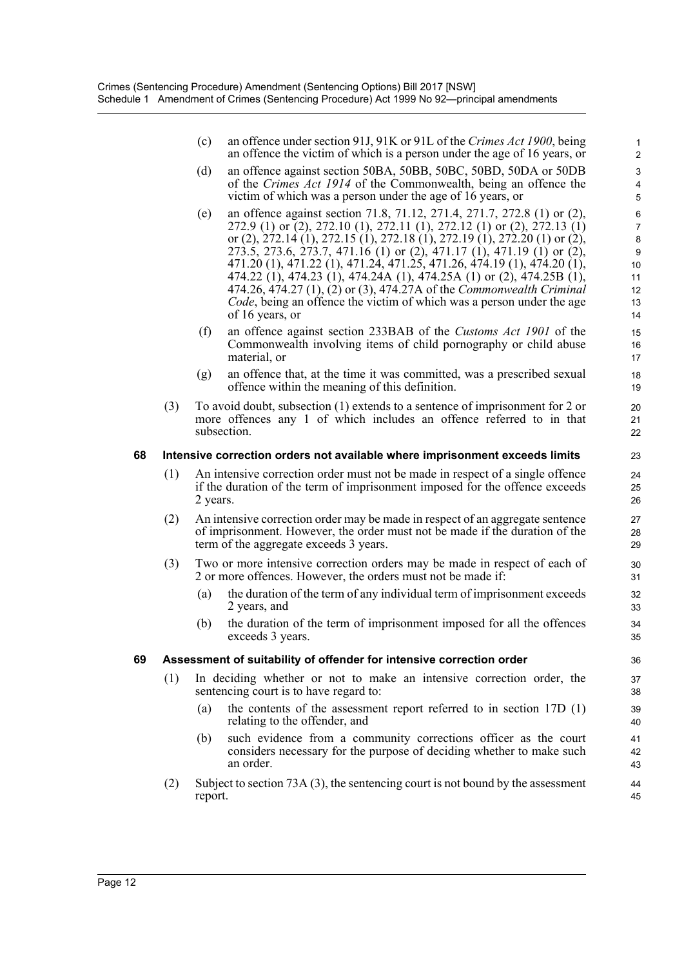(c) an offence under section 91J, 91K or 91L of the *Crimes Act 1900*, being an offence the victim of which is a person under the age of 16 years, or

- (d) an offence against section 50BA, 50BB, 50BC, 50BD, 50DA or 50DB of the *Crimes Act 1914* of the Commonwealth, being an offence the victim of which was a person under the age of 16 years, or
- (e) an offence against section 71.8, 71.12, 271.4, 271.7, 272.8 (1) or (2), 272.9 (1) or (2), 272.10 (1), 272.11 (1), 272.12 (1) or (2), 272.13 (1) or (2), 272.14 (1), 272.15 (1), 272.18 (1), 272.19 (1), 272.20 (1) or (2), 273.5, 273.6, 273.7, 471.16 (1) or (2), 471.17 (1), 471.19 (1) or (2), 471.20 (1), 471.22 (1), 471.24, 471.25, 471.26, 474.19 (1), 474.20 (1), 474.22 (1), 474.23 (1), 474.24A (1), 474.25A (1) or (2), 474.25B (1), 474.26, 474.27 (1), (2) or (3), 474.27A of the *Commonwealth Criminal Code*, being an offence the victim of which was a person under the age of 16 years, or
- (f) an offence against section 233BAB of the *Customs Act 1901* of the Commonwealth involving items of child pornography or child abuse material, or
- (g) an offence that, at the time it was committed, was a prescribed sexual offence within the meaning of this definition.
- (3) To avoid doubt, subsection (1) extends to a sentence of imprisonment for 2 or more offences any 1 of which includes an offence referred to in that subsection.

#### **68 Intensive correction orders not available where imprisonment exceeds limits**

- (1) An intensive correction order must not be made in respect of a single offence if the duration of the term of imprisonment imposed for the offence exceeds 2 years.
- (2) An intensive correction order may be made in respect of an aggregate sentence of imprisonment. However, the order must not be made if the duration of the term of the aggregate exceeds 3 years.
- (3) Two or more intensive correction orders may be made in respect of each of 2 or more offences. However, the orders must not be made if:
	- (a) the duration of the term of any individual term of imprisonment exceeds 2 years, and
	- (b) the duration of the term of imprisonment imposed for all the offences exceeds 3 years.

#### **69 Assessment of suitability of offender for intensive correction order**

- (1) In deciding whether or not to make an intensive correction order, the sentencing court is to have regard to:
	- (a) the contents of the assessment report referred to in section 17D (1) relating to the offender, and
	- (b) such evidence from a community corrections officer as the court considers necessary for the purpose of deciding whether to make such an order.
- (2) Subject to section 73A (3), the sentencing court is not bound by the assessment report.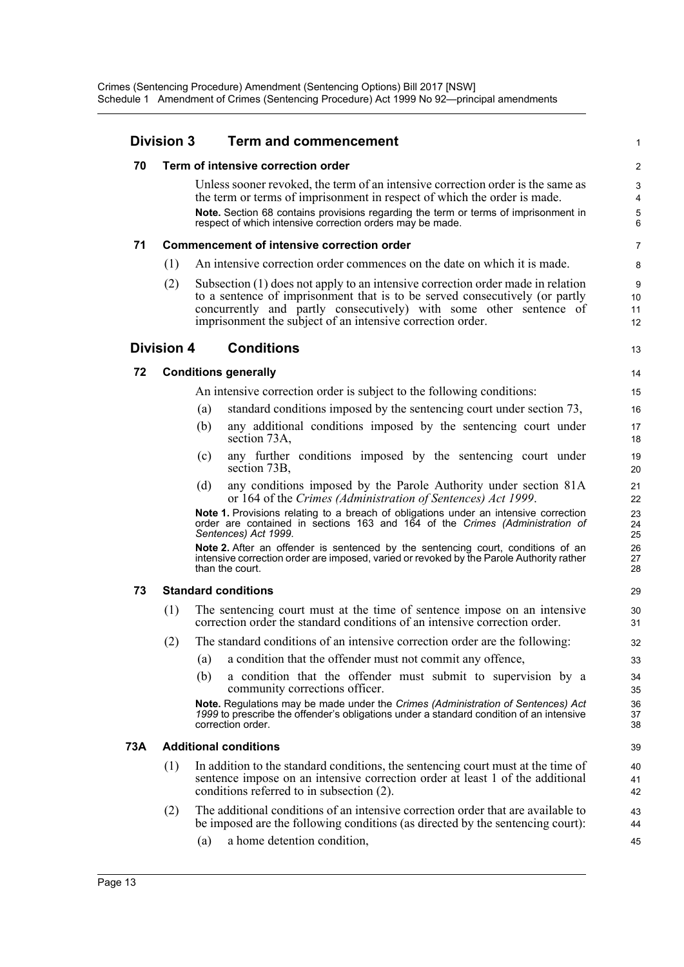|     | <b>Division 3</b> |     | <b>Term and commencement</b>                                                                                                                                                                                                                                                                                    | 1                             |
|-----|-------------------|-----|-----------------------------------------------------------------------------------------------------------------------------------------------------------------------------------------------------------------------------------------------------------------------------------------------------------------|-------------------------------|
| 70  |                   |     | Term of intensive correction order                                                                                                                                                                                                                                                                              | $\overline{2}$                |
|     |                   |     | Unless sooner revoked, the term of an intensive correction order is the same as<br>the term or terms of imprisonment in respect of which the order is made.<br>Note. Section 68 contains provisions regarding the term or terms of imprisonment in<br>respect of which intensive correction orders may be made. | 3<br>4<br>$\overline{5}$<br>6 |
| 71  |                   |     | <b>Commencement of intensive correction order</b>                                                                                                                                                                                                                                                               | $\overline{7}$                |
|     | (1)               |     | An intensive correction order commences on the date on which it is made.                                                                                                                                                                                                                                        | 8                             |
|     | (2)               |     | Subsection (1) does not apply to an intensive correction order made in relation<br>to a sentence of imprisonment that is to be served consecutively (or partly<br>concurrently and partly consecutively) with some other sentence of<br>imprisonment the subject of an intensive correction order.              | 9<br>10<br>11<br>12           |
|     | <b>Division 4</b> |     | <b>Conditions</b>                                                                                                                                                                                                                                                                                               | 13                            |
| 72  |                   |     | <b>Conditions generally</b>                                                                                                                                                                                                                                                                                     | 14                            |
|     |                   |     | An intensive correction order is subject to the following conditions:                                                                                                                                                                                                                                           | 15                            |
|     |                   | (a) | standard conditions imposed by the sentencing court under section 73,                                                                                                                                                                                                                                           | 16                            |
|     |                   | (b) | any additional conditions imposed by the sentencing court under<br>section 73A,                                                                                                                                                                                                                                 | 17<br>18                      |
|     |                   | (c) | any further conditions imposed by the sentencing court under<br>section 73B,                                                                                                                                                                                                                                    | 19<br>20                      |
|     |                   | (d) | any conditions imposed by the Parole Authority under section 81A<br>or 164 of the Crimes (Administration of Sentences) Act 1999.                                                                                                                                                                                | 21<br>22                      |
|     |                   |     | Note 1. Provisions relating to a breach of obligations under an intensive correction<br>order are contained in sections 163 and 164 of the Crimes (Administration of<br>Sentences) Act 1999.                                                                                                                    | 23<br>24<br>25                |
|     |                   |     | Note 2. After an offender is sentenced by the sentencing court, conditions of an<br>intensive correction order are imposed, varied or revoked by the Parole Authority rather<br>than the court.                                                                                                                 | 26<br>27<br>28                |
| 73  |                   |     | <b>Standard conditions</b>                                                                                                                                                                                                                                                                                      | 29                            |
|     | (1)               |     | The sentencing court must at the time of sentence impose on an intensive<br>correction order the standard conditions of an intensive correction order.                                                                                                                                                          | 30<br>31                      |
|     | (2)               |     | The standard conditions of an intensive correction order are the following:                                                                                                                                                                                                                                     | 32                            |
|     |                   | (a) | a condition that the offender must not commit any offence,                                                                                                                                                                                                                                                      | 33                            |
|     |                   | (b) | a condition that the offender must submit to supervision by a<br>community corrections officer.                                                                                                                                                                                                                 | 34<br>35                      |
|     |                   |     | Note. Regulations may be made under the Crimes (Administration of Sentences) Act<br>1999 to prescribe the offender's obligations under a standard condition of an intensive<br>correction order.                                                                                                                | 36<br>37<br>38                |
| 73A |                   |     | <b>Additional conditions</b>                                                                                                                                                                                                                                                                                    | 39                            |
|     | (1)               |     | In addition to the standard conditions, the sentencing court must at the time of<br>sentence impose on an intensive correction order at least 1 of the additional<br>conditions referred to in subsection (2).                                                                                                  | 40<br>41<br>42                |
|     | (2)               |     | The additional conditions of an intensive correction order that are available to<br>be imposed are the following conditions (as directed by the sentencing court):                                                                                                                                              | 43<br>44                      |
|     |                   | (a) | a home detention condition,                                                                                                                                                                                                                                                                                     | 45                            |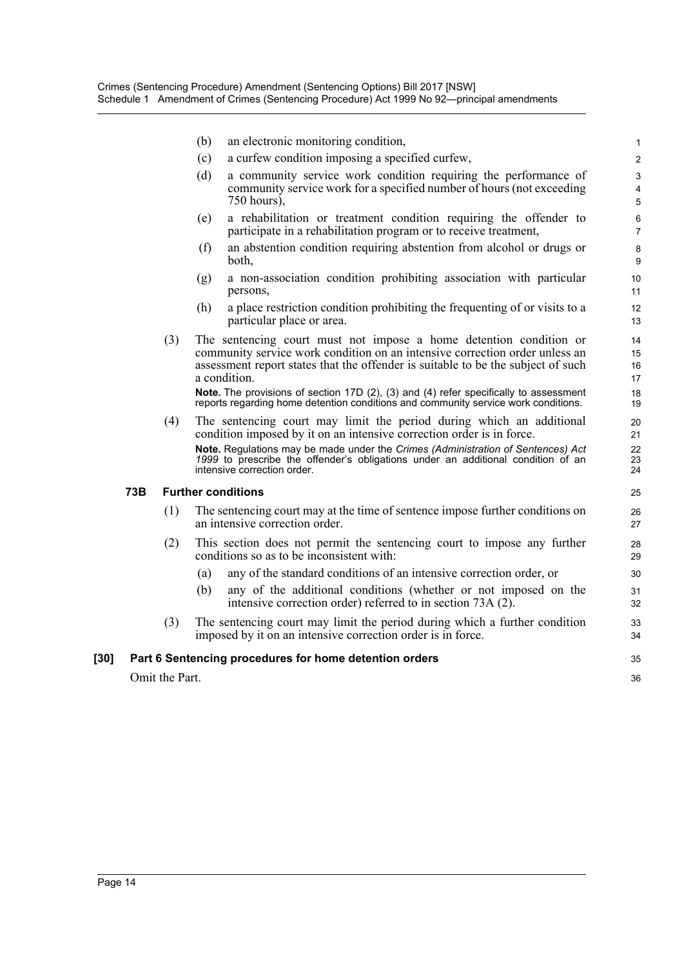|      |                | an electronic monitoring condition,<br>(b)                                                                                                                                                                                                            |                          |
|------|----------------|-------------------------------------------------------------------------------------------------------------------------------------------------------------------------------------------------------------------------------------------------------|--------------------------|
|      |                | a curfew condition imposing a specified curfew,<br>(c)                                                                                                                                                                                                | $\mathbf{1}$<br>2        |
|      |                | a community service work condition requiring the performance of<br>(d)<br>community service work for a specified number of hours (not exceeding<br>750 hours),                                                                                        | 3<br>$\overline{4}$<br>5 |
|      |                | a rehabilitation or treatment condition requiring the offender to<br>(e)<br>participate in a rehabilitation program or to receive treatment,                                                                                                          | 6<br>$\overline{7}$      |
|      |                | an abstention condition requiring abstention from alcohol or drugs or<br>(f)<br>both,                                                                                                                                                                 | 8<br>9                   |
|      |                | a non-association condition prohibiting association with particular<br>(g)<br>persons,                                                                                                                                                                | 10<br>11                 |
|      |                | a place restriction condition prohibiting the frequenting of or visits to a<br>(h)<br>particular place or area.                                                                                                                                       | 12<br>13                 |
|      | (3)            | The sentencing court must not impose a home detention condition or<br>community service work condition on an intensive correction order unless an<br>assessment report states that the offender is suitable to be the subject of such<br>a condition. | 14<br>15<br>16<br>17     |
|      |                | Note. The provisions of section 17D (2), (3) and (4) refer specifically to assessment<br>reports regarding home detention conditions and community service work conditions.                                                                           | 18<br>19                 |
|      | (4)            | The sentencing court may limit the period during which an additional<br>condition imposed by it on an intensive correction order is in force.<br>Note. Regulations may be made under the Crimes (Administration of Sentences) Act                     | 20<br>21<br>22           |
|      |                | 1999 to prescribe the offender's obligations under an additional condition of an<br>intensive correction order.                                                                                                                                       | 23<br>24                 |
| 73B  |                | <b>Further conditions</b>                                                                                                                                                                                                                             | 25                       |
|      | (1)            | The sentencing court may at the time of sentence impose further conditions on<br>an intensive correction order.                                                                                                                                       | 26<br>27                 |
|      | (2)            | This section does not permit the sentencing court to impose any further<br>conditions so as to be inconsistent with:                                                                                                                                  | 28<br>29                 |
|      |                | any of the standard conditions of an intensive correction order, or<br>(a)                                                                                                                                                                            | 30                       |
|      |                | any of the additional conditions (whether or not imposed on the<br>(b)<br>intensive correction order) referred to in section 73A (2).                                                                                                                 | 31<br>32                 |
|      | (3)            | The sentencing court may limit the period during which a further condition<br>imposed by it on an intensive correction order is in force.                                                                                                             | 33<br>34                 |
| [30] |                | Part 6 Sentencing procedures for home detention orders                                                                                                                                                                                                | 35                       |
|      | Omit the Part. |                                                                                                                                                                                                                                                       | 36                       |
|      |                |                                                                                                                                                                                                                                                       |                          |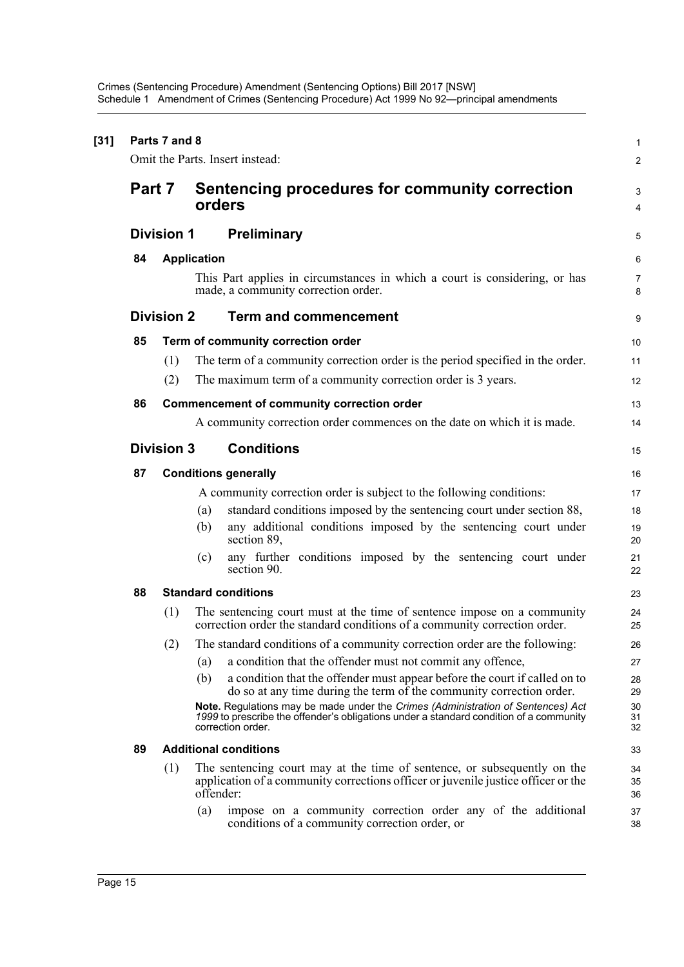Crimes (Sentencing Procedure) Amendment (Sentencing Options) Bill 2017 [NSW] Schedule 1 Amendment of Crimes (Sentencing Procedure) Act 1999 No 92—principal amendments

|                   | Parts 7 and 8     | Omit the Parts. Insert instead:                                                                                                                                                                 |  |
|-------------------|-------------------|-------------------------------------------------------------------------------------------------------------------------------------------------------------------------------------------------|--|
| Part 7            |                   | Sentencing procedures for community correction<br>orders                                                                                                                                        |  |
| <b>Division 1</b> |                   | <b>Preliminary</b>                                                                                                                                                                              |  |
| 84                |                   | <b>Application</b>                                                                                                                                                                              |  |
|                   |                   | This Part applies in circumstances in which a court is considering, or has<br>made, a community correction order.                                                                               |  |
|                   | <b>Division 2</b> | <b>Term and commencement</b>                                                                                                                                                                    |  |
| 85                |                   | Term of community correction order                                                                                                                                                              |  |
|                   | (1)<br>(2)        | The term of a community correction order is the period specified in the order.<br>The maximum term of a community correction order is 3 years.                                                  |  |
|                   |                   |                                                                                                                                                                                                 |  |
| 86                |                   | <b>Commencement of community correction order</b>                                                                                                                                               |  |
|                   |                   | A community correction order commences on the date on which it is made.                                                                                                                         |  |
|                   | <b>Division 3</b> | <b>Conditions</b>                                                                                                                                                                               |  |
| 87                |                   | <b>Conditions generally</b>                                                                                                                                                                     |  |
|                   |                   | A community correction order is subject to the following conditions:                                                                                                                            |  |
|                   |                   | standard conditions imposed by the sentencing court under section 88,<br>(a)                                                                                                                    |  |
|                   |                   | any additional conditions imposed by the sentencing court under<br>(b)<br>section 89,                                                                                                           |  |
|                   |                   | any further conditions imposed by the sentencing court under<br>(c)<br>section 90.                                                                                                              |  |
| 88                |                   | <b>Standard conditions</b>                                                                                                                                                                      |  |
|                   | (1)               | The sentencing court must at the time of sentence impose on a community<br>correction order the standard conditions of a community correction order.                                            |  |
|                   | (2)               | The standard conditions of a community correction order are the following:                                                                                                                      |  |
|                   |                   | a condition that the offender must not commit any offence,<br>(a)                                                                                                                               |  |
|                   |                   | (b)<br>a condition that the offender must appear before the court if called on to<br>do so at any time during the term of the community correction order.                                       |  |
|                   |                   | Note. Regulations may be made under the Crimes (Administration of Sentences) Act<br>1999 to prescribe the offender's obligations under a standard condition of a community<br>correction order. |  |
| 89                |                   | <b>Additional conditions</b>                                                                                                                                                                    |  |
|                   | (1)               | The sentencing court may at the time of sentence, or subsequently on the<br>application of a community corrections officer or juvenile justice officer or the                                   |  |
|                   |                   | offender:                                                                                                                                                                                       |  |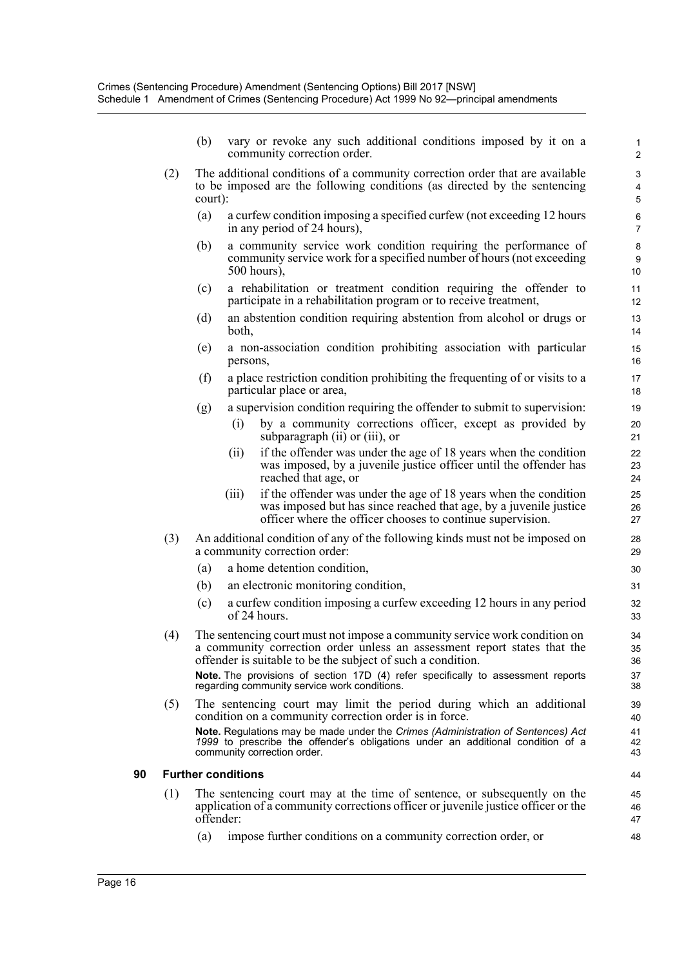- (b) vary or revoke any such additional conditions imposed by it on a community correction order.
- (2) The additional conditions of a community correction order that are available to be imposed are the following conditions (as directed by the sentencing court):
	- (a) a curfew condition imposing a specified curfew (not exceeding 12 hours in any period of 24 hours),
	- (b) a community service work condition requiring the performance of community service work for a specified number of hours (not exceeding 500 hours),
	- (c) a rehabilitation or treatment condition requiring the offender to participate in a rehabilitation program or to receive treatment,
	- (d) an abstention condition requiring abstention from alcohol or drugs or both,
	- (e) a non-association condition prohibiting association with particular persons,
	- (f) a place restriction condition prohibiting the frequenting of or visits to a particular place or area,
	- (g) a supervision condition requiring the offender to submit to supervision:
		- (i) by a community corrections officer, except as provided by subparagraph (ii) or (iii), or
		- (ii) if the offender was under the age of 18 years when the condition was imposed, by a juvenile justice officer until the offender has reached that age, or
		- (iii) if the offender was under the age of 18 years when the condition was imposed but has since reached that age, by a juvenile justice officer where the officer chooses to continue supervision.
- (3) An additional condition of any of the following kinds must not be imposed on a community correction order:
	- (a) a home detention condition,
	- (b) an electronic monitoring condition,
	- (c) a curfew condition imposing a curfew exceeding 12 hours in any period of 24 hours.
- (4) The sentencing court must not impose a community service work condition on a community correction order unless an assessment report states that the offender is suitable to be the subject of such a condition.

**Note.** The provisions of section 17D (4) refer specifically to assessment reports regarding community service work conditions.

(5) The sentencing court may limit the period during which an additional condition on a community correction order is in force. **Note.** Regulations may be made under the *Crimes (Administration of Sentences) Act 1999* to prescribe the offender's obligations under an additional condition of a community correction order.

#### **90 Further conditions**

- (1) The sentencing court may at the time of sentence, or subsequently on the application of a community corrections officer or juvenile justice officer or the offender:
	- (a) impose further conditions on a community correction order, or

44 45

46 47 48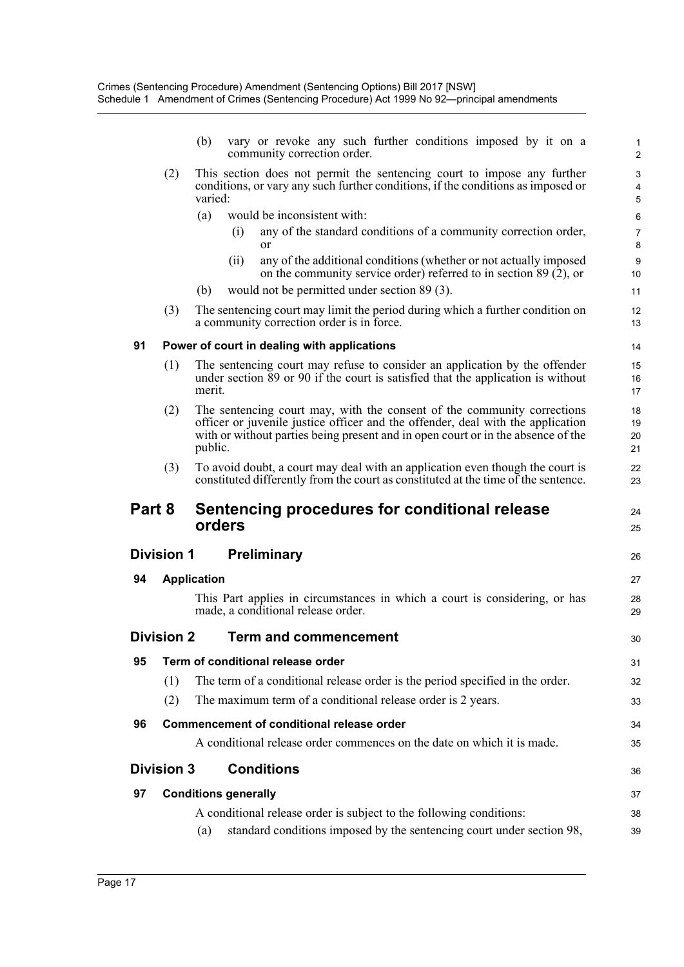|        |                   | (b)                         |      | vary or revoke any such further conditions imposed by it on a<br>community correction order.                                                                                                                                                   | $\mathbf{1}$<br>2               |
|--------|-------------------|-----------------------------|------|------------------------------------------------------------------------------------------------------------------------------------------------------------------------------------------------------------------------------------------------|---------------------------------|
|        | (2)               | varied:                     |      | This section does not permit the sentencing court to impose any further<br>conditions, or vary any such further conditions, if the conditions as imposed or                                                                                    | $\mathsf 3$<br>4<br>$\mathbf 5$ |
|        |                   | (a)                         |      | would be inconsistent with:                                                                                                                                                                                                                    | 6                               |
|        |                   |                             | (i)  | any of the standard conditions of a community correction order,<br>or                                                                                                                                                                          | 7<br>8                          |
|        |                   |                             | (ii) | any of the additional conditions (whether or not actually imposed<br>on the community service order) referred to in section $89(2)$ , or                                                                                                       | 9<br>10                         |
|        |                   | (b)                         |      | would not be permitted under section 89 (3).                                                                                                                                                                                                   | 11                              |
|        | (3)               |                             |      | The sentencing court may limit the period during which a further condition on<br>a community correction order is in force.                                                                                                                     | 12<br>13                        |
| 91     |                   |                             |      | Power of court in dealing with applications                                                                                                                                                                                                    | 14                              |
|        | (1)               | merit.                      |      | The sentencing court may refuse to consider an application by the offender<br>under section 89 or 90 if the court is satisfied that the application is without                                                                                 | 15<br>16<br>17                  |
|        | (2)               | public.                     |      | The sentencing court may, with the consent of the community corrections<br>officer or juvenile justice officer and the offender, deal with the application<br>with or without parties being present and in open court or in the absence of the | 18<br>19<br>20<br>21            |
|        | (3)               |                             |      | To avoid doubt, a court may deal with an application even though the court is<br>constituted differently from the court as constituted at the time of the sentence.                                                                            | 22<br>23                        |
| Part 8 |                   | orders                      |      | Sentencing procedures for conditional release                                                                                                                                                                                                  | 24<br>25                        |
|        | <b>Division 1</b> |                             |      | <b>Preliminary</b>                                                                                                                                                                                                                             | 26                              |
| 94     |                   | <b>Application</b>          |      |                                                                                                                                                                                                                                                | 27                              |
|        |                   |                             |      | This Part applies in circumstances in which a court is considering, or has<br>made, a conditional release order.                                                                                                                               | 28<br>29                        |
|        | <b>Division 2</b> |                             |      | <b>Term and commencement</b>                                                                                                                                                                                                                   | 30                              |
| 95     |                   |                             |      | Term of conditional release order                                                                                                                                                                                                              | 31                              |
|        | (1)               |                             |      | The term of a conditional release order is the period specified in the order.                                                                                                                                                                  | 32                              |
|        | (2)               |                             |      | The maximum term of a conditional release order is 2 years.                                                                                                                                                                                    | 33                              |
| 96     |                   |                             |      | <b>Commencement of conditional release order</b>                                                                                                                                                                                               | 34                              |
|        |                   |                             |      | A conditional release order commences on the date on which it is made.                                                                                                                                                                         | 35                              |
|        | <b>Division 3</b> |                             |      | <b>Conditions</b>                                                                                                                                                                                                                              | 36                              |
| 97     |                   | <b>Conditions generally</b> |      |                                                                                                                                                                                                                                                | 37                              |
|        |                   |                             |      | A conditional release order is subject to the following conditions:                                                                                                                                                                            | 38                              |
|        |                   | (a)                         |      | standard conditions imposed by the sentencing court under section 98,                                                                                                                                                                          | 39                              |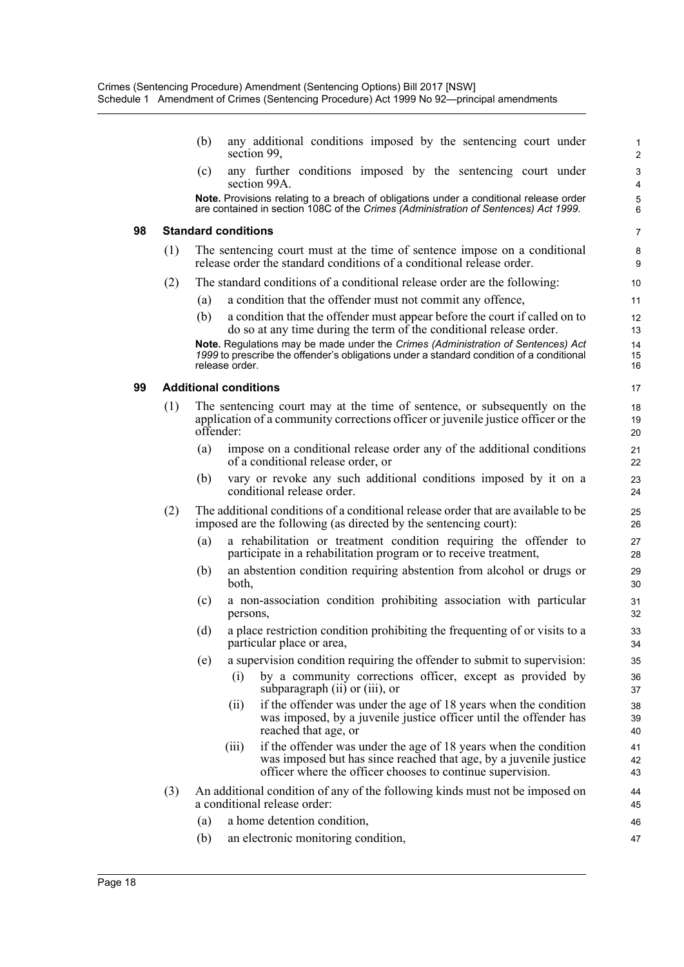(b) any additional conditions imposed by the sentencing court under section 99,

(c) any further conditions imposed by the sentencing court under section 99A.

**Note.** Provisions relating to a breach of obligations under a conditional release order are contained in section 108C of the *Crimes (Administration of Sentences) Act 1999*.

#### **98 Standard conditions**

- (1) The sentencing court must at the time of sentence impose on a conditional release order the standard conditions of a conditional release order.
- (2) The standard conditions of a conditional release order are the following:
	- (a) a condition that the offender must not commit any offence,
	- (b) a condition that the offender must appear before the court if called on to do so at any time during the term of the conditional release order.

**Note.** Regulations may be made under the *Crimes (Administration of Sentences) Act 1999* to prescribe the offender's obligations under a standard condition of a conditional release order.

#### **99 Additional conditions**

- (1) The sentencing court may at the time of sentence, or subsequently on the application of a community corrections officer or juvenile justice officer or the offender:
	- (a) impose on a conditional release order any of the additional conditions of a conditional release order, or
	- (b) vary or revoke any such additional conditions imposed by it on a conditional release order.
- (2) The additional conditions of a conditional release order that are available to be imposed are the following (as directed by the sentencing court):
	- (a) a rehabilitation or treatment condition requiring the offender to participate in a rehabilitation program or to receive treatment,
	- (b) an abstention condition requiring abstention from alcohol or drugs or both,
	- (c) a non-association condition prohibiting association with particular persons,
	- (d) a place restriction condition prohibiting the frequenting of or visits to a particular place or area,
	- (e) a supervision condition requiring the offender to submit to supervision:
		- (i) by a community corrections officer, except as provided by subparagraph (ii) or (iii), or
		- (ii) if the offender was under the age of 18 years when the condition was imposed, by a juvenile justice officer until the offender has reached that age, or
		- (iii) if the offender was under the age of 18 years when the condition was imposed but has since reached that age, by a juvenile justice officer where the officer chooses to continue supervision.
- (3) An additional condition of any of the following kinds must not be imposed on a conditional release order:
	- (a) a home detention condition,
	- (b) an electronic monitoring condition, 47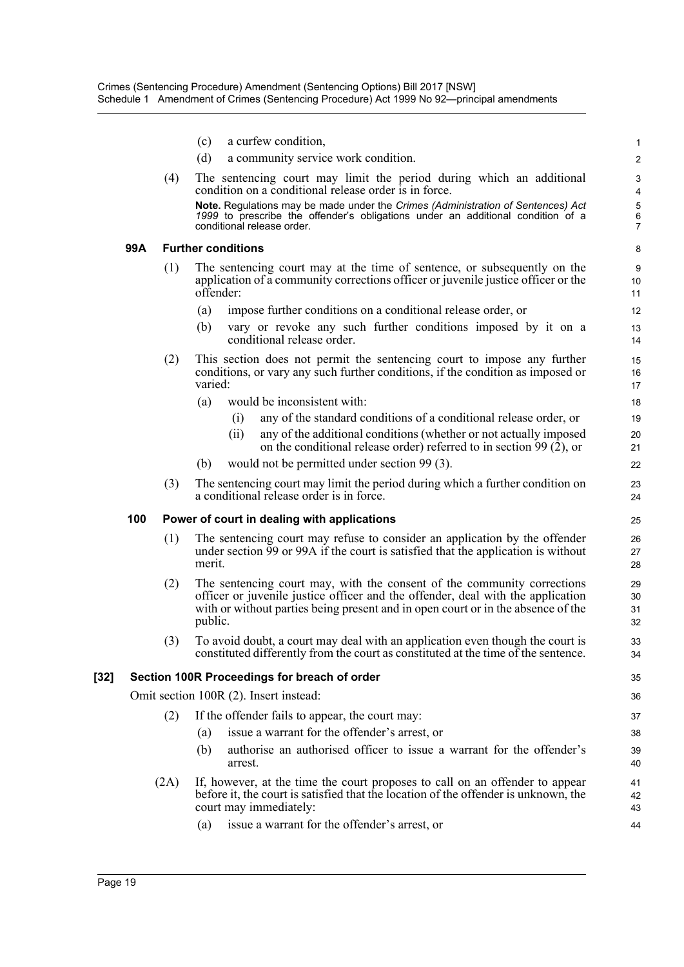|      |     |      | a curfew condition,<br>(c)                                                                                                                                                                                                                                | $\mathbf{1}$                  |
|------|-----|------|-----------------------------------------------------------------------------------------------------------------------------------------------------------------------------------------------------------------------------------------------------------|-------------------------------|
|      |     |      | (d)<br>a community service work condition.                                                                                                                                                                                                                | 2                             |
|      |     | (4)  | The sentencing court may limit the period during which an additional<br>condition on a conditional release order is in force.                                                                                                                             | 3<br>$\overline{\mathcal{A}}$ |
|      |     |      | Note. Regulations may be made under the Crimes (Administration of Sentences) Act<br>1999 to prescribe the offender's obligations under an additional condition of a<br>conditional release order.                                                         | 5<br>$\overline{6}$<br>7      |
|      | 99A |      | <b>Further conditions</b>                                                                                                                                                                                                                                 | 8                             |
|      |     | (1)  | The sentencing court may at the time of sentence, or subsequently on the<br>application of a community corrections officer or juvenile justice officer or the<br>offender:                                                                                | 9<br>10<br>11                 |
|      |     |      | impose further conditions on a conditional release order, or<br>(a)                                                                                                                                                                                       | 12                            |
|      |     |      | vary or revoke any such further conditions imposed by it on a<br>(b)<br>conditional release order.                                                                                                                                                        | 13<br>14                      |
|      |     | (2)  | This section does not permit the sentencing court to impose any further<br>conditions, or vary any such further conditions, if the condition as imposed or<br>varied:                                                                                     | 15<br>16<br>17                |
|      |     |      | would be inconsistent with:<br>(a)                                                                                                                                                                                                                        | 18                            |
|      |     |      | any of the standard conditions of a conditional release order, or<br>(i)                                                                                                                                                                                  | 19                            |
|      |     |      | any of the additional conditions (whether or not actually imposed<br>(ii)<br>on the conditional release order) referred to in section 99 $(2)$ , or                                                                                                       | 20<br>21                      |
|      |     |      | would not be permitted under section 99 (3).<br>(b)                                                                                                                                                                                                       | 22                            |
|      |     | (3)  | The sentencing court may limit the period during which a further condition on<br>a conditional release order is in force.                                                                                                                                 | 23<br>24                      |
|      | 100 |      | Power of court in dealing with applications                                                                                                                                                                                                               | 25                            |
|      |     | (1)  | The sentencing court may refuse to consider an application by the offender<br>under section 99 or 99A if the court is satisfied that the application is without<br>merit.                                                                                 | 26<br>27<br>28                |
|      |     | (2)  | The sentencing court may, with the consent of the community corrections<br>officer or juvenile justice officer and the offender, deal with the application<br>with or without parties being present and in open court or in the absence of the<br>public. | 29<br>30<br>31<br>32          |
|      |     | (3)  | To avoid doubt, a court may deal with an application even though the court is<br>constituted differently from the court as constituted at the time of the sentence.                                                                                       | 33<br>34                      |
| [32] |     |      | Section 100R Proceedings for breach of order                                                                                                                                                                                                              | 35                            |
|      |     |      | Omit section 100R (2). Insert instead:                                                                                                                                                                                                                    | 36                            |
|      |     | (2)  | If the offender fails to appear, the court may:                                                                                                                                                                                                           | 37                            |
|      |     |      | issue a warrant for the offender's arrest, or<br>(a)                                                                                                                                                                                                      | 38                            |
|      |     |      | authorise an authorised officer to issue a warrant for the offender's<br>(b)<br>arrest.                                                                                                                                                                   | 39<br>40                      |
|      |     | (2A) | If, however, at the time the court proposes to call on an offender to appear<br>before it, the court is satisfied that the location of the offender is unknown, the<br>court may immediately:                                                             | 41<br>42<br>43                |
|      |     |      | issue a warrant for the offender's arrest, or<br>(a)                                                                                                                                                                                                      | 44                            |
|      |     |      |                                                                                                                                                                                                                                                           |                               |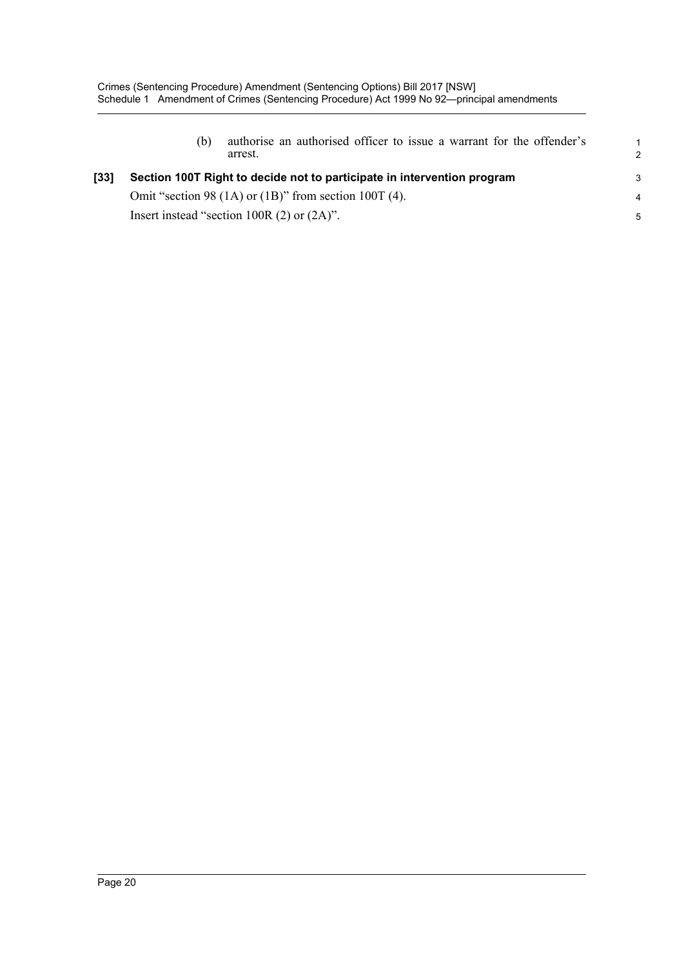|      | (b) | authorise an authorised officer to issue a warrant for the offender's<br>arrest. | 2 |
|------|-----|----------------------------------------------------------------------------------|---|
| [33] |     | Section 100T Right to decide not to participate in intervention program          | 3 |
|      |     | Omit "section 98 $(1A)$ or $(1B)$ " from section 100T $(4)$ .                    | 4 |
|      |     | Insert instead "section 100R $(2)$ or $(2A)$ ".                                  | 5 |
|      |     |                                                                                  |   |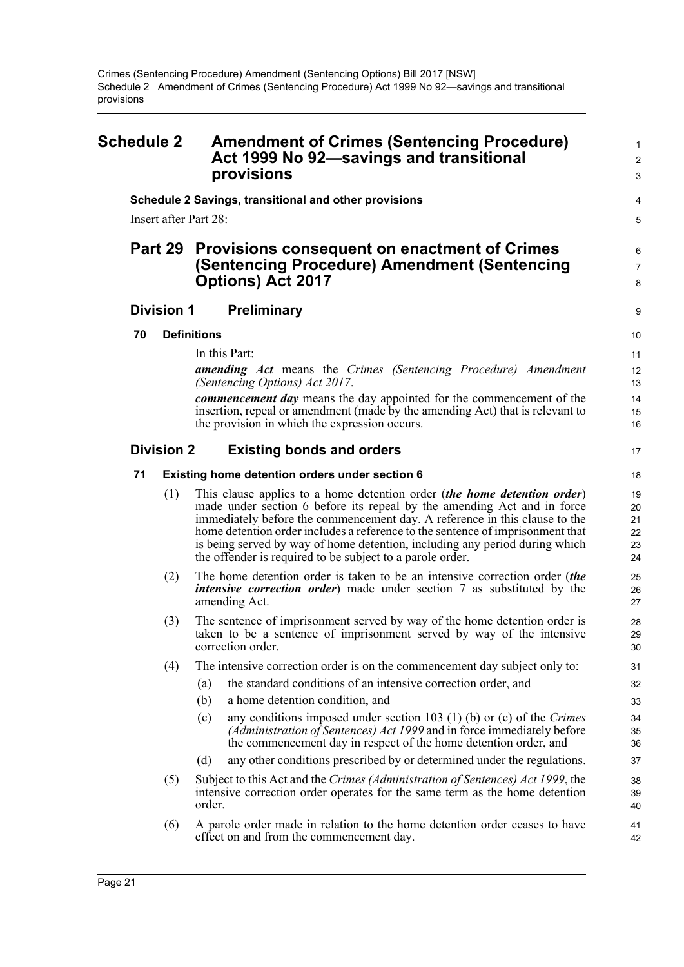#### <span id="page-29-0"></span>**Schedule 2 Amendment of Crimes (Sentencing Procedure)** <sup>1</sup> **Act 1999 No 92—savings and transitional** <sup>2</sup> **provisions** <sup>3</sup> **Schedule 2 Savings, transitional and other provisions** Insert after Part 28: **Part 29 Provisions consequent on enactment of Crimes (Sentencing Procedure) Amendment (Sentencing Options) Act 2017 Division 1 Preliminary 70 Definitions** In this Part: *amending Act* means the *Crimes (Sentencing Procedure) Amendment (Sentencing Options) Act 2017*. *commencement day* means the day appointed for the commencement of the insertion, repeal or amendment (made by the amending Act) that is relevant to the provision in which the expression occurs. **Division 2 Existing bonds and orders 71 Existing home detention orders under section 6** (1) This clause applies to a home detention order (*the home detention order*) made under section 6 before its repeal by the amending Act and in force immediately before the commencement day. A reference in this clause to the home detention order includes a reference to the sentence of imprisonment that is being served by way of home detention, including any period during which the offender is required to be subject to a parole order. (2) The home detention order is taken to be an intensive correction order (*the intensive correction order*) made under section 7 as substituted by the amending Act. (3) The sentence of imprisonment served by way of the home detention order is taken to be a sentence of imprisonment served by way of the intensive correction order. (4) The intensive correction order is on the commencement day subject only to: (a) the standard conditions of an intensive correction order, and (b) a home detention condition, and (c) any conditions imposed under section 103 (1) (b) or (c) of the *Crimes (Administration of Sentences) Act 1999* and in force immediately before the commencement day in respect of the home detention order, and (d) any other conditions prescribed by or determined under the regulations. (5) Subject to this Act and the *Crimes (Administration of Sentences) Act 1999*, the intensive correction order operates for the same term as the home detention order. (6) A parole order made in relation to the home detention order ceases to have effect on and from the commencement day.  $\boldsymbol{\Lambda}$ 5 6 7 8 9 10 11 12 13 14 15 16 17 18 19 20 21  $22$ 23 24 25 26 27 28 29 30 31 32 33 34 35 36 37 38 39 40 41 42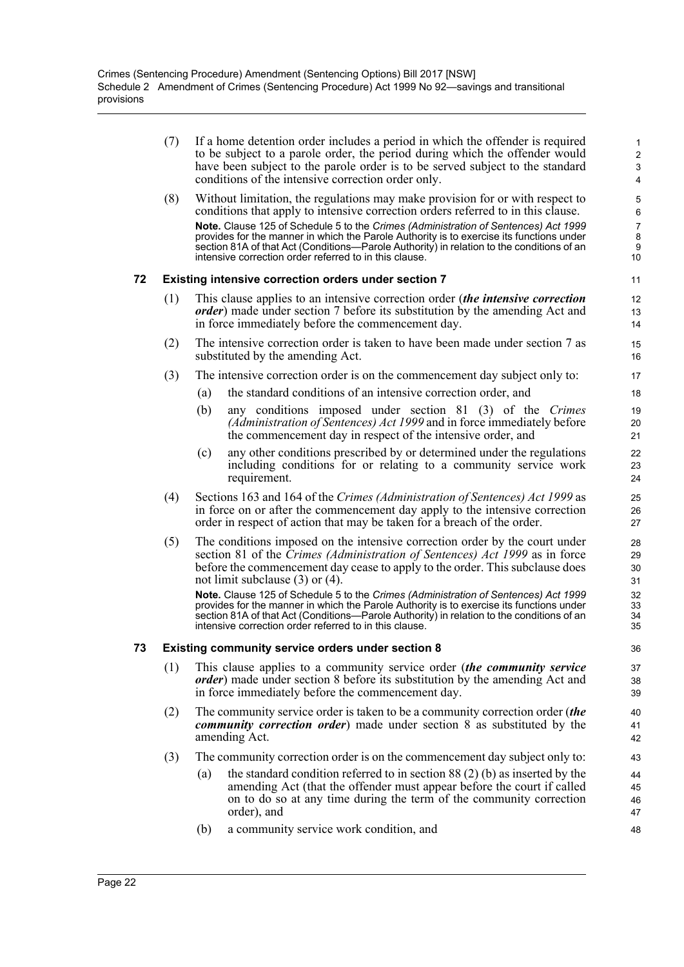(7) If a home detention order includes a period in which the offender is required to be subject to a parole order, the period during which the offender would have been subject to the parole order is to be served subject to the standard conditions of the intensive correction order only.

(8) Without limitation, the regulations may make provision for or with respect to conditions that apply to intensive correction orders referred to in this clause. **Note.** Clause 125 of Schedule 5 to the *Crimes (Administration of Sentences) Act 1999* provides for the manner in which the Parole Authority is to exercise its functions under section 81A of that Act (Conditions—Parole Authority) in relation to the conditions of an intensive correction order referred to in this clause.

#### **72 Existing intensive correction orders under section 7**

- (1) This clause applies to an intensive correction order (*the intensive correction order*) made under section 7 before its substitution by the amending Act and in force immediately before the commencement day.
- (2) The intensive correction order is taken to have been made under section 7 as substituted by the amending Act.
- (3) The intensive correction order is on the commencement day subject only to:
	- (a) the standard conditions of an intensive correction order, and
	- (b) any conditions imposed under section 81 (3) of the *Crimes (Administration of Sentences) Act 1999* and in force immediately before the commencement day in respect of the intensive order, and
	- (c) any other conditions prescribed by or determined under the regulations including conditions for or relating to a community service work requirement.
- (4) Sections 163 and 164 of the *Crimes (Administration of Sentences) Act 1999* as in force on or after the commencement day apply to the intensive correction order in respect of action that may be taken for a breach of the order.
- (5) The conditions imposed on the intensive correction order by the court under section 81 of the *Crimes (Administration of Sentences) Act 1999* as in force before the commencement day cease to apply to the order. This subclause does not limit subclause (3) or (4).

**Note.** Clause 125 of Schedule 5 to the *Crimes (Administration of Sentences) Act 1999* provides for the manner in which the Parole Authority is to exercise its functions under section 81A of that Act (Conditions—Parole Authority) in relation to the conditions of an intensive correction order referred to in this clause.

#### **73 Existing community service orders under section 8**

- (1) This clause applies to a community service order (*the community service order*) made under section 8 before its substitution by the amending Act and in force immediately before the commencement day.
- (2) The community service order is taken to be a community correction order (*the community correction order*) made under section 8 as substituted by the amending Act.
- (3) The community correction order is on the commencement day subject only to:
	- (a) the standard condition referred to in section 88 (2) (b) as inserted by the amending Act (that the offender must appear before the court if called on to do so at any time during the term of the community correction order), and
	- (b) a community service work condition, and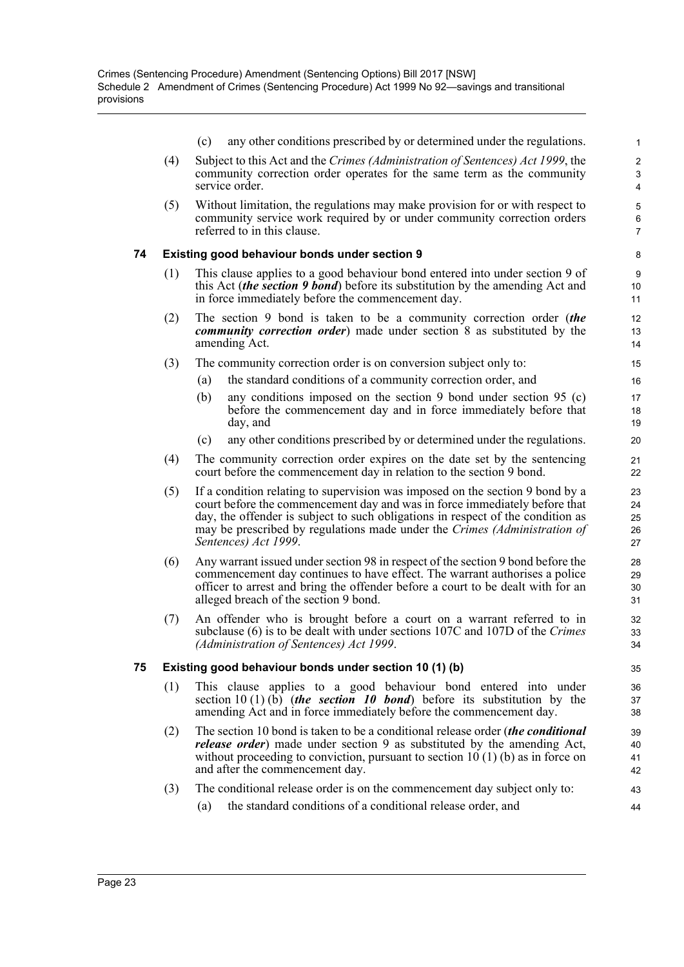(c) any other conditions prescribed by or determined under the regulations.

- (4) Subject to this Act and the *Crimes (Administration of Sentences) Act 1999*, the community correction order operates for the same term as the community service order.
- (5) Without limitation, the regulations may make provision for or with respect to community service work required by or under community correction orders referred to in this clause.

#### **74 Existing good behaviour bonds under section 9**

- (1) This clause applies to a good behaviour bond entered into under section 9 of this Act (*the section 9 bond*) before its substitution by the amending Act and in force immediately before the commencement day.
- (2) The section 9 bond is taken to be a community correction order (*the community correction order*) made under section 8 as substituted by the amending Act.
- (3) The community correction order is on conversion subject only to:
	- (a) the standard conditions of a community correction order, and
	- (b) any conditions imposed on the section 9 bond under section 95 (c) before the commencement day and in force immediately before that day, and
	- (c) any other conditions prescribed by or determined under the regulations.
- (4) The community correction order expires on the date set by the sentencing court before the commencement day in relation to the section 9 bond.
- (5) If a condition relating to supervision was imposed on the section 9 bond by a court before the commencement day and was in force immediately before that day, the offender is subject to such obligations in respect of the condition as may be prescribed by regulations made under the *Crimes (Administration of Sentences) Act 1999*.
- (6) Any warrant issued under section 98 in respect of the section 9 bond before the commencement day continues to have effect. The warrant authorises a police officer to arrest and bring the offender before a court to be dealt with for an alleged breach of the section 9 bond.
- (7) An offender who is brought before a court on a warrant referred to in subclause (6) is to be dealt with under sections 107C and 107D of the *Crimes (Administration of Sentences) Act 1999*.

#### **75 Existing good behaviour bonds under section 10 (1) (b)**

- (1) This clause applies to a good behaviour bond entered into under section 10 (1) (b) (*the section 10 bond*) before its substitution by the amending Act and in force immediately before the commencement day.
- (2) The section 10 bond is taken to be a conditional release order (*the conditional release order*) made under section 9 as substituted by the amending Act, without proceeding to conviction, pursuant to section  $10(1)$  (b) as in force on and after the commencement day.
- (3) The conditional release order is on the commencement day subject only to:
	- (a) the standard conditions of a conditional release order, and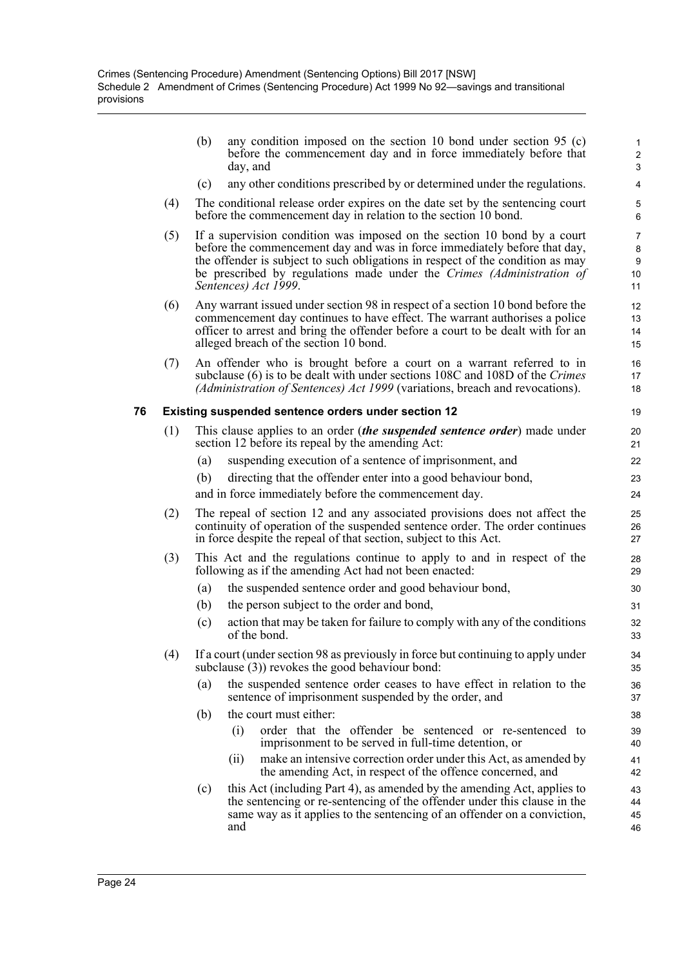|    |     | (b) | any condition imposed on the section 10 bond under section 95 $(c)$<br>before the commencement day and in force immediately before that<br>day, and                                                                                                                                                                                      | 1<br>$\overline{c}$<br>3             |
|----|-----|-----|------------------------------------------------------------------------------------------------------------------------------------------------------------------------------------------------------------------------------------------------------------------------------------------------------------------------------------------|--------------------------------------|
|    |     | (c) | any other conditions prescribed by or determined under the regulations.                                                                                                                                                                                                                                                                  | 4                                    |
|    | (4) |     | The conditional release order expires on the date set by the sentencing court<br>before the commencement day in relation to the section 10 bond.                                                                                                                                                                                         | 5<br>6                               |
|    | (5) |     | If a supervision condition was imposed on the section 10 bond by a court<br>before the commencement day and was in force immediately before that day,<br>the offender is subject to such obligations in respect of the condition as may<br>be prescribed by regulations made under the Crimes (Administration of<br>Sentences) Act 1999. | $\overline{7}$<br>8<br>9<br>10<br>11 |
|    | (6) |     | Any warrant issued under section 98 in respect of a section 10 bond before the<br>commencement day continues to have effect. The warrant authorises a police<br>officer to arrest and bring the offender before a court to be dealt with for an<br>alleged breach of the section 10 bond.                                                | 12<br>13<br>14<br>15                 |
|    | (7) |     | An offender who is brought before a court on a warrant referred to in<br>subclause (6) is to be dealt with under sections 108C and 108D of the Crimes<br>(Administration of Sentences) Act 1999 (variations, breach and revocations).                                                                                                    | 16<br>17<br>18                       |
| 76 |     |     | Existing suspended sentence orders under section 12                                                                                                                                                                                                                                                                                      | 19                                   |
|    | (1) |     | This clause applies to an order <i>(the suspended sentence order)</i> made under<br>section 12 before its repeal by the amending Act:                                                                                                                                                                                                    | 20<br>21                             |
|    |     | (a) | suspending execution of a sentence of imprisonment, and                                                                                                                                                                                                                                                                                  | 22                                   |
|    |     | (b) | directing that the offender enter into a good behaviour bond,                                                                                                                                                                                                                                                                            | 23                                   |
|    |     |     | and in force immediately before the commencement day.                                                                                                                                                                                                                                                                                    | 24                                   |
|    | (2) |     | The repeal of section 12 and any associated provisions does not affect the<br>continuity of operation of the suspended sentence order. The order continues<br>in force despite the repeal of that section, subject to this Act.                                                                                                          | 25<br>26<br>27                       |
|    | (3) |     | This Act and the regulations continue to apply to and in respect of the<br>following as if the amending Act had not been enacted:                                                                                                                                                                                                        | 28<br>29                             |
|    |     | (a) | the suspended sentence order and good behaviour bond,                                                                                                                                                                                                                                                                                    | 30                                   |
|    |     | (b) | the person subject to the order and bond,                                                                                                                                                                                                                                                                                                | 31                                   |
|    |     | (c) | action that may be taken for failure to comply with any of the conditions<br>of the bond.                                                                                                                                                                                                                                                | 32<br>33                             |
|    | (4) |     | If a court (under section 98 as previously in force but continuing to apply under<br>subclause (3)) revokes the good behaviour bond:                                                                                                                                                                                                     | 34<br>35                             |
|    |     | (a) | the suspended sentence order ceases to have effect in relation to the<br>sentence of imprisonment suspended by the order, and                                                                                                                                                                                                            | 36<br>37                             |
|    |     | (b) | the court must either:                                                                                                                                                                                                                                                                                                                   | 38                                   |
|    |     |     | order that the offender be sentenced or re-sentenced to<br>(i)<br>imprisonment to be served in full-time detention, or                                                                                                                                                                                                                   | 39<br>40                             |
|    |     |     | make an intensive correction order under this Act, as amended by<br>(ii)<br>the amending Act, in respect of the offence concerned, and                                                                                                                                                                                                   | 41<br>42                             |
|    |     | (c) | this Act (including Part 4), as amended by the amending Act, applies to<br>the sentencing or re-sentencing of the offender under this clause in the                                                                                                                                                                                      | 43<br>44                             |

same way as it applies to the sentencing of an offender on a conviction,

45 46

and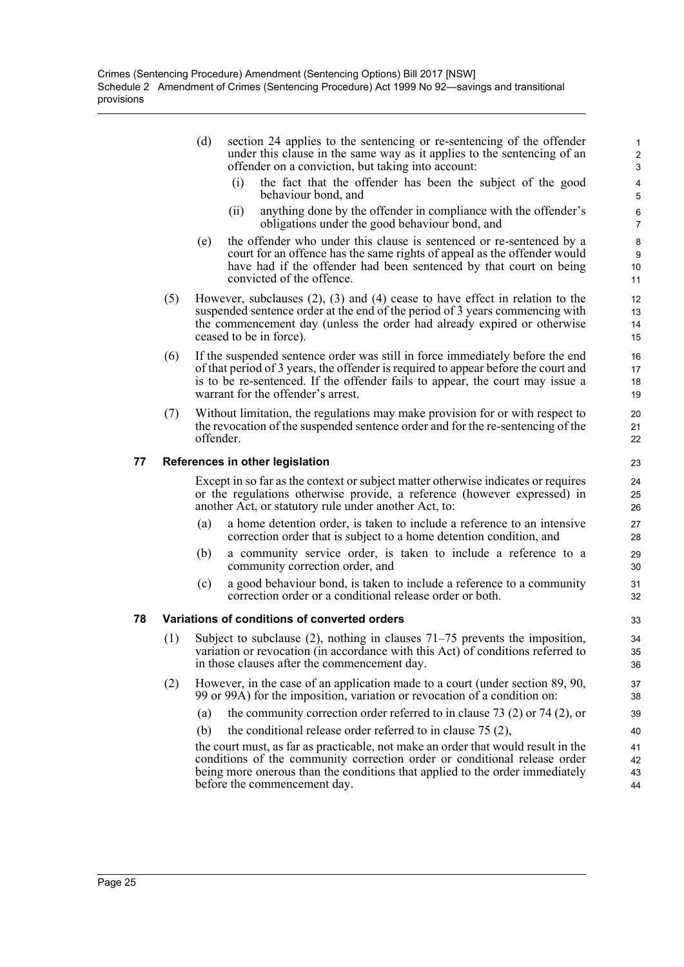- (d) section 24 applies to the sentencing or re-sentencing of the offender under this clause in the same way as it applies to the sentencing of an offender on a conviction, but taking into account:
	- (i) the fact that the offender has been the subject of the good behaviour bond, and

- (ii) anything done by the offender in compliance with the offender's obligations under the good behaviour bond, and
- (e) the offender who under this clause is sentenced or re-sentenced by a court for an offence has the same rights of appeal as the offender would have had if the offender had been sentenced by that court on being convicted of the offence.
- (5) However, subclauses (2), (3) and (4) cease to have effect in relation to the suspended sentence order at the end of the period of 3 years commencing with the commencement day (unless the order had already expired or otherwise ceased to be in force).
- (6) If the suspended sentence order was still in force immediately before the end of that period of 3 years, the offender is required to appear before the court and is to be re-sentenced. If the offender fails to appear, the court may issue a warrant for the offender's arrest.
- (7) Without limitation, the regulations may make provision for or with respect to the revocation of the suspended sentence order and for the re-sentencing of the offender.

#### **77 References in other legislation**

Except in so far as the context or subject matter otherwise indicates or requires or the regulations otherwise provide, a reference (however expressed) in another Act, or statutory rule under another Act, to:

- a home detention order, is taken to include a reference to an intensive correction order that is subject to a home detention condition, and
- (b) a community service order, is taken to include a reference to a community correction order, and
- (c) a good behaviour bond, is taken to include a reference to a community correction order or a conditional release order or both.

#### **78 Variations of conditions of converted orders**

- (1) Subject to subclause (2), nothing in clauses 71–75 prevents the imposition, variation or revocation (in accordance with this Act) of conditions referred to in those clauses after the commencement day.
- (2) However, in the case of an application made to a court (under section 89, 90, 99 or 99A) for the imposition, variation or revocation of a condition on:
	- (a) the community correction order referred to in clause 73 (2) or 74 (2), or
	- (b) the conditional release order referred to in clause  $75 (2)$ ,

the court must, as far as practicable, not make an order that would result in the conditions of the community correction order or conditional release order being more onerous than the conditions that applied to the order immediately before the commencement day.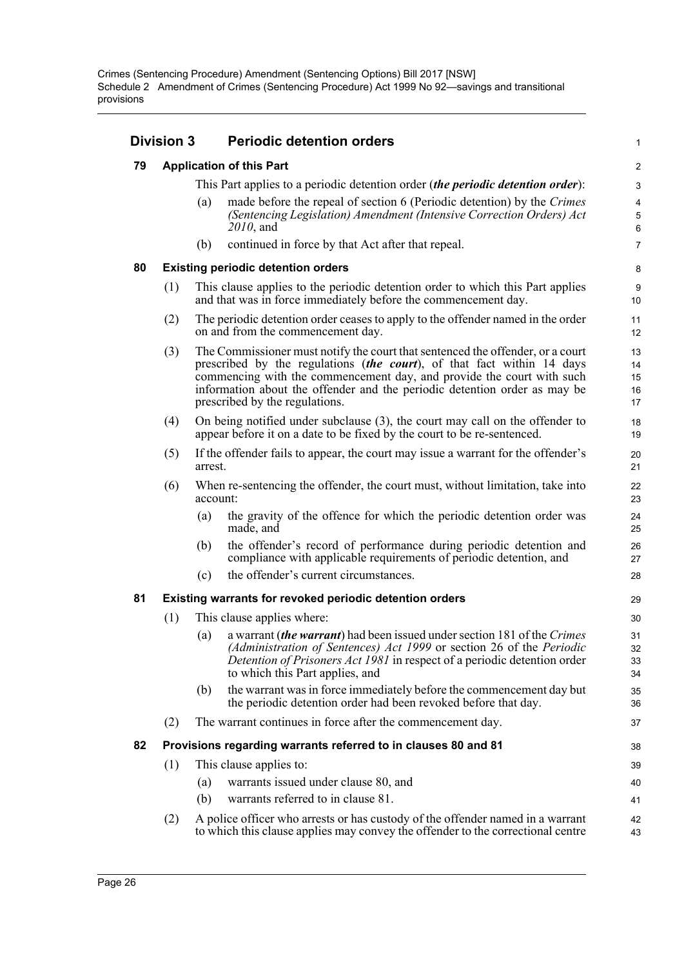|    | <b>Division 3</b>                                       |          | <b>Periodic detention orders</b>                                                                                                                                                                                                                                                                                                                 |                            |  |  |  |
|----|---------------------------------------------------------|----------|--------------------------------------------------------------------------------------------------------------------------------------------------------------------------------------------------------------------------------------------------------------------------------------------------------------------------------------------------|----------------------------|--|--|--|
| 79 |                                                         |          | <b>Application of this Part</b>                                                                                                                                                                                                                                                                                                                  |                            |  |  |  |
|    |                                                         |          | This Part applies to a periodic detention order <i>(the periodic detention order)</i> :                                                                                                                                                                                                                                                          | 3                          |  |  |  |
|    |                                                         | (a)      | made before the repeal of section 6 (Periodic detention) by the Crimes<br>(Sentencing Legislation) Amendment (Intensive Correction Orders) Act<br>$2010$ , and                                                                                                                                                                                   | 4<br>$\mathbf 5$<br>6      |  |  |  |
|    |                                                         | (b)      | continued in force by that Act after that repeal.                                                                                                                                                                                                                                                                                                | $\overline{7}$             |  |  |  |
| 80 |                                                         |          | <b>Existing periodic detention orders</b>                                                                                                                                                                                                                                                                                                        | 8                          |  |  |  |
|    | (1)                                                     |          | This clause applies to the periodic detention order to which this Part applies<br>and that was in force immediately before the commencement day.                                                                                                                                                                                                 | 9<br>10                    |  |  |  |
|    | (2)                                                     |          | The periodic detention order ceases to apply to the offender named in the order<br>on and from the commencement day.                                                                                                                                                                                                                             | 11<br>12                   |  |  |  |
|    | (3)                                                     |          | The Commissioner must notify the court that sentenced the offender, or a court<br>prescribed by the regulations (the court), of that fact within 14 days<br>commencing with the commencement day, and provide the court with such<br>information about the offender and the periodic detention order as may be<br>prescribed by the regulations. | 13<br>14<br>15<br>16<br>17 |  |  |  |
|    | (4)                                                     |          | On being notified under subclause (3), the court may call on the offender to<br>appear before it on a date to be fixed by the court to be re-sentenced.                                                                                                                                                                                          | 18<br>19                   |  |  |  |
|    | (5)                                                     | arrest.  | If the offender fails to appear, the court may issue a warrant for the offender's                                                                                                                                                                                                                                                                | 20<br>21                   |  |  |  |
|    | (6)                                                     | account: | When re-sentencing the offender, the court must, without limitation, take into                                                                                                                                                                                                                                                                   | 22<br>23                   |  |  |  |
|    |                                                         | (a)      | the gravity of the offence for which the periodic detention order was<br>made, and                                                                                                                                                                                                                                                               | 24<br>25                   |  |  |  |
|    |                                                         | (b)      | the offender's record of performance during periodic detention and<br>compliance with applicable requirements of periodic detention, and                                                                                                                                                                                                         | 26<br>27                   |  |  |  |
|    |                                                         | (c)      | the offender's current circumstances.                                                                                                                                                                                                                                                                                                            | 28                         |  |  |  |
| 81 | Existing warrants for revoked periodic detention orders |          |                                                                                                                                                                                                                                                                                                                                                  |                            |  |  |  |
|    | (1)                                                     |          | This clause applies where:                                                                                                                                                                                                                                                                                                                       | 30                         |  |  |  |
|    |                                                         | (a)      | a warrant ( <i>the warrant</i> ) had been issued under section 181 of the Crimes<br>(Administration of Sentences) Act 1999 or section 26 of the Periodic<br>Detention of Prisoners Act 1981 in respect of a periodic detention order<br>to which this Part applies, and                                                                          | 31<br>32<br>33<br>34       |  |  |  |
|    |                                                         | (b)      | the warrant was in force immediately before the commencement day but<br>the periodic detention order had been revoked before that day.                                                                                                                                                                                                           | 35<br>36                   |  |  |  |
|    | (2)                                                     |          | The warrant continues in force after the commencement day.                                                                                                                                                                                                                                                                                       | 37                         |  |  |  |
| 82 |                                                         |          | Provisions regarding warrants referred to in clauses 80 and 81                                                                                                                                                                                                                                                                                   | 38                         |  |  |  |
|    | (1)                                                     |          | This clause applies to:                                                                                                                                                                                                                                                                                                                          | 39                         |  |  |  |
|    |                                                         | (a)      | warrants issued under clause 80, and                                                                                                                                                                                                                                                                                                             | 40                         |  |  |  |
|    |                                                         | (b)      | warrants referred to in clause 81.                                                                                                                                                                                                                                                                                                               | 41                         |  |  |  |
|    | (2)                                                     |          | A police officer who arrests or has custody of the offender named in a warrant<br>to which this clause applies may convey the offender to the correctional centre                                                                                                                                                                                | 42<br>43                   |  |  |  |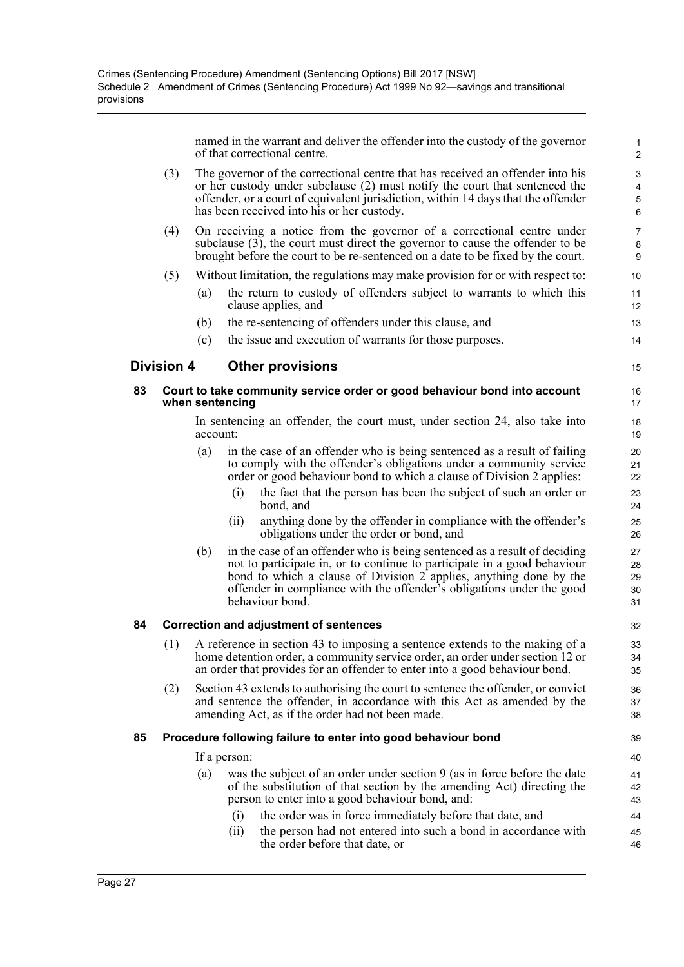named in the warrant and deliver the offender into the custody of the governor of that correctional centre.

15

| (3) | The governor of the correctional centre that has received an offender into his    |
|-----|-----------------------------------------------------------------------------------|
|     | or her custody under subclause (2) must notify the court that sentenced the       |
|     | offender, or a court of equivalent jurisdiction, within 14 days that the offender |
|     | has been received into his or her custody.                                        |
|     |                                                                                   |

- (4) On receiving a notice from the governor of a correctional centre under subclause (3), the court must direct the governor to cause the offender to be brought before the court to be re-sentenced on a date to be fixed by the court.
- (5) Without limitation, the regulations may make provision for or with respect to:
	- (a) the return to custody of offenders subject to warrants to which this clause applies, and
	- (b) the re-sentencing of offenders under this clause, and
	- (c) the issue and execution of warrants for those purposes.

#### **Division 4 Other provisions**

#### **83 Court to take community service order or good behaviour bond into account when sentencing**

In sentencing an offender, the court must, under section 24, also take into account:

- (a) in the case of an offender who is being sentenced as a result of failing to comply with the offender's obligations under a community service order or good behaviour bond to which a clause of Division 2 applies:
	- (i) the fact that the person has been the subject of such an order or bond, and
	- (ii) anything done by the offender in compliance with the offender's obligations under the order or bond, and
- (b) in the case of an offender who is being sentenced as a result of deciding not to participate in, or to continue to participate in a good behaviour bond to which a clause of Division 2 applies, anything done by the offender in compliance with the offender's obligations under the good behaviour bond.

#### **84 Correction and adjustment of sentences**

- (1) A reference in section 43 to imposing a sentence extends to the making of a home detention order, a community service order, an order under section 12 or an order that provides for an offender to enter into a good behaviour bond.
- (2) Section 43 extends to authorising the court to sentence the offender, or convict and sentence the offender, in accordance with this Act as amended by the amending Act, as if the order had not been made.

#### **85 Procedure following failure to enter into good behaviour bond**

If a person:

- (a) was the subject of an order under section 9 (as in force before the date of the substitution of that section by the amending Act) directing the person to enter into a good behaviour bond, and:
	- (i) the order was in force immediately before that date, and
	- (ii) the person had not entered into such a bond in accordance with the order before that date, or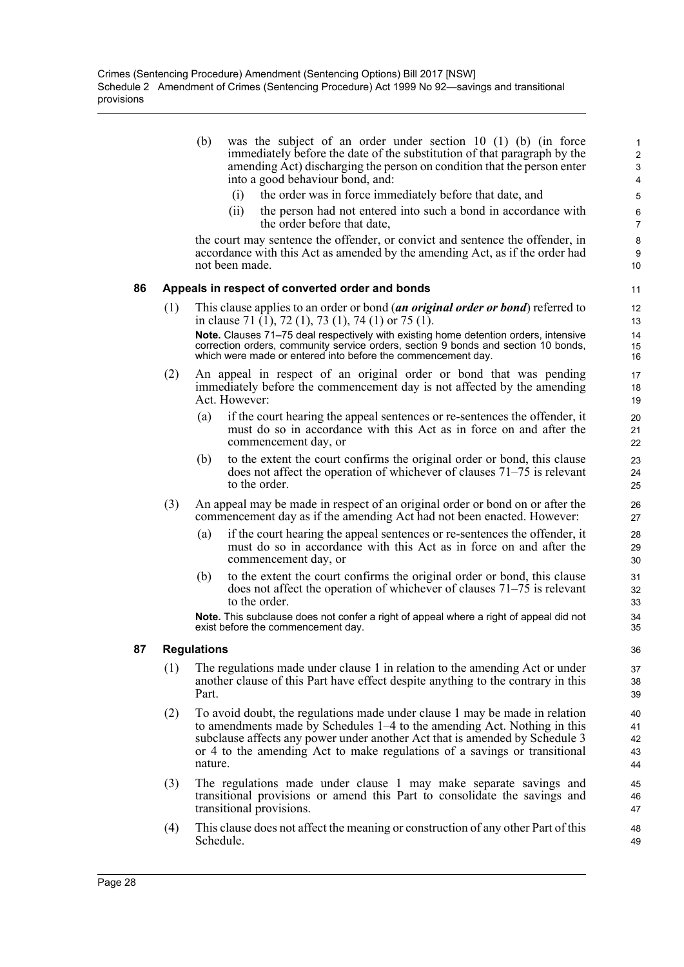- (b) was the subject of an order under section 10 (1) (b) (in force immediately before the date of the substitution of that paragraph by the amending Act) discharging the person on condition that the person enter into a good behaviour bond, and:
	- (i) the order was in force immediately before that date, and
	- (ii) the person had not entered into such a bond in accordance with the order before that date,

the court may sentence the offender, or convict and sentence the offender, in accordance with this Act as amended by the amending Act, as if the order had not been made.

#### **86 Appeals in respect of converted order and bonds**

- (1) This clause applies to an order or bond (*an original order or bond*) referred to in clause 71 (1), 72 (1), 73 (1), 74 (1) or 75 (1). **Note.** Clauses 71–75 deal respectively with existing home detention orders, intensive correction orders, community service orders, section 9 bonds and section 10 bonds, which were made or entered into before the commencement day.
- (2) An appeal in respect of an original order or bond that was pending immediately before the commencement day is not affected by the amending Act. However:
	- (a) if the court hearing the appeal sentences or re-sentences the offender, it must do so in accordance with this Act as in force on and after the commencement day, or
	- (b) to the extent the court confirms the original order or bond, this clause does not affect the operation of whichever of clauses 71–75 is relevant to the order.
- (3) An appeal may be made in respect of an original order or bond on or after the commencement day as if the amending Act had not been enacted. However:
	- (a) if the court hearing the appeal sentences or re-sentences the offender, it must do so in accordance with this Act as in force on and after the commencement day, or
	- (b) to the extent the court confirms the original order or bond, this clause does not affect the operation of whichever of clauses 71–75 is relevant to the order.

**Note.** This subclause does not confer a right of appeal where a right of appeal did not exist before the commencement day.

#### **87 Regulations**

- (1) The regulations made under clause 1 in relation to the amending Act or under another clause of this Part have effect despite anything to the contrary in this Part.
- (2) To avoid doubt, the regulations made under clause 1 may be made in relation to amendments made by Schedules 1–4 to the amending Act. Nothing in this subclause affects any power under another Act that is amended by Schedule 3 or 4 to the amending Act to make regulations of a savings or transitional nature.
- (3) The regulations made under clause 1 may make separate savings and transitional provisions or amend this Part to consolidate the savings and transitional provisions.
- (4) This clause does not affect the meaning or construction of any other Part of this Schedule.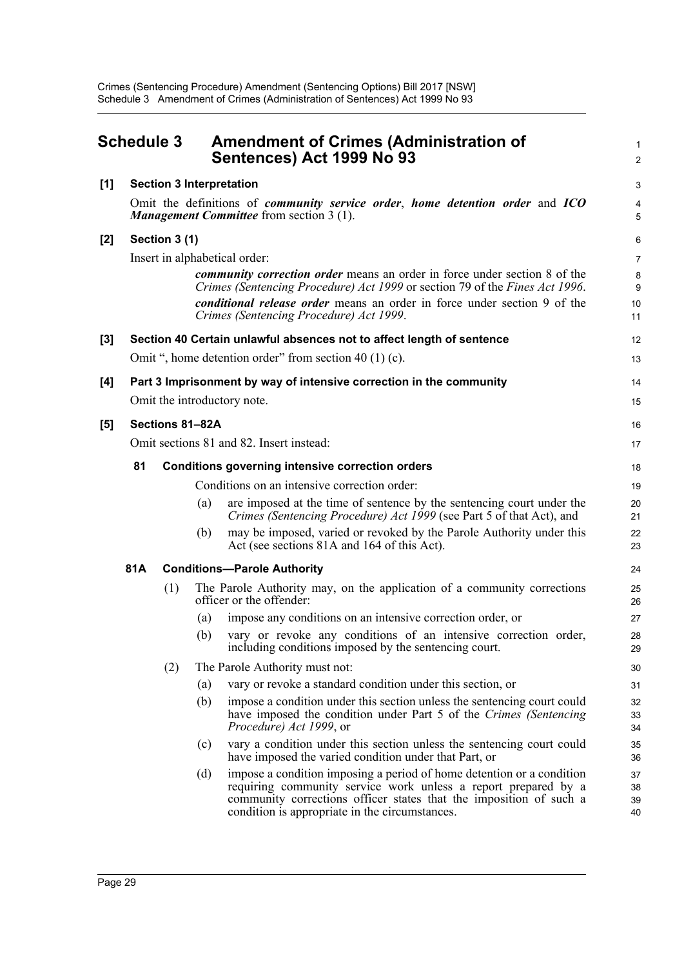<span id="page-37-0"></span>

|       | <b>Schedule 3</b>                                                                                                                                      |               |                 | <b>Amendment of Crimes (Administration of</b><br>Sentences) Act 1999 No 93                                                                                                                                                                                      | 1<br>2               |  |
|-------|--------------------------------------------------------------------------------------------------------------------------------------------------------|---------------|-----------------|-----------------------------------------------------------------------------------------------------------------------------------------------------------------------------------------------------------------------------------------------------------------|----------------------|--|
| $[1]$ |                                                                                                                                                        |               |                 | <b>Section 3 Interpretation</b>                                                                                                                                                                                                                                 | 3                    |  |
|       | Omit the definitions of <i>community service order</i> , <i>home detention order</i> and <i>ICO</i><br><b>Management Committee</b> from section 3 (1). |               |                 |                                                                                                                                                                                                                                                                 |                      |  |
| [2]   |                                                                                                                                                        | Section 3 (1) |                 |                                                                                                                                                                                                                                                                 | 6                    |  |
|       |                                                                                                                                                        |               |                 | Insert in alphabetical order:                                                                                                                                                                                                                                   | $\overline{7}$       |  |
|       |                                                                                                                                                        |               |                 | <i>community correction order</i> means an order in force under section 8 of the<br>Crimes (Sentencing Procedure) Act 1999 or section 79 of the Fines Act 1996.                                                                                                 | 8<br>9               |  |
|       |                                                                                                                                                        |               |                 | conditional release order means an order in force under section 9 of the<br>Crimes (Sentencing Procedure) Act 1999.                                                                                                                                             | 10<br>11             |  |
| [3]   |                                                                                                                                                        |               |                 | Section 40 Certain unlawful absences not to affect length of sentence                                                                                                                                                                                           | 12                   |  |
|       |                                                                                                                                                        |               |                 | Omit ", home detention order" from section 40 (1) (c).                                                                                                                                                                                                          | 13                   |  |
| [4]   |                                                                                                                                                        |               |                 | Part 3 Imprisonment by way of intensive correction in the community                                                                                                                                                                                             | 14                   |  |
|       |                                                                                                                                                        |               |                 | Omit the introductory note.                                                                                                                                                                                                                                     | 15                   |  |
| [5]   |                                                                                                                                                        |               | Sections 81-82A |                                                                                                                                                                                                                                                                 | 16                   |  |
|       | Omit sections 81 and 82. Insert instead:                                                                                                               |               |                 |                                                                                                                                                                                                                                                                 |                      |  |
|       | 81<br><b>Conditions governing intensive correction orders</b>                                                                                          |               |                 |                                                                                                                                                                                                                                                                 |                      |  |
|       |                                                                                                                                                        |               |                 | Conditions on an intensive correction order:                                                                                                                                                                                                                    | 19                   |  |
|       |                                                                                                                                                        |               | (a)             | are imposed at the time of sentence by the sentencing court under the<br>Crimes (Sentencing Procedure) Act 1999 (see Part 5 of that Act), and                                                                                                                   | 20<br>21             |  |
|       |                                                                                                                                                        |               | (b)             | may be imposed, varied or revoked by the Parole Authority under this<br>Act (see sections 81A and 164 of this Act).                                                                                                                                             | 22<br>23             |  |
|       | 81A                                                                                                                                                    |               |                 | <b>Conditions-Parole Authority</b>                                                                                                                                                                                                                              | 24                   |  |
|       |                                                                                                                                                        | (1)           |                 | The Parole Authority may, on the application of a community corrections<br>officer or the offender:                                                                                                                                                             | 25<br>26             |  |
|       |                                                                                                                                                        |               | (a)             | impose any conditions on an intensive correction order, or                                                                                                                                                                                                      | 27                   |  |
|       |                                                                                                                                                        |               | (b)             | vary or revoke any conditions of an intensive correction order,<br>including conditions imposed by the sentencing court.                                                                                                                                        | 28<br>29             |  |
|       |                                                                                                                                                        | (2)           |                 | The Parole Authority must not:                                                                                                                                                                                                                                  | 30                   |  |
|       |                                                                                                                                                        |               | (a)             | vary or revoke a standard condition under this section, or                                                                                                                                                                                                      | 31                   |  |
|       |                                                                                                                                                        |               | (b)             | impose a condition under this section unless the sentencing court could<br>have imposed the condition under Part 5 of the Crimes (Sentencing<br><i>Procedure</i> ) Act 1999, or                                                                                 | 32<br>33<br>34       |  |
|       |                                                                                                                                                        |               | (c)             | vary a condition under this section unless the sentencing court could<br>have imposed the varied condition under that Part, or                                                                                                                                  | 35<br>36             |  |
|       |                                                                                                                                                        |               | (d)             | impose a condition imposing a period of home detention or a condition<br>requiring community service work unless a report prepared by a<br>community corrections officer states that the imposition of such a<br>condition is appropriate in the circumstances. | 37<br>38<br>39<br>40 |  |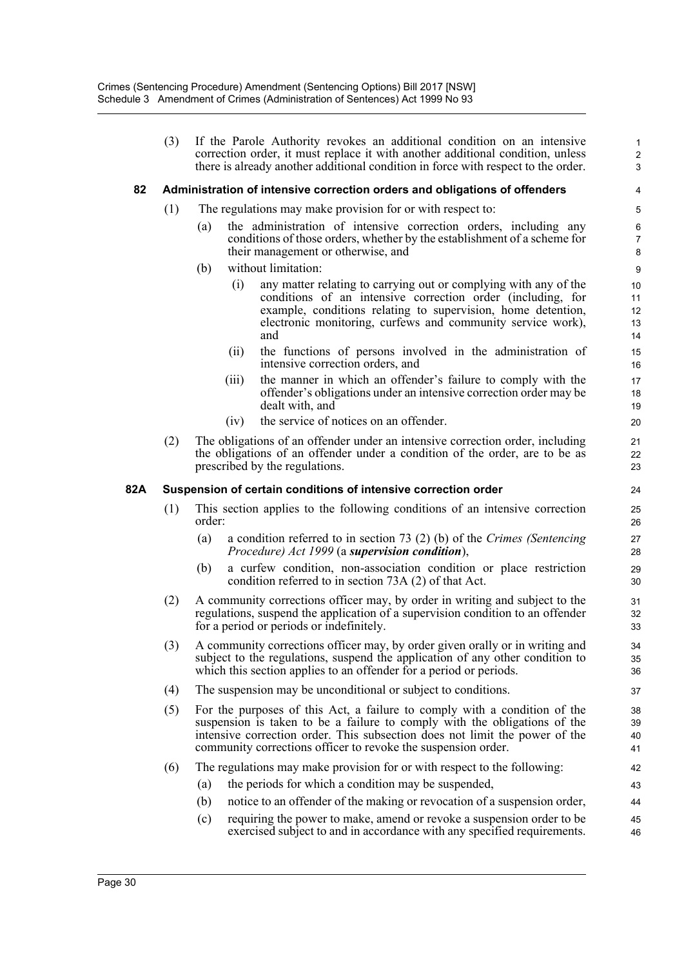(3) If the Parole Authority revokes an additional condition on an intensive correction order, it must replace it with another additional condition, unless there is already another additional condition in force with respect to the order.

#### **82 Administration of intensive correction orders and obligations of offenders**

- (1) The regulations may make provision for or with respect to:
	- (a) the administration of intensive correction orders, including any conditions of those orders, whether by the establishment of a scheme for their management or otherwise, and
	- (b) without limitation:
		- (i) any matter relating to carrying out or complying with any of the conditions of an intensive correction order (including, for example, conditions relating to supervision, home detention, electronic monitoring, curfews and community service work), and

- (ii) the functions of persons involved in the administration of intensive correction orders, and
- (iii) the manner in which an offender's failure to comply with the offender's obligations under an intensive correction order may be dealt with, and
- (iv) the service of notices on an offender.
- (2) The obligations of an offender under an intensive correction order, including the obligations of an offender under a condition of the order, are to be as prescribed by the regulations.

#### **82A Suspension of certain conditions of intensive correction order**

- (1) This section applies to the following conditions of an intensive correction order:
	- (a) a condition referred to in section 73 (2) (b) of the *Crimes (Sentencing Procedure) Act 1999* (a *supervision condition*),
	- (b) a curfew condition, non-association condition or place restriction condition referred to in section 73A (2) of that Act.
- (2) A community corrections officer may, by order in writing and subject to the regulations, suspend the application of a supervision condition to an offender for a period or periods or indefinitely.
- (3) A community corrections officer may, by order given orally or in writing and subject to the regulations, suspend the application of any other condition to which this section applies to an offender for a period or periods.
- (4) The suspension may be unconditional or subject to conditions.
- (5) For the purposes of this Act, a failure to comply with a condition of the suspension is taken to be a failure to comply with the obligations of the intensive correction order. This subsection does not limit the power of the community corrections officer to revoke the suspension order.
- (6) The regulations may make provision for or with respect to the following:
	- (a) the periods for which a condition may be suspended,
	- (b) notice to an offender of the making or revocation of a suspension order,
	- (c) requiring the power to make, amend or revoke a suspension order to be exercised subject to and in accordance with any specified requirements. 45 46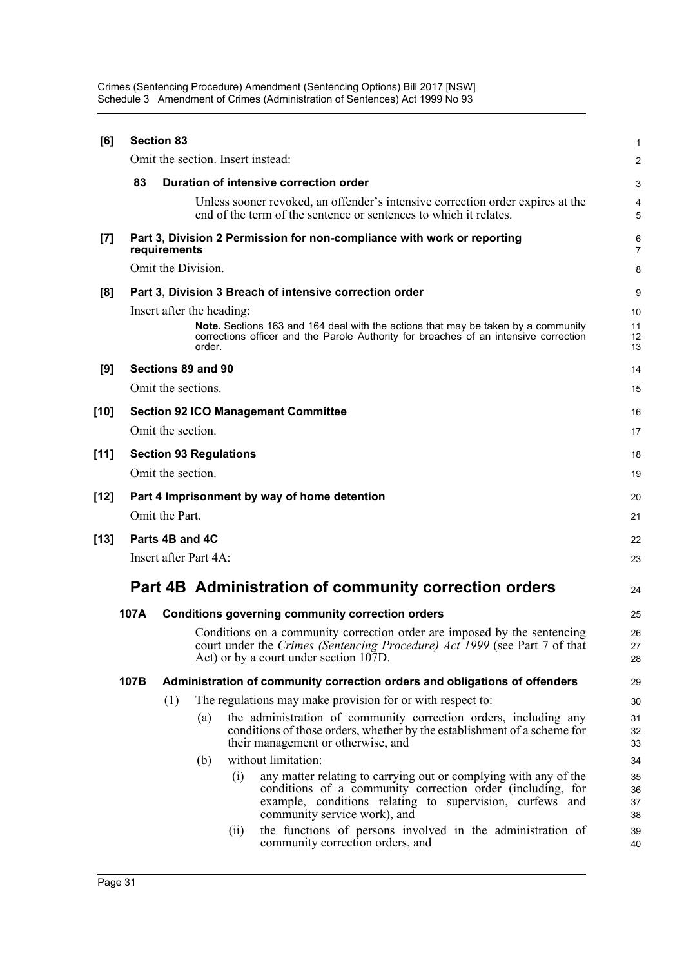Crimes (Sentencing Procedure) Amendment (Sentencing Options) Bill 2017 [NSW] Schedule 3 Amendment of Crimes (Administration of Sentences) Act 1999 No 93

| [6]    |      | <b>Section 83</b> |                           |                                   |                                                                                                                                                                                                                            | $\mathbf{1}$         |
|--------|------|-------------------|---------------------------|-----------------------------------|----------------------------------------------------------------------------------------------------------------------------------------------------------------------------------------------------------------------------|----------------------|
|        |      |                   |                           | Omit the section. Insert instead: |                                                                                                                                                                                                                            | 2                    |
|        | 83   |                   |                           |                                   | Duration of intensive correction order                                                                                                                                                                                     | 3                    |
|        |      |                   |                           |                                   | Unless sooner revoked, an offender's intensive correction order expires at the<br>end of the term of the sentence or sentences to which it relates.                                                                        | 4<br>5               |
| $[7]$  |      | requirements      |                           |                                   | Part 3, Division 2 Permission for non-compliance with work or reporting                                                                                                                                                    | 6<br>$\overline{7}$  |
|        |      |                   | Omit the Division.        |                                   |                                                                                                                                                                                                                            | 8                    |
| [8]    |      |                   |                           |                                   | Part 3, Division 3 Breach of intensive correction order                                                                                                                                                                    | 9                    |
|        |      |                   | Insert after the heading: |                                   |                                                                                                                                                                                                                            | 10                   |
|        |      |                   | order.                    |                                   | Note. Sections 163 and 164 deal with the actions that may be taken by a community<br>corrections officer and the Parole Authority for breaches of an intensive correction                                                  | 11<br>12<br>13       |
| [9]    |      |                   | Sections 89 and 90        |                                   |                                                                                                                                                                                                                            | 14                   |
|        |      |                   | Omit the sections.        |                                   |                                                                                                                                                                                                                            | 15                   |
| [10]   |      |                   |                           |                                   | <b>Section 92 ICO Management Committee</b>                                                                                                                                                                                 | 16                   |
|        |      | Omit the section. |                           |                                   |                                                                                                                                                                                                                            | 17                   |
| [11]   |      |                   |                           | <b>Section 93 Regulations</b>     |                                                                                                                                                                                                                            | 18                   |
|        |      | Omit the section. |                           |                                   |                                                                                                                                                                                                                            | 19                   |
| [12]   |      |                   |                           |                                   | Part 4 Imprisonment by way of home detention                                                                                                                                                                               | 20                   |
|        |      | Omit the Part.    |                           |                                   |                                                                                                                                                                                                                            | 21                   |
| $[13]$ |      | Parts 4B and 4C   |                           |                                   |                                                                                                                                                                                                                            | 22                   |
|        |      |                   | Insert after Part 4A:     |                                   |                                                                                                                                                                                                                            | 23                   |
|        |      |                   |                           |                                   | <b>Part 4B Administration of community correction orders</b>                                                                                                                                                               | 24                   |
|        | 107A |                   |                           |                                   | <b>Conditions governing community correction orders</b>                                                                                                                                                                    | 25                   |
|        |      |                   |                           |                                   | Conditions on a community correction order are imposed by the sentencing<br>court under the Crimes (Sentencing Procedure) Act 1999 (see Part 7 of that<br>Act) or by a court under section 107D.                           | 26<br>27<br>28       |
|        | 107B |                   |                           |                                   | Administration of community correction orders and obligations of offenders                                                                                                                                                 | 29                   |
|        |      | (1)               |                           |                                   | The regulations may make provision for or with respect to:                                                                                                                                                                 | 30                   |
|        |      |                   | (a)                       |                                   | the administration of community correction orders, including any<br>conditions of those orders, whether by the establishment of a scheme for<br>their management or otherwise, and                                         | 31<br>32<br>33       |
|        |      |                   | (b)                       |                                   | without limitation:                                                                                                                                                                                                        | 34                   |
|        |      |                   |                           | (i)                               | any matter relating to carrying out or complying with any of the<br>conditions of a community correction order (including, for<br>example, conditions relating to supervision, curfews and<br>community service work), and | 35<br>36<br>37<br>38 |
|        |      |                   |                           | (ii)                              | the functions of persons involved in the administration of<br>community correction orders, and                                                                                                                             | 39<br>40             |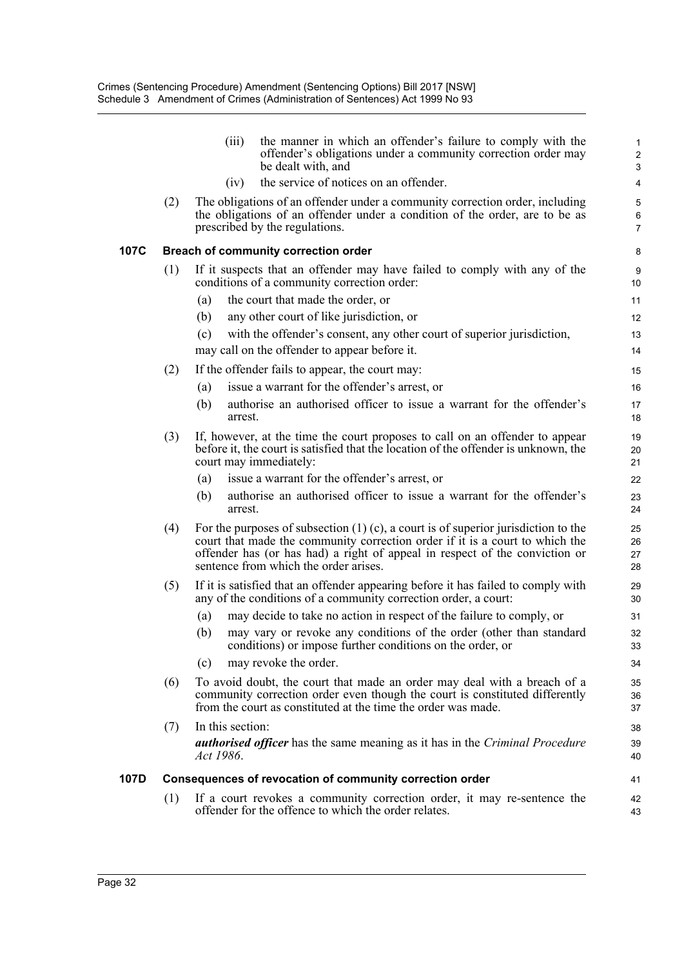|      |     | (iii)            | the manner in which an offender's failure to comply with the<br>offender's obligations under a community correction order may<br>be dealt with, and                                                                                                                                          | $\mathbf{1}$<br>$\overline{c}$<br>3 |
|------|-----|------------------|----------------------------------------------------------------------------------------------------------------------------------------------------------------------------------------------------------------------------------------------------------------------------------------------|-------------------------------------|
|      |     | (iv)             | the service of notices on an offender.                                                                                                                                                                                                                                                       | 4                                   |
|      | (2) |                  | The obligations of an offender under a community correction order, including<br>the obligations of an offender under a condition of the order, are to be as<br>prescribed by the regulations.                                                                                                | 5<br>6<br>$\overline{7}$            |
| 107C |     |                  | Breach of community correction order                                                                                                                                                                                                                                                         | 8                                   |
|      | (1) |                  | If it suspects that an offender may have failed to comply with any of the<br>conditions of a community correction order:                                                                                                                                                                     | 9<br>10                             |
|      |     | (a)              | the court that made the order, or                                                                                                                                                                                                                                                            | 11                                  |
|      |     | (b)              | any other court of like jurisdiction, or                                                                                                                                                                                                                                                     | 12                                  |
|      |     | (c)              | with the offender's consent, any other court of superior jurisdiction,<br>may call on the offender to appear before it.                                                                                                                                                                      | 13<br>14                            |
|      | (2) |                  | If the offender fails to appear, the court may:                                                                                                                                                                                                                                              | 15                                  |
|      |     | (a)              | issue a warrant for the offender's arrest, or                                                                                                                                                                                                                                                | 16                                  |
|      |     | (b)<br>arrest.   | authorise an authorised officer to issue a warrant for the offender's                                                                                                                                                                                                                        | 17<br>18                            |
|      | (3) |                  | If, however, at the time the court proposes to call on an offender to appear<br>before it, the court is satisfied that the location of the offender is unknown, the<br>court may immediately:                                                                                                | 19<br>20<br>21                      |
|      |     | (a)              | issue a warrant for the offender's arrest, or                                                                                                                                                                                                                                                | 22                                  |
|      |     | (b)<br>arrest.   | authorise an authorised officer to issue a warrant for the offender's                                                                                                                                                                                                                        | 23<br>24                            |
|      | (4) |                  | For the purposes of subsection $(1)$ (c), a court is of superior jurisdiction to the<br>court that made the community correction order if it is a court to which the<br>offender has (or has had) a right of appeal in respect of the conviction or<br>sentence from which the order arises. | 25<br>26<br>27<br>28                |
|      | (5) |                  | If it is satisfied that an offender appearing before it has failed to comply with<br>any of the conditions of a community correction order, a court:                                                                                                                                         | 29<br>30                            |
|      |     | (a)              | may decide to take no action in respect of the failure to comply, or                                                                                                                                                                                                                         | 31                                  |
|      |     | (b)              | may vary or revoke any conditions of the order (other than standard<br>conditions) or impose further conditions on the order, or                                                                                                                                                             | 32<br>33                            |
|      |     | (c)              | may revoke the order.                                                                                                                                                                                                                                                                        | 34                                  |
|      | (6) |                  | To avoid doubt, the court that made an order may deal with a breach of a<br>community correction order even though the court is constituted differently<br>from the court as constituted at the time the order was made.                                                                     | 35<br>36<br>37                      |
|      | (7) | In this section: |                                                                                                                                                                                                                                                                                              | 38                                  |
|      |     | Act 1986.        | <b><i>authorised officer</i></b> has the same meaning as it has in the <i>Criminal Procedure</i>                                                                                                                                                                                             | 39<br>40                            |
| 107D |     |                  | Consequences of revocation of community correction order                                                                                                                                                                                                                                     | 41                                  |
|      | (1) |                  | If a court revokes a community correction order, it may re-sentence the<br>offender for the offence to which the order relates.                                                                                                                                                              | 42<br>43                            |

**107C**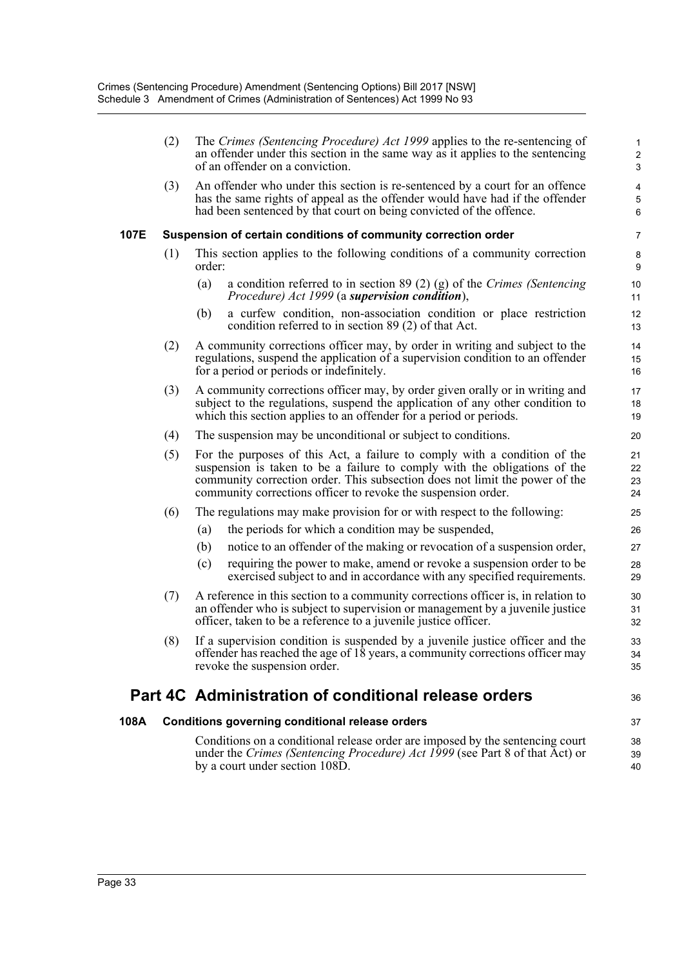|      | (2) | The Crimes (Sentencing Procedure) Act 1999 applies to the re-sentencing of<br>an offender under this section in the same way as it applies to the sentencing<br>of an offender on a conviction.                                                                                                        | $\mathbf{1}$<br>$\overline{c}$<br>$\ensuremath{\mathsf{3}}$ |
|------|-----|--------------------------------------------------------------------------------------------------------------------------------------------------------------------------------------------------------------------------------------------------------------------------------------------------------|-------------------------------------------------------------|
|      | (3) | An offender who under this section is re-sentenced by a court for an offence<br>has the same rights of appeal as the offender would have had if the offender<br>had been sentenced by that court on being convicted of the offence.                                                                    | 4<br>$\sqrt{5}$<br>6                                        |
| 107E |     | Suspension of certain conditions of community correction order                                                                                                                                                                                                                                         | 7                                                           |
|      | (1) | This section applies to the following conditions of a community correction<br>order:                                                                                                                                                                                                                   | $\bf 8$<br>$\boldsymbol{9}$                                 |
|      |     | a condition referred to in section $89(2)(g)$ of the Crimes (Sentencing<br>(a)<br>Procedure) Act 1999 (a supervision condition),                                                                                                                                                                       | $10$<br>11                                                  |
|      |     | a curfew condition, non-association condition or place restriction<br>(b)<br>condition referred to in section 89 (2) of that Act.                                                                                                                                                                      | 12<br>13                                                    |
|      | (2) | A community corrections officer may, by order in writing and subject to the<br>regulations, suspend the application of a supervision condition to an offender<br>for a period or periods or indefinitely.                                                                                              | 14<br>15<br>16                                              |
|      | (3) | A community corrections officer may, by order given orally or in writing and<br>subject to the regulations, suspend the application of any other condition to<br>which this section applies to an offender for a period or periods.                                                                    | 17<br>18<br>19                                              |
|      | (4) | The suspension may be unconditional or subject to conditions.                                                                                                                                                                                                                                          | 20                                                          |
|      | (5) | For the purposes of this Act, a failure to comply with a condition of the<br>suspension is taken to be a failure to comply with the obligations of the<br>community correction order. This subsection does not limit the power of the<br>community corrections officer to revoke the suspension order. | 21<br>22<br>23<br>24                                        |
|      | (6) | The regulations may make provision for or with respect to the following:                                                                                                                                                                                                                               | 25                                                          |
|      |     | the periods for which a condition may be suspended,<br>(a)                                                                                                                                                                                                                                             | 26                                                          |
|      |     | notice to an offender of the making or revocation of a suspension order,<br>(b)                                                                                                                                                                                                                        | 27                                                          |
|      |     | (c)<br>requiring the power to make, amend or revoke a suspension order to be<br>exercised subject to and in accordance with any specified requirements.                                                                                                                                                | 28<br>29                                                    |
|      | (7) | A reference in this section to a community corrections officer is, in relation to<br>an offender who is subject to supervision or management by a juvenile justice<br>officer, taken to be a reference to a juvenile justice officer.                                                                  | 30<br>31<br>32                                              |
|      | (8) | If a supervision condition is suspended by a juvenile justice officer and the<br>offender has reached the age of 18 years, a community corrections officer may<br>revoke the suspension order.                                                                                                         | 33<br>34<br>35                                              |
|      |     | Part 4C Administration of conditional release orders                                                                                                                                                                                                                                                   | 36                                                          |
| 108A |     | <b>Conditions governing conditional release orders</b>                                                                                                                                                                                                                                                 | 37                                                          |
|      |     | Conditions on a conditional release order are imposed by the sentencing court<br>under the Crimes (Sentencing Procedure) Act 1999 (see Part 8 of that Act) or<br>by a court under section 108D.                                                                                                        | 38<br>39<br>40                                              |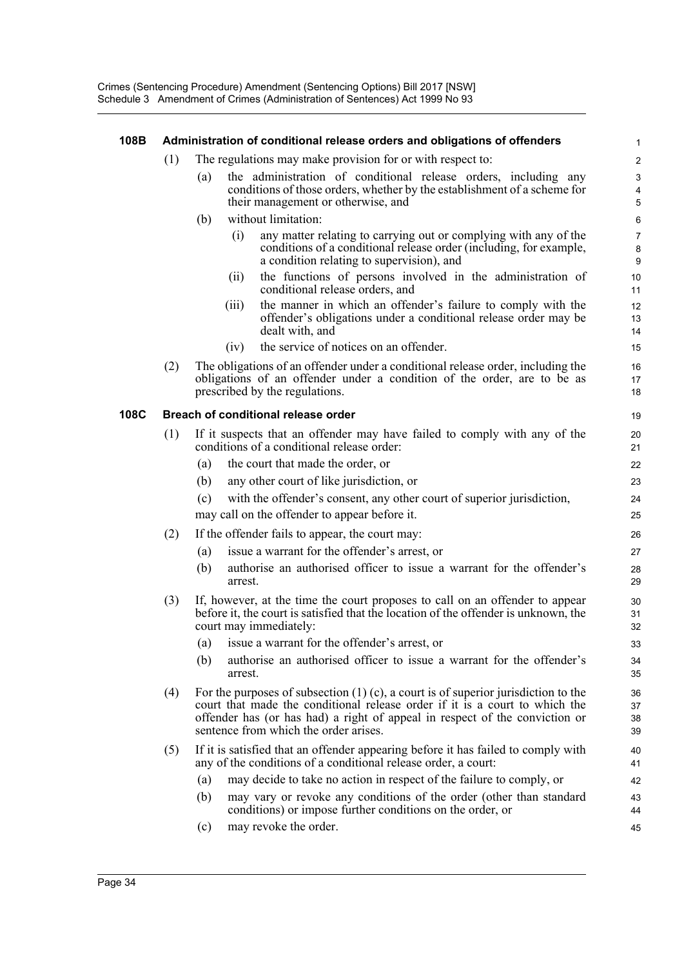#### **108B Administration of conditional release orders and obligations of offenders**

- (1) The regulations may make provision for or with respect to:
	- (a) the administration of conditional release orders, including any conditions of those orders, whether by the establishment of a scheme for their management or otherwise, and
	- (b) without limitation:
		- (i) any matter relating to carrying out or complying with any of the conditions of a conditional release order (including, for example, a condition relating to supervision), and

- (ii) the functions of persons involved in the administration of conditional release orders, and
- (iii) the manner in which an offender's failure to comply with the offender's obligations under a conditional release order may be dealt with, and
- (iv) the service of notices on an offender.
- (2) The obligations of an offender under a conditional release order, including the obligations of an offender under a condition of the order, are to be as prescribed by the regulations.

#### **108C Breach of conditional release order**

- (1) If it suspects that an offender may have failed to comply with any of the conditions of a conditional release order:
	- (a) the court that made the order, or
	- (b) any other court of like jurisdiction, or
	- (c) with the offender's consent, any other court of superior jurisdiction, may call on the offender to appear before it.
- (2) If the offender fails to appear, the court may:
	- (a) issue a warrant for the offender's arrest, or
	- (b) authorise an authorised officer to issue a warrant for the offender's arrest.
- (3) If, however, at the time the court proposes to call on an offender to appear before it, the court is satisfied that the location of the offender is unknown, the court may immediately:
	- (a) issue a warrant for the offender's arrest, or
	- (b) authorise an authorised officer to issue a warrant for the offender's arrest.
- (4) For the purposes of subsection  $(1)$  (c), a court is of superior jurisdiction to the court that made the conditional release order if it is a court to which the offender has (or has had) a right of appeal in respect of the conviction or sentence from which the order arises.
- (5) If it is satisfied that an offender appearing before it has failed to comply with any of the conditions of a conditional release order, a court:
	- (a) may decide to take no action in respect of the failure to comply, or
	- (b) may vary or revoke any conditions of the order (other than standard conditions) or impose further conditions on the order, or
	- (c) may revoke the order.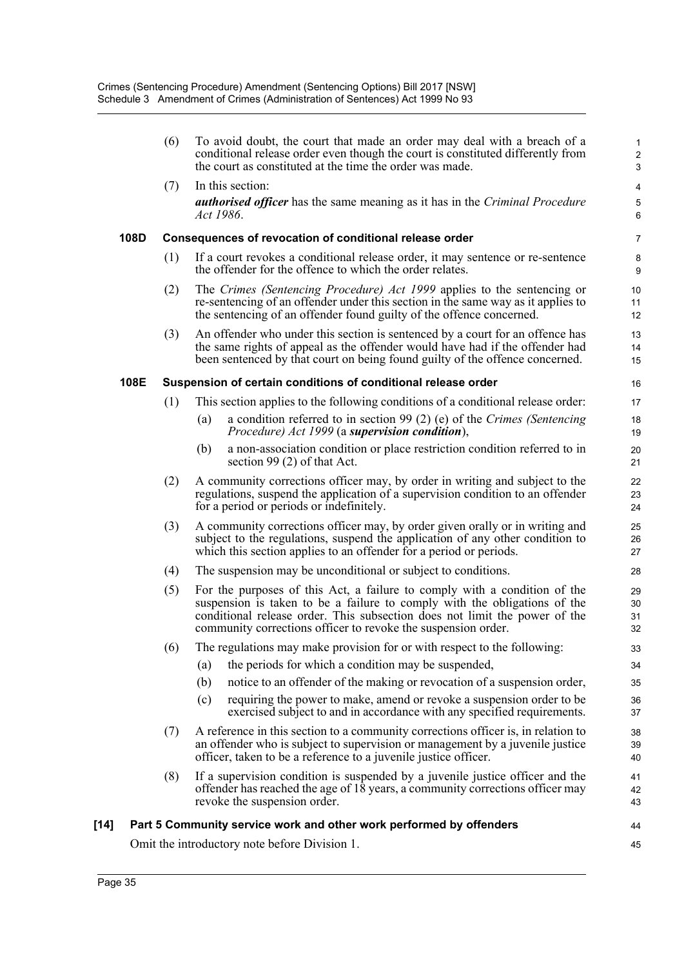|        |      | (6) | To avoid doubt, the court that made an order may deal with a breach of a<br>conditional release order even though the court is constituted differently from<br>the court as constituted at the time the order was made.                                                                               | $\mathbf{1}$<br>$\sqrt{2}$<br>$\mathsf 3$ |
|--------|------|-----|-------------------------------------------------------------------------------------------------------------------------------------------------------------------------------------------------------------------------------------------------------------------------------------------------------|-------------------------------------------|
|        |      | (7) | In this section:                                                                                                                                                                                                                                                                                      | 4                                         |
|        |      |     | <b><i>authorised officer</i></b> has the same meaning as it has in the <i>Criminal Procedure</i><br>Act 1986.                                                                                                                                                                                         | $\mathbf 5$<br>6                          |
|        | 108D |     | Consequences of revocation of conditional release order                                                                                                                                                                                                                                               | 7                                         |
|        |      | (1) | If a court revokes a conditional release order, it may sentence or re-sentence<br>the offender for the offence to which the order relates.                                                                                                                                                            | 8<br>$\boldsymbol{9}$                     |
|        |      | (2) | The Crimes (Sentencing Procedure) Act 1999 applies to the sentencing or<br>re-sentencing of an offender under this section in the same way as it applies to<br>the sentencing of an offender found guilty of the offence concerned.                                                                   | 10<br>11<br>12                            |
|        |      | (3) | An offender who under this section is sentenced by a court for an offence has<br>the same rights of appeal as the offender would have had if the offender had<br>been sentenced by that court on being found guilty of the offence concerned.                                                         | 13<br>14<br>15                            |
|        | 108E |     | Suspension of certain conditions of conditional release order                                                                                                                                                                                                                                         | 16                                        |
|        |      | (1) | This section applies to the following conditions of a conditional release order:                                                                                                                                                                                                                      | 17                                        |
|        |      |     | a condition referred to in section 99 (2) (e) of the Crimes (Sentencing<br>(a)<br><i>Procedure)</i> Act 1999 (a <b>supervision condition</b> ),                                                                                                                                                       | 18<br>19                                  |
|        |      |     | a non-association condition or place restriction condition referred to in<br>(b)<br>section 99 $(2)$ of that Act.                                                                                                                                                                                     | 20<br>21                                  |
|        |      | (2) | A community corrections officer may, by order in writing and subject to the<br>regulations, suspend the application of a supervision condition to an offender<br>for a period or periods or indefinitely.                                                                                             | 22<br>23<br>24                            |
|        |      | (3) | A community corrections officer may, by order given orally or in writing and<br>subject to the regulations, suspend the application of any other condition to<br>which this section applies to an offender for a period or periods.                                                                   | 25<br>26<br>27                            |
|        |      | (4) | The suspension may be unconditional or subject to conditions.                                                                                                                                                                                                                                         | 28                                        |
|        |      | (5) | For the purposes of this Act, a failure to comply with a condition of the<br>suspension is taken to be a failure to comply with the obligations of the<br>conditional release order. This subsection does not limit the power of the<br>community corrections officer to revoke the suspension order. | 29<br>30<br>31<br>32                      |
|        |      | (6) | The regulations may make provision for or with respect to the following:                                                                                                                                                                                                                              | 33                                        |
|        |      |     | the periods for which a condition may be suspended,<br>(a)                                                                                                                                                                                                                                            | 34                                        |
|        |      |     | (b)<br>notice to an offender of the making or revocation of a suspension order,                                                                                                                                                                                                                       | 35                                        |
|        |      |     | requiring the power to make, amend or revoke a suspension order to be<br>(c)<br>exercised subject to and in accordance with any specified requirements.                                                                                                                                               | 36<br>37                                  |
|        |      | (7) | A reference in this section to a community corrections officer is, in relation to<br>an offender who is subject to supervision or management by a juvenile justice<br>officer, taken to be a reference to a juvenile justice officer.                                                                 | 38<br>39<br>40                            |
|        |      | (8) | If a supervision condition is suspended by a juvenile justice officer and the<br>offender has reached the age of 18 years, a community corrections officer may<br>revoke the suspension order.                                                                                                        | 41<br>42<br>43                            |
| $[14]$ |      |     | Part 5 Community service work and other work performed by offenders                                                                                                                                                                                                                                   | 44                                        |
|        |      |     | Omit the introductory note before Division 1.                                                                                                                                                                                                                                                         | 45                                        |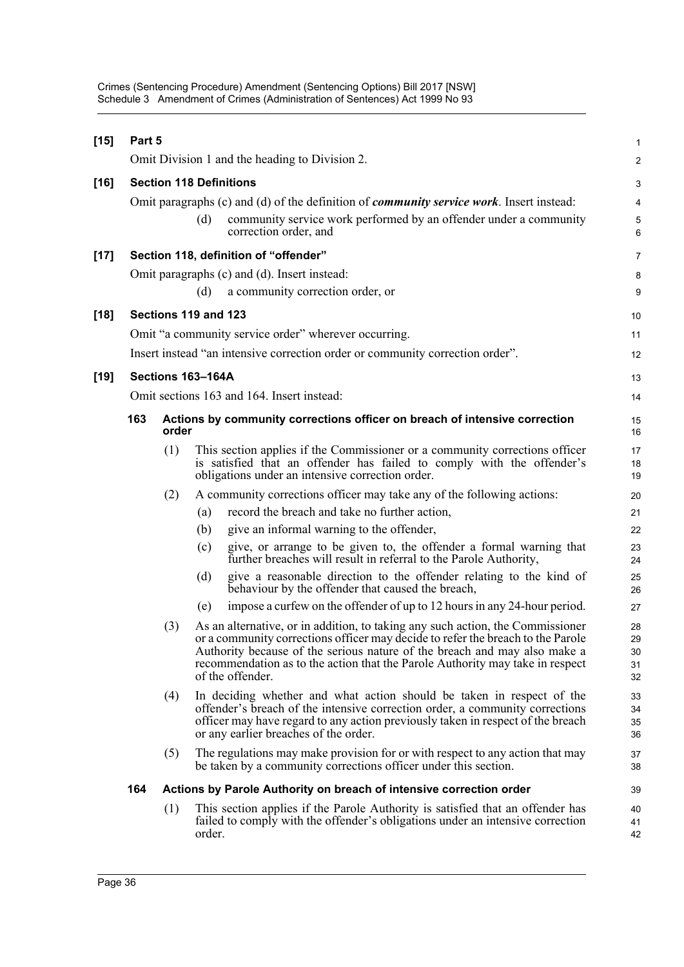| $[15]$ | Part 5               |                                            |        |                                                                                                                                                                                                                                                                                                                                                     | $\mathbf{1}$               |  |  |  |
|--------|----------------------|--------------------------------------------|--------|-----------------------------------------------------------------------------------------------------------------------------------------------------------------------------------------------------------------------------------------------------------------------------------------------------------------------------------------------------|----------------------------|--|--|--|
|        |                      |                                            |        | Omit Division 1 and the heading to Division 2.                                                                                                                                                                                                                                                                                                      | 2                          |  |  |  |
| $[16]$ |                      |                                            |        | <b>Section 118 Definitions</b>                                                                                                                                                                                                                                                                                                                      | $\ensuremath{\mathsf{3}}$  |  |  |  |
|        |                      |                                            |        | Omit paragraphs (c) and (d) of the definition of <i>community service work</i> . Insert instead:                                                                                                                                                                                                                                                    | 4                          |  |  |  |
|        |                      |                                            | (d)    | community service work performed by an offender under a community<br>correction order, and                                                                                                                                                                                                                                                          | $\sqrt{5}$<br>6            |  |  |  |
| $[17]$ |                      |                                            |        | Section 118, definition of "offender"                                                                                                                                                                                                                                                                                                               | 7                          |  |  |  |
|        |                      |                                            |        | Omit paragraphs (c) and (d). Insert instead:                                                                                                                                                                                                                                                                                                        | 8                          |  |  |  |
|        |                      |                                            | (d)    | a community correction order, or                                                                                                                                                                                                                                                                                                                    | 9                          |  |  |  |
| $[18]$ | Sections 119 and 123 |                                            |        |                                                                                                                                                                                                                                                                                                                                                     |                            |  |  |  |
|        |                      |                                            |        | Omit "a community service order" wherever occurring.                                                                                                                                                                                                                                                                                                | 11                         |  |  |  |
|        |                      |                                            |        | Insert instead "an intensive correction order or community correction order".                                                                                                                                                                                                                                                                       | 12                         |  |  |  |
| $[19]$ |                      | Sections 163-164A                          |        |                                                                                                                                                                                                                                                                                                                                                     |                            |  |  |  |
|        |                      | Omit sections 163 and 164. Insert instead: |        |                                                                                                                                                                                                                                                                                                                                                     |                            |  |  |  |
|        | 163                  | order                                      |        | Actions by community corrections officer on breach of intensive correction                                                                                                                                                                                                                                                                          | 15<br>16                   |  |  |  |
|        |                      | (1)                                        |        | This section applies if the Commissioner or a community corrections officer<br>is satisfied that an offender has failed to comply with the offender's<br>obligations under an intensive correction order.                                                                                                                                           | 17<br>18<br>19             |  |  |  |
|        |                      | (2)                                        |        | A community corrections officer may take any of the following actions:                                                                                                                                                                                                                                                                              | 20                         |  |  |  |
|        |                      |                                            | (a)    | record the breach and take no further action,                                                                                                                                                                                                                                                                                                       | 21                         |  |  |  |
|        |                      |                                            | (b)    | give an informal warning to the offender,                                                                                                                                                                                                                                                                                                           | 22                         |  |  |  |
|        |                      |                                            | (c)    | give, or arrange to be given to, the offender a formal warning that<br>further breaches will result in referral to the Parole Authority,                                                                                                                                                                                                            | 23<br>24                   |  |  |  |
|        |                      |                                            | (d)    | give a reasonable direction to the offender relating to the kind of<br>behaviour by the offender that caused the breach,                                                                                                                                                                                                                            | 25<br>26                   |  |  |  |
|        |                      |                                            | (e)    | impose a curfew on the offender of up to 12 hours in any 24-hour period.                                                                                                                                                                                                                                                                            | 27                         |  |  |  |
|        |                      | (3)                                        |        | As an alternative, or in addition, to taking any such action, the Commissioner<br>or a community corrections officer may decide to refer the breach to the Parole<br>Authority because of the serious nature of the breach and may also make a<br>recommendation as to the action that the Parole Authority may take in respect<br>of the offender. | 28<br>29<br>30<br>31<br>32 |  |  |  |
|        |                      | (4)                                        |        | In deciding whether and what action should be taken in respect of the<br>offender's breach of the intensive correction order, a community corrections<br>officer may have regard to any action previously taken in respect of the breach<br>or any earlier breaches of the order.                                                                   | 33<br>34<br>35<br>36       |  |  |  |
|        |                      | (5)                                        |        | The regulations may make provision for or with respect to any action that may<br>be taken by a community corrections officer under this section.                                                                                                                                                                                                    | 37<br>38                   |  |  |  |
|        | 164                  |                                            |        | Actions by Parole Authority on breach of intensive correction order                                                                                                                                                                                                                                                                                 | 39                         |  |  |  |
|        |                      | (1)                                        | order. | This section applies if the Parole Authority is satisfied that an offender has<br>failed to comply with the offender's obligations under an intensive correction                                                                                                                                                                                    | 40<br>41<br>42             |  |  |  |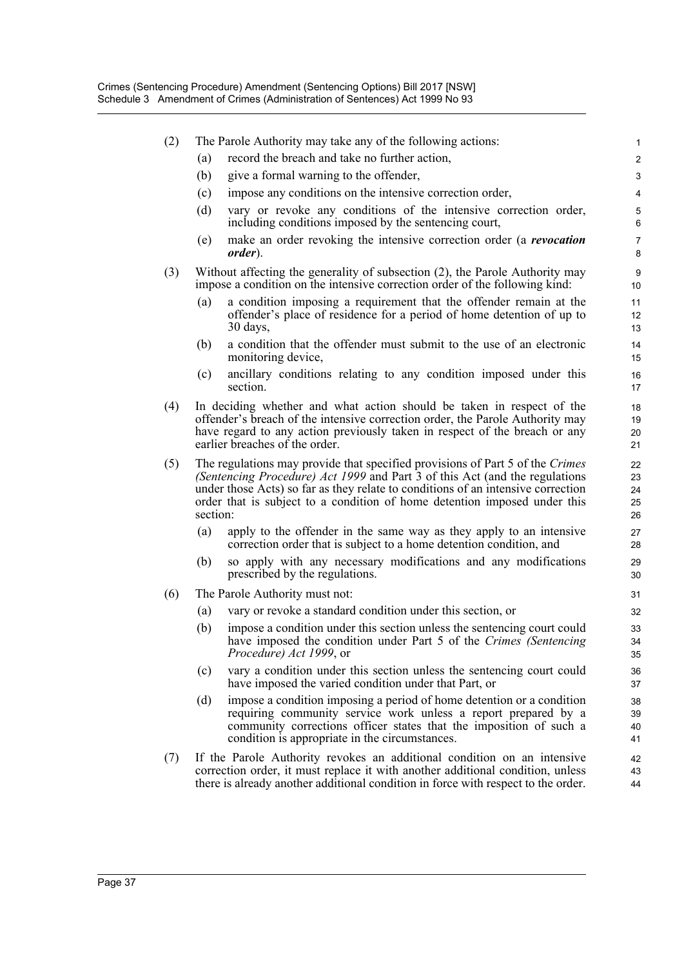| (2) |          | The Parole Authority may take any of the following actions:                                                                                                                                                                                                                                                                   | 1                           |
|-----|----------|-------------------------------------------------------------------------------------------------------------------------------------------------------------------------------------------------------------------------------------------------------------------------------------------------------------------------------|-----------------------------|
|     | (a)      | record the breach and take no further action,                                                                                                                                                                                                                                                                                 | 2                           |
|     | (b)      | give a formal warning to the offender,                                                                                                                                                                                                                                                                                        | 3                           |
|     | (c)      | impose any conditions on the intensive correction order,                                                                                                                                                                                                                                                                      | 4                           |
|     | (d)      | vary or revoke any conditions of the intensive correction order,<br>including conditions imposed by the sentencing court,                                                                                                                                                                                                     | 5<br>6                      |
|     | (e)      | make an order revoking the intensive correction order (a <i>revocation</i><br><i>order</i> ).                                                                                                                                                                                                                                 | $\overline{7}$<br>8         |
| (3) |          | Without affecting the generality of subsection (2), the Parole Authority may<br>impose a condition on the intensive correction order of the following kind:                                                                                                                                                                   | 9<br>10                     |
|     | (a)      | a condition imposing a requirement that the offender remain at the<br>offender's place of residence for a period of home detention of up to<br>30 days,                                                                                                                                                                       | 11<br>12 <sup>°</sup><br>13 |
|     | (b)      | a condition that the offender must submit to the use of an electronic<br>monitoring device,                                                                                                                                                                                                                                   | 14<br>15                    |
|     | (c)      | ancillary conditions relating to any condition imposed under this<br>section.                                                                                                                                                                                                                                                 | 16<br>17                    |
| (4) |          | In deciding whether and what action should be taken in respect of the<br>offender's breach of the intensive correction order, the Parole Authority may<br>have regard to any action previously taken in respect of the breach or any<br>earlier breaches of the order.                                                        | 18<br>19<br>20<br>21        |
| (5) | section: | The regulations may provide that specified provisions of Part 5 of the Crimes<br>(Sentencing Procedure) Act 1999 and Part 3 of this Act (and the regulations<br>under those Acts) so far as they relate to conditions of an intensive correction<br>order that is subject to a condition of home detention imposed under this | 22<br>23<br>24<br>25<br>26  |
|     | (a)      | apply to the offender in the same way as they apply to an intensive<br>correction order that is subject to a home detention condition, and                                                                                                                                                                                    | 27<br>28                    |
|     | (b)      | so apply with any necessary modifications and any modifications<br>prescribed by the regulations.                                                                                                                                                                                                                             | 29<br>30                    |
| (6) |          | The Parole Authority must not:                                                                                                                                                                                                                                                                                                | 31                          |
|     | (a)      | vary or revoke a standard condition under this section, or                                                                                                                                                                                                                                                                    | 32                          |
|     | (b)      | impose a condition under this section unless the sentencing court could<br>have imposed the condition under Part 5 of the Crimes (Sentencing<br>Procedure) Act 1999, or                                                                                                                                                       | 33<br>34<br>35              |
|     | (c)      | vary a condition under this section unless the sentencing court could<br>have imposed the varied condition under that Part, or                                                                                                                                                                                                | 36<br>37                    |
|     | (d)      | impose a condition imposing a period of home detention or a condition<br>requiring community service work unless a report prepared by a<br>community corrections officer states that the imposition of such a<br>condition is appropriate in the circumstances.                                                               | 38<br>39<br>40<br>41        |
| (7) |          | If the Parole Authority revokes an additional condition on an intensive<br>correction order, it must replace it with another additional condition, unless<br>there is already another additional condition in force with respect to the order.                                                                                | 42<br>43<br>44              |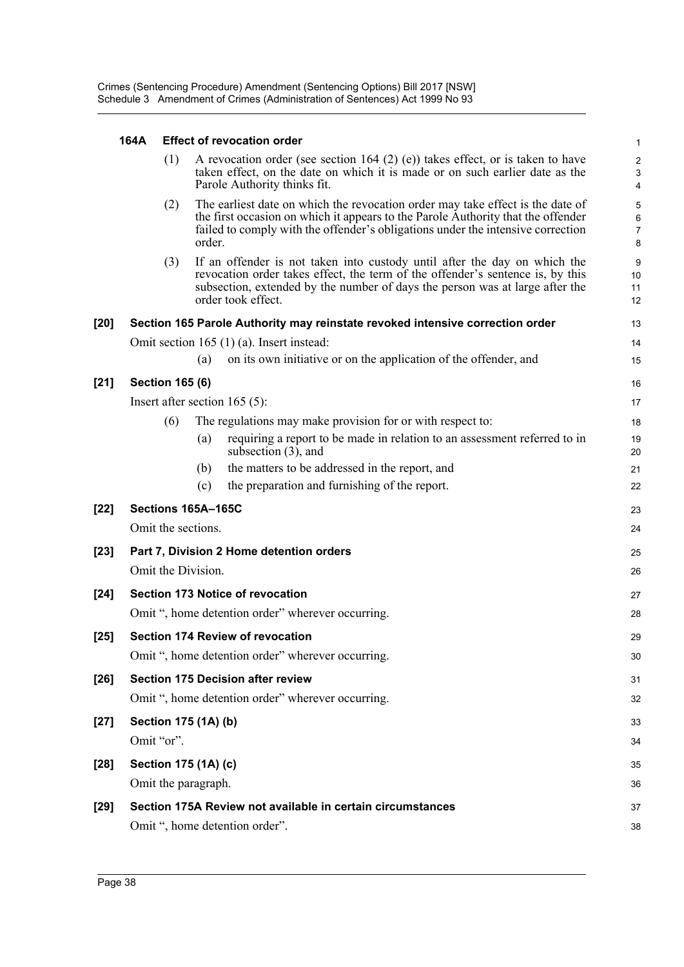#### **164A Effect of revocation order**

|        |                        |        | <b>LIICULUI IGVUURIIUII UIUCI</b>                                                                                                                                                                                                                                 | -1                                 |
|--------|------------------------|--------|-------------------------------------------------------------------------------------------------------------------------------------------------------------------------------------------------------------------------------------------------------------------|------------------------------------|
|        | (1)                    |        | A revocation order (see section 164 (2) (e)) takes effect, or is taken to have<br>taken effect, on the date on which it is made or on such earlier date as the<br>Parole Authority thinks fit.                                                                    | 2<br>3<br>4                        |
|        | (2)                    | order. | The earliest date on which the revocation order may take effect is the date of<br>the first occasion on which it appears to the Parole Authority that the offender<br>failed to comply with the offender's obligations under the intensive correction             | 5<br>6<br>$\overline{7}$<br>8      |
|        | (3)                    |        | If an offender is not taken into custody until after the day on which the<br>revocation order takes effect, the term of the offender's sentence is, by this<br>subsection, extended by the number of days the person was at large after the<br>order took effect. | $\boldsymbol{9}$<br>10<br>11<br>12 |
| $[20]$ |                        |        | Section 165 Parole Authority may reinstate revoked intensive correction order                                                                                                                                                                                     | 13                                 |
|        |                        |        | Omit section $165(1)(a)$ . Insert instead:                                                                                                                                                                                                                        | 14                                 |
|        |                        | (a)    | on its own initiative or on the application of the offender, and                                                                                                                                                                                                  | 15                                 |
| $[21]$ | <b>Section 165 (6)</b> |        |                                                                                                                                                                                                                                                                   | 16                                 |
|        |                        |        | Insert after section 165 $(5)$ :                                                                                                                                                                                                                                  | 17                                 |
|        | (6)                    |        | The regulations may make provision for or with respect to:                                                                                                                                                                                                        | 18                                 |
|        |                        | (a)    | requiring a report to be made in relation to an assessment referred to in<br>subsection $(3)$ , and                                                                                                                                                               | 19<br>20                           |
|        |                        | (b)    | the matters to be addressed in the report, and                                                                                                                                                                                                                    | 21                                 |
|        |                        | (c)    | the preparation and furnishing of the report.                                                                                                                                                                                                                     | 22                                 |
| $[22]$ | Sections 165A-165C     |        |                                                                                                                                                                                                                                                                   | 23                                 |
|        | Omit the sections.     |        |                                                                                                                                                                                                                                                                   | 24                                 |
| $[23]$ |                        |        | Part 7, Division 2 Home detention orders                                                                                                                                                                                                                          | 25                                 |
|        | Omit the Division.     |        |                                                                                                                                                                                                                                                                   | 26                                 |
| $[24]$ |                        |        | Section 173 Notice of revocation                                                                                                                                                                                                                                  | 27                                 |
|        |                        |        | Omit ", home detention order" wherever occurring.                                                                                                                                                                                                                 | 28                                 |
| $[25]$ |                        |        | <b>Section 174 Review of revocation</b>                                                                                                                                                                                                                           | 29                                 |
|        |                        |        | Omit ", home detention order" wherever occurring.                                                                                                                                                                                                                 | $30\,$                             |
| $[26]$ |                        |        | <b>Section 175 Decision after review</b>                                                                                                                                                                                                                          | 31                                 |
|        |                        |        | Omit ", home detention order" wherever occurring.                                                                                                                                                                                                                 | 32                                 |
| $[27]$ | Section 175 (1A) (b)   |        |                                                                                                                                                                                                                                                                   | 33                                 |
|        | Omit "or".             |        |                                                                                                                                                                                                                                                                   | 34                                 |
| $[28]$ | Section 175 (1A) (c)   |        |                                                                                                                                                                                                                                                                   | 35                                 |
|        | Omit the paragraph.    |        |                                                                                                                                                                                                                                                                   | 36                                 |
| $[29]$ |                        |        | Section 175A Review not available in certain circumstances                                                                                                                                                                                                        | 37                                 |
|        |                        |        | Omit ", home detention order".                                                                                                                                                                                                                                    | 38                                 |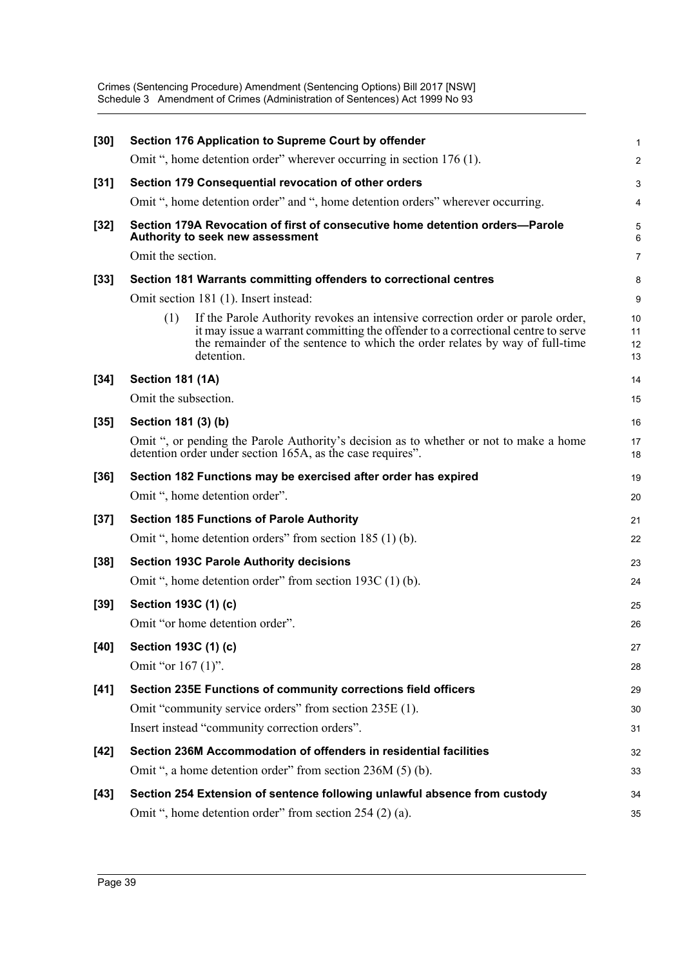| $[30]$ | Section 176 Application to Supreme Court by offender                                                                                                                                                                                                                    | $\mathbf{1}$         |
|--------|-------------------------------------------------------------------------------------------------------------------------------------------------------------------------------------------------------------------------------------------------------------------------|----------------------|
|        | Omit ", home detention order" wherever occurring in section 176 (1).                                                                                                                                                                                                    | $\overline{2}$       |
| $[31]$ | Section 179 Consequential revocation of other orders                                                                                                                                                                                                                    | 3                    |
|        | Omit ", home detention order" and ", home detention orders" wherever occurring.                                                                                                                                                                                         | 4                    |
| $[32]$ | Section 179A Revocation of first of consecutive home detention orders-Parole<br>Authority to seek new assessment                                                                                                                                                        | 5<br>6               |
|        | Omit the section.                                                                                                                                                                                                                                                       | 7                    |
| $[33]$ | Section 181 Warrants committing offenders to correctional centres                                                                                                                                                                                                       | 8                    |
|        | Omit section 181 (1). Insert instead:                                                                                                                                                                                                                                   | 9                    |
|        | (1)<br>If the Parole Authority revokes an intensive correction order or parole order,<br>it may issue a warrant committing the offender to a correctional centre to serve<br>the remainder of the sentence to which the order relates by way of full-time<br>detention. | 10<br>11<br>12<br>13 |
| $[34]$ | <b>Section 181 (1A)</b>                                                                                                                                                                                                                                                 | 14                   |
|        | Omit the subsection.                                                                                                                                                                                                                                                    | 15                   |
| $[35]$ | Section 181 (3) (b)                                                                                                                                                                                                                                                     | 16                   |
|        | Omit ", or pending the Parole Authority's decision as to whether or not to make a home<br>detention order under section 165A, as the case requires".                                                                                                                    | 17<br>18             |
| $[36]$ | Section 182 Functions may be exercised after order has expired                                                                                                                                                                                                          | 19                   |
|        | Omit ", home detention order".                                                                                                                                                                                                                                          | 20                   |
| $[37]$ | <b>Section 185 Functions of Parole Authority</b>                                                                                                                                                                                                                        | 21                   |
|        | Omit ", home detention orders" from section 185 (1) (b).                                                                                                                                                                                                                | 22                   |
| $[38]$ | <b>Section 193C Parole Authority decisions</b>                                                                                                                                                                                                                          | 23                   |
|        | Omit ", home detention order" from section 193C (1) (b).                                                                                                                                                                                                                | 24                   |
| $[39]$ | Section 193C (1) (c)                                                                                                                                                                                                                                                    | 25                   |
|        | Omit "or home detention order".                                                                                                                                                                                                                                         | 26                   |
| $[40]$ | Section 193C (1) (c)                                                                                                                                                                                                                                                    | 27                   |
|        | Omit "or 167 (1)".                                                                                                                                                                                                                                                      | 28                   |
| $[41]$ | Section 235E Functions of community corrections field officers                                                                                                                                                                                                          | 29                   |
|        | Omit "community service orders" from section 235E (1).                                                                                                                                                                                                                  | 30                   |
|        | Insert instead "community correction orders".                                                                                                                                                                                                                           | 31                   |
| $[42]$ | Section 236M Accommodation of offenders in residential facilities                                                                                                                                                                                                       | 32                   |
|        | Omit ", a home detention order" from section 236M (5) (b).                                                                                                                                                                                                              | 33                   |
| $[43]$ | Section 254 Extension of sentence following unlawful absence from custody                                                                                                                                                                                               | 34                   |
|        | Omit ", home detention order" from section 254 (2) (a).                                                                                                                                                                                                                 | 35                   |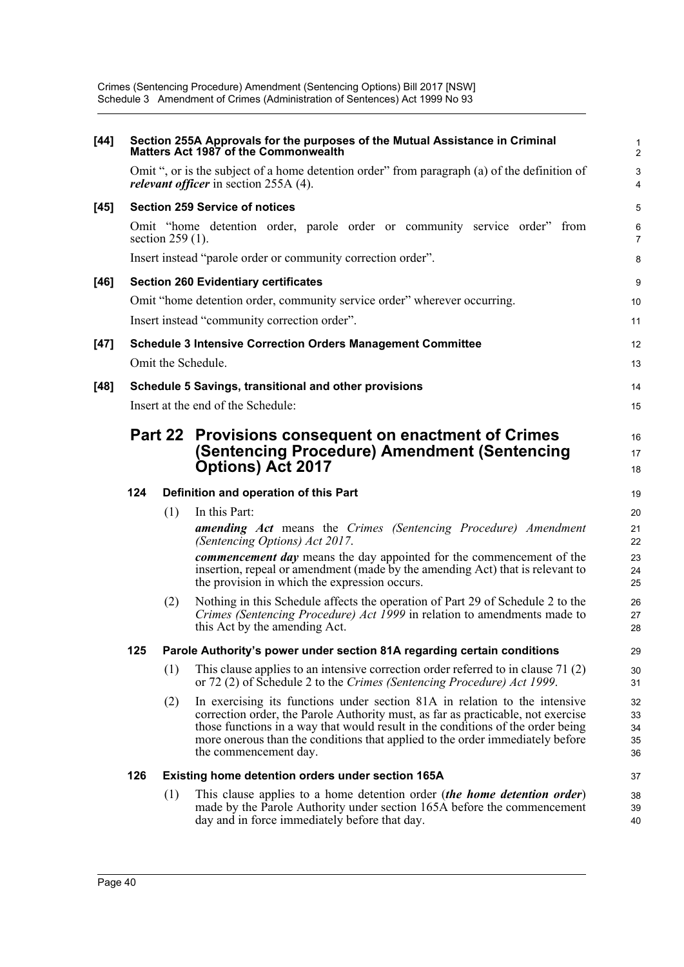Crimes (Sentencing Procedure) Amendment (Sentencing Options) Bill 2017 [NSW] Schedule 3 Amendment of Crimes (Administration of Sentences) Act 1999 No 93

| $[44]$ |     |                    | Section 255A Approvals for the purposes of the Mutual Assistance in Criminal<br><b>Matters Act 1987 of the Commonwealth</b>                                                                                                                                                                                                                                 | 1<br>$\overline{2}$            |  |  |  |  |
|--------|-----|--------------------|-------------------------------------------------------------------------------------------------------------------------------------------------------------------------------------------------------------------------------------------------------------------------------------------------------------------------------------------------------------|--------------------------------|--|--|--|--|
|        |     |                    | Omit ", or is the subject of a home detention order" from paragraph (a) of the definition of<br><i>relevant officer</i> in section 255A (4).                                                                                                                                                                                                                | $\ensuremath{\mathsf{3}}$<br>4 |  |  |  |  |
| $[45]$ |     |                    | <b>Section 259 Service of notices</b>                                                                                                                                                                                                                                                                                                                       | 5                              |  |  |  |  |
|        |     | section $259(1)$ . | Omit "home detention order, parole order or community service order" from                                                                                                                                                                                                                                                                                   | 6<br>$\overline{7}$            |  |  |  |  |
|        |     |                    | Insert instead "parole order or community correction order".                                                                                                                                                                                                                                                                                                | 8                              |  |  |  |  |
| $[46]$ |     |                    | <b>Section 260 Evidentiary certificates</b>                                                                                                                                                                                                                                                                                                                 | 9                              |  |  |  |  |
|        |     |                    | Omit "home detention order, community service order" wherever occurring.                                                                                                                                                                                                                                                                                    | 10                             |  |  |  |  |
|        |     |                    | Insert instead "community correction order".                                                                                                                                                                                                                                                                                                                | 11                             |  |  |  |  |
| $[47]$ |     |                    | <b>Schedule 3 Intensive Correction Orders Management Committee</b>                                                                                                                                                                                                                                                                                          | 12                             |  |  |  |  |
|        |     |                    | Omit the Schedule.                                                                                                                                                                                                                                                                                                                                          | 13                             |  |  |  |  |
| $[48]$ |     |                    | Schedule 5 Savings, transitional and other provisions                                                                                                                                                                                                                                                                                                       | 14                             |  |  |  |  |
|        |     |                    | Insert at the end of the Schedule:                                                                                                                                                                                                                                                                                                                          | 15                             |  |  |  |  |
|        |     |                    | Part 22 Provisions consequent on enactment of Crimes<br>(Sentencing Procedure) Amendment (Sentencing<br><b>Options) Act 2017</b>                                                                                                                                                                                                                            |                                |  |  |  |  |
|        | 124 |                    | Definition and operation of this Part                                                                                                                                                                                                                                                                                                                       | 19                             |  |  |  |  |
|        |     | (1)                | In this Part:                                                                                                                                                                                                                                                                                                                                               | 20                             |  |  |  |  |
|        |     |                    | <b>amending Act</b> means the Crimes (Sentencing Procedure) Amendment<br>(Sentencing Options) Act 2017.                                                                                                                                                                                                                                                     | 21<br>22                       |  |  |  |  |
|        |     |                    | <b><i>commencement day</i></b> means the day appointed for the commencement of the<br>insertion, repeal or amendment (made by the amending Act) that is relevant to<br>the provision in which the expression occurs.                                                                                                                                        | 23<br>24<br>25                 |  |  |  |  |
|        |     | (2)                | Nothing in this Schedule affects the operation of Part 29 of Schedule 2 to the<br>Crimes (Sentencing Procedure) Act 1999 in relation to amendments made to<br>this Act by the amending Act.                                                                                                                                                                 | 26<br>27<br>28                 |  |  |  |  |
|        | 125 |                    | Parole Authority's power under section 81A regarding certain conditions                                                                                                                                                                                                                                                                                     | 29                             |  |  |  |  |
|        |     | (1)                | This clause applies to an intensive correction order referred to in clause 71 (2)<br>or 72 (2) of Schedule 2 to the Crimes (Sentencing Procedure) Act 1999.                                                                                                                                                                                                 | 30<br>31                       |  |  |  |  |
|        |     | (2)                | In exercising its functions under section 81A in relation to the intensive<br>correction order, the Parole Authority must, as far as practicable, not exercise<br>those functions in a way that would result in the conditions of the order being<br>more onerous than the conditions that applied to the order immediately before<br>the commencement day. | 32<br>33<br>34<br>35<br>36     |  |  |  |  |
|        | 126 |                    | Existing home detention orders under section 165A                                                                                                                                                                                                                                                                                                           | 37                             |  |  |  |  |
|        |     | (1)                | This clause applies to a home detention order (the home detention order)<br>made by the Parole Authority under section 165A before the commencement<br>day and in force immediately before that day.                                                                                                                                                        | 38<br>39<br>40                 |  |  |  |  |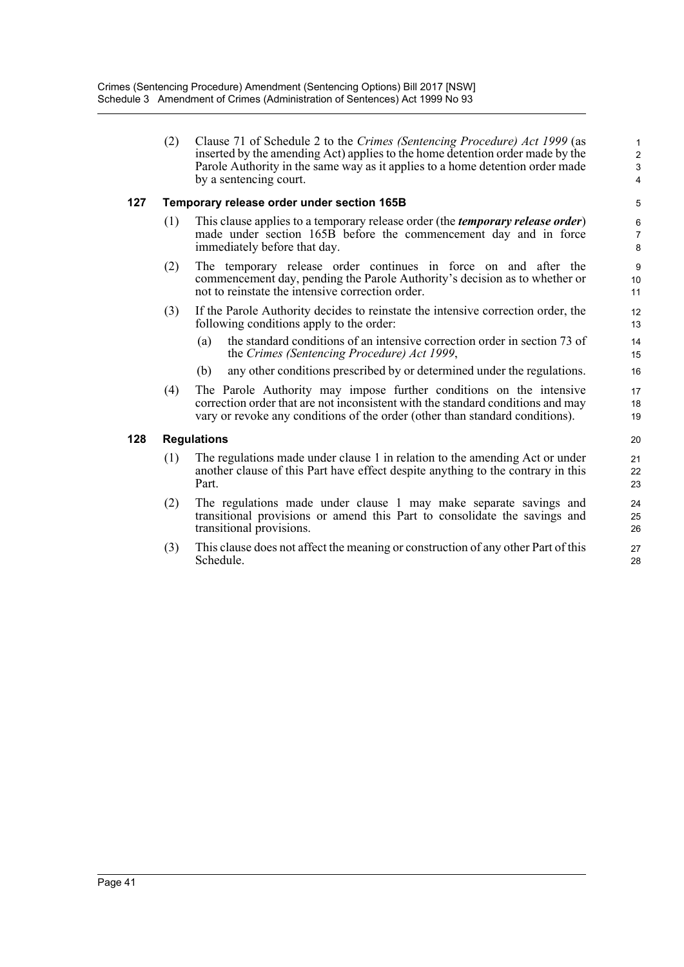(2) Clause 71 of Schedule 2 to the *Crimes (Sentencing Procedure) Act 1999* (as inserted by the amending Act) applies to the home detention order made by the Parole Authority in the same way as it applies to a home detention order made by a sentencing court.

#### **127 Temporary release order under section 165B**

- (1) This clause applies to a temporary release order (the *temporary release order*) made under section 165B before the commencement day and in force immediately before that day.
- (2) The temporary release order continues in force on and after the commencement day, pending the Parole Authority's decision as to whether or not to reinstate the intensive correction order.
- (3) If the Parole Authority decides to reinstate the intensive correction order, the following conditions apply to the order:
	- (a) the standard conditions of an intensive correction order in section 73 of the *Crimes (Sentencing Procedure) Act 1999*,
	- (b) any other conditions prescribed by or determined under the regulations.
- (4) The Parole Authority may impose further conditions on the intensive correction order that are not inconsistent with the standard conditions and may vary or revoke any conditions of the order (other than standard conditions).

#### **128 Regulations**

- (1) The regulations made under clause 1 in relation to the amending Act or under another clause of this Part have effect despite anything to the contrary in this Part.
- (2) The regulations made under clause 1 may make separate savings and transitional provisions or amend this Part to consolidate the savings and transitional provisions.
- (3) This clause does not affect the meaning or construction of any other Part of this Schedule.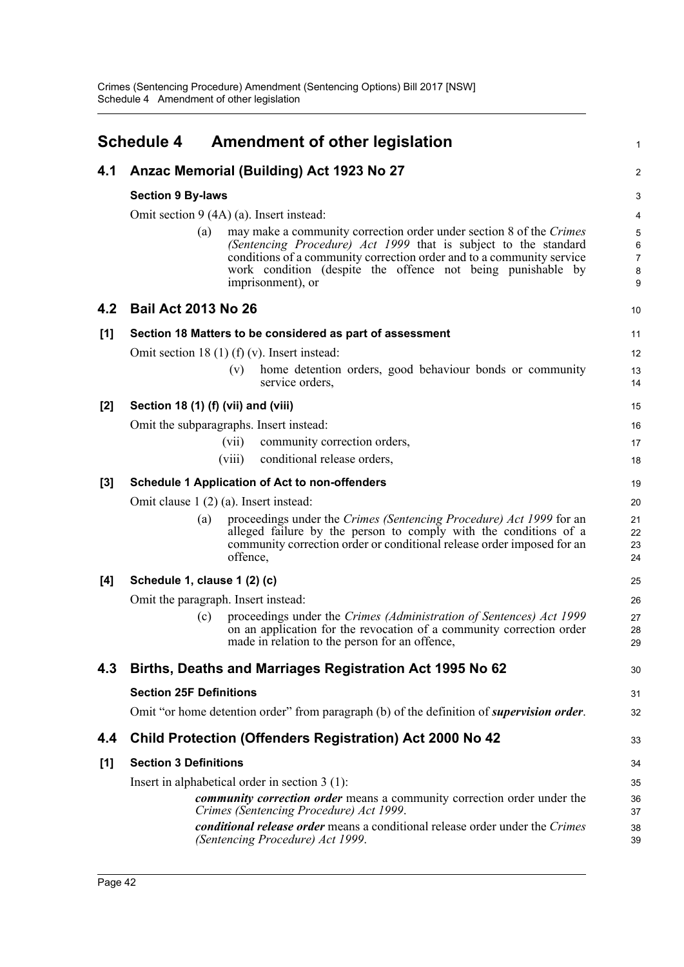<span id="page-50-0"></span>

|     | <b>Schedule 4</b>                   | <b>Amendment of other legislation</b>                                                                                                                                                                                                                                                               | $\mathbf{1}$                                      |  |  |  |  |  |
|-----|-------------------------------------|-----------------------------------------------------------------------------------------------------------------------------------------------------------------------------------------------------------------------------------------------------------------------------------------------------|---------------------------------------------------|--|--|--|--|--|
| 4.1 |                                     | Anzac Memorial (Building) Act 1923 No 27                                                                                                                                                                                                                                                            | $\boldsymbol{2}$                                  |  |  |  |  |  |
|     | <b>Section 9 By-laws</b>            |                                                                                                                                                                                                                                                                                                     | $\ensuremath{\mathsf{3}}$                         |  |  |  |  |  |
|     |                                     | Omit section 9 (4A) (a). Insert instead:                                                                                                                                                                                                                                                            |                                                   |  |  |  |  |  |
|     | (a)                                 | may make a community correction order under section 8 of the Crimes<br>(Sentencing Procedure) Act 1999 that is subject to the standard<br>conditions of a community correction order and to a community service<br>work condition (despite the offence not being punishable by<br>imprisonment), or | $\sqrt{5}$<br>6<br>$\overline{7}$<br>$\bf 8$<br>9 |  |  |  |  |  |
| 4.2 | <b>Bail Act 2013 No 26</b>          |                                                                                                                                                                                                                                                                                                     | 10                                                |  |  |  |  |  |
| [1] |                                     | Section 18 Matters to be considered as part of assessment                                                                                                                                                                                                                                           | 11                                                |  |  |  |  |  |
|     |                                     | Omit section 18 (1) (f) (v). Insert instead:                                                                                                                                                                                                                                                        | 12                                                |  |  |  |  |  |
|     |                                     | home detention orders, good behaviour bonds or community<br>(v)<br>service orders,                                                                                                                                                                                                                  | 13<br>14                                          |  |  |  |  |  |
| [2] | Section 18 (1) (f) (vii) and (viii) |                                                                                                                                                                                                                                                                                                     | 15                                                |  |  |  |  |  |
|     |                                     | Omit the subparagraphs. Insert instead:                                                                                                                                                                                                                                                             | 16                                                |  |  |  |  |  |
|     |                                     | community correction orders,<br>(vii)                                                                                                                                                                                                                                                               | 17                                                |  |  |  |  |  |
|     |                                     | conditional release orders,<br>(viii)                                                                                                                                                                                                                                                               | 18                                                |  |  |  |  |  |
| [3] |                                     | <b>Schedule 1 Application of Act to non-offenders</b>                                                                                                                                                                                                                                               | 19                                                |  |  |  |  |  |
|     |                                     | Omit clause $1(2)(a)$ . Insert instead:                                                                                                                                                                                                                                                             | 20                                                |  |  |  |  |  |
|     | (a)                                 | proceedings under the Crimes (Sentencing Procedure) Act 1999 for an<br>alleged failure by the person to comply with the conditions of a<br>community correction order or conditional release order imposed for an<br>offence,                                                                       | 21<br>22<br>23<br>24                              |  |  |  |  |  |
| [4] | Schedule 1, clause 1 (2) (c)        |                                                                                                                                                                                                                                                                                                     | 25                                                |  |  |  |  |  |
|     |                                     | Omit the paragraph. Insert instead:                                                                                                                                                                                                                                                                 | 26                                                |  |  |  |  |  |
|     | (c)                                 | proceedings under the Crimes (Administration of Sentences) Act 1999<br>on an application for the revocation of a community correction order<br>made in relation to the person for an offence,                                                                                                       | 27<br>28<br>29                                    |  |  |  |  |  |
| 4.3 |                                     | Births, Deaths and Marriages Registration Act 1995 No 62                                                                                                                                                                                                                                            | 30                                                |  |  |  |  |  |
|     | <b>Section 25F Definitions</b>      |                                                                                                                                                                                                                                                                                                     | 31                                                |  |  |  |  |  |
|     |                                     | Omit "or home detention order" from paragraph (b) of the definition of <i>supervision order</i> .                                                                                                                                                                                                   | 32                                                |  |  |  |  |  |
| 4.4 |                                     | <b>Child Protection (Offenders Registration) Act 2000 No 42</b>                                                                                                                                                                                                                                     | 33                                                |  |  |  |  |  |
| [1] | <b>Section 3 Definitions</b>        |                                                                                                                                                                                                                                                                                                     | 34                                                |  |  |  |  |  |
|     |                                     | Insert in alphabetical order in section $3(1)$ :                                                                                                                                                                                                                                                    | 35                                                |  |  |  |  |  |
|     |                                     | <i>community correction order</i> means a community correction order under the<br>Crimes (Sentencing Procedure) Act 1999.                                                                                                                                                                           | 36<br>37                                          |  |  |  |  |  |
|     |                                     | conditional release order means a conditional release order under the Crimes<br>(Sentencing Procedure) Act 1999.                                                                                                                                                                                    | 38<br>39                                          |  |  |  |  |  |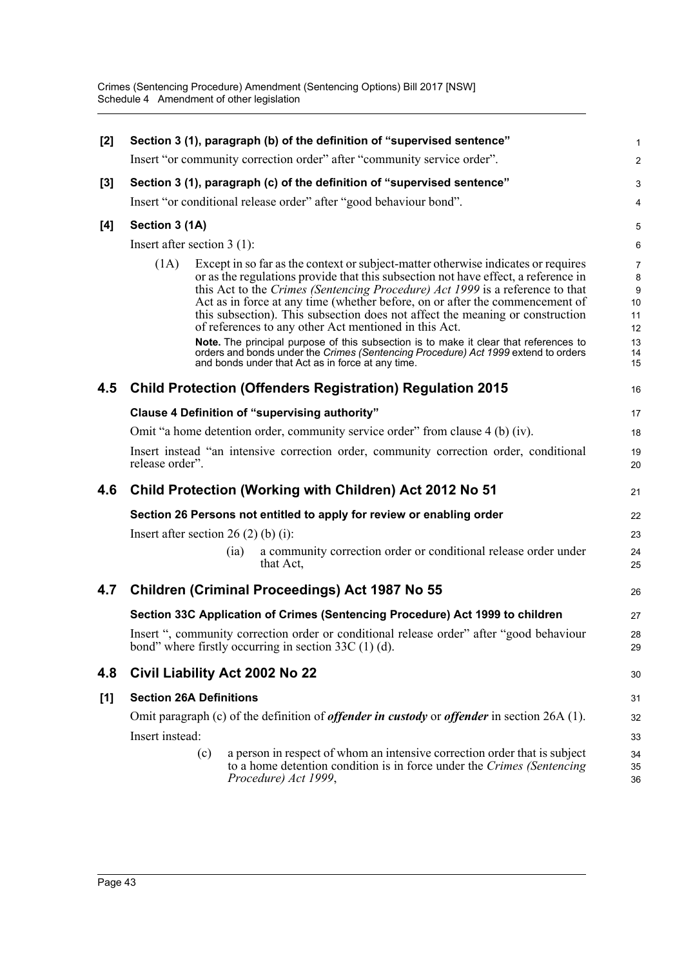| [2]<br>Section 3 (1), paragraph (b) of the definition of "supervised sentence" |                                                                                |                      |                                                                                                                                                                                                                                                                                                                                                                                                                                                                                                                                                                                                                                                                                                                        |                                                              |  |  |  |
|--------------------------------------------------------------------------------|--------------------------------------------------------------------------------|----------------------|------------------------------------------------------------------------------------------------------------------------------------------------------------------------------------------------------------------------------------------------------------------------------------------------------------------------------------------------------------------------------------------------------------------------------------------------------------------------------------------------------------------------------------------------------------------------------------------------------------------------------------------------------------------------------------------------------------------------|--------------------------------------------------------------|--|--|--|
|                                                                                |                                                                                |                      | Insert "or community correction order" after "community service order".                                                                                                                                                                                                                                                                                                                                                                                                                                                                                                                                                                                                                                                | $\overline{2}$                                               |  |  |  |
| $[3]$                                                                          | Section 3 (1), paragraph (c) of the definition of "supervised sentence"        |                      |                                                                                                                                                                                                                                                                                                                                                                                                                                                                                                                                                                                                                                                                                                                        |                                                              |  |  |  |
|                                                                                |                                                                                |                      | Insert "or conditional release order" after "good behaviour bond".                                                                                                                                                                                                                                                                                                                                                                                                                                                                                                                                                                                                                                                     | 4                                                            |  |  |  |
| [4]                                                                            | Section 3 (1A)                                                                 |                      |                                                                                                                                                                                                                                                                                                                                                                                                                                                                                                                                                                                                                                                                                                                        | $\mathbf 5$                                                  |  |  |  |
|                                                                                | Insert after section $3(1)$ :                                                  |                      |                                                                                                                                                                                                                                                                                                                                                                                                                                                                                                                                                                                                                                                                                                                        | 6                                                            |  |  |  |
|                                                                                | (1A)                                                                           |                      | Except in so far as the context or subject-matter otherwise indicates or requires<br>or as the regulations provide that this subsection not have effect, a reference in<br>this Act to the Crimes (Sentencing Procedure) Act 1999 is a reference to that<br>Act as in force at any time (whether before, on or after the commencement of<br>this subsection). This subsection does not affect the meaning or construction<br>of references to any other Act mentioned in this Act.<br>Note. The principal purpose of this subsection is to make it clear that references to<br>orders and bonds under the Crimes (Sentencing Procedure) Act 1999 extend to orders<br>and bonds under that Act as in force at any time. | $\overline{7}$<br>8<br>9<br>10<br>11<br>12<br>13<br>14<br>15 |  |  |  |
| 4.5                                                                            |                                                                                |                      | <b>Child Protection (Offenders Registration) Regulation 2015</b>                                                                                                                                                                                                                                                                                                                                                                                                                                                                                                                                                                                                                                                       | 16                                                           |  |  |  |
|                                                                                | Clause 4 Definition of "supervising authority"                                 |                      |                                                                                                                                                                                                                                                                                                                                                                                                                                                                                                                                                                                                                                                                                                                        | 17                                                           |  |  |  |
|                                                                                | Omit "a home detention order, community service order" from clause 4 (b) (iv). |                      |                                                                                                                                                                                                                                                                                                                                                                                                                                                                                                                                                                                                                                                                                                                        |                                                              |  |  |  |
|                                                                                | release order".                                                                |                      | Insert instead "an intensive correction order, community correction order, conditional                                                                                                                                                                                                                                                                                                                                                                                                                                                                                                                                                                                                                                 | 19<br>20                                                     |  |  |  |
| 4.6                                                                            |                                                                                |                      | Child Protection (Working with Children) Act 2012 No 51                                                                                                                                                                                                                                                                                                                                                                                                                                                                                                                                                                                                                                                                | 21                                                           |  |  |  |
|                                                                                |                                                                                |                      | Section 26 Persons not entitled to apply for review or enabling order                                                                                                                                                                                                                                                                                                                                                                                                                                                                                                                                                                                                                                                  | 22                                                           |  |  |  |
|                                                                                | Insert after section $26(2)$ (b) (i):                                          |                      |                                                                                                                                                                                                                                                                                                                                                                                                                                                                                                                                                                                                                                                                                                                        | 23                                                           |  |  |  |
|                                                                                |                                                                                | (ia)<br>that Act,    | a community correction order or conditional release order under                                                                                                                                                                                                                                                                                                                                                                                                                                                                                                                                                                                                                                                        | 24<br>25                                                     |  |  |  |
| 4.7                                                                            |                                                                                |                      | <b>Children (Criminal Proceedings) Act 1987 No 55</b>                                                                                                                                                                                                                                                                                                                                                                                                                                                                                                                                                                                                                                                                  | 26                                                           |  |  |  |
|                                                                                |                                                                                |                      | Section 33C Application of Crimes (Sentencing Procedure) Act 1999 to children                                                                                                                                                                                                                                                                                                                                                                                                                                                                                                                                                                                                                                          | 27                                                           |  |  |  |
|                                                                                |                                                                                |                      | Insert ", community correction order or conditional release order" after "good behaviour<br>bond" where firstly occurring in section 33C (1) (d).                                                                                                                                                                                                                                                                                                                                                                                                                                                                                                                                                                      | 28<br>29                                                     |  |  |  |
| 4.8                                                                            | Civil Liability Act 2002 No 22                                                 |                      |                                                                                                                                                                                                                                                                                                                                                                                                                                                                                                                                                                                                                                                                                                                        | 30                                                           |  |  |  |
| [1]                                                                            | <b>Section 26A Definitions</b>                                                 |                      |                                                                                                                                                                                                                                                                                                                                                                                                                                                                                                                                                                                                                                                                                                                        | 31                                                           |  |  |  |
|                                                                                |                                                                                |                      | Omit paragraph (c) of the definition of <i>offender in custody</i> or <i>offender</i> in section $26A(1)$ .                                                                                                                                                                                                                                                                                                                                                                                                                                                                                                                                                                                                            | 32                                                           |  |  |  |
|                                                                                | Insert instead:                                                                |                      |                                                                                                                                                                                                                                                                                                                                                                                                                                                                                                                                                                                                                                                                                                                        | 33                                                           |  |  |  |
|                                                                                | (c)                                                                            | Procedure) Act 1999, | a person in respect of whom an intensive correction order that is subject<br>to a home detention condition is in force under the Crimes (Sentencing                                                                                                                                                                                                                                                                                                                                                                                                                                                                                                                                                                    | 34<br>35<br>36                                               |  |  |  |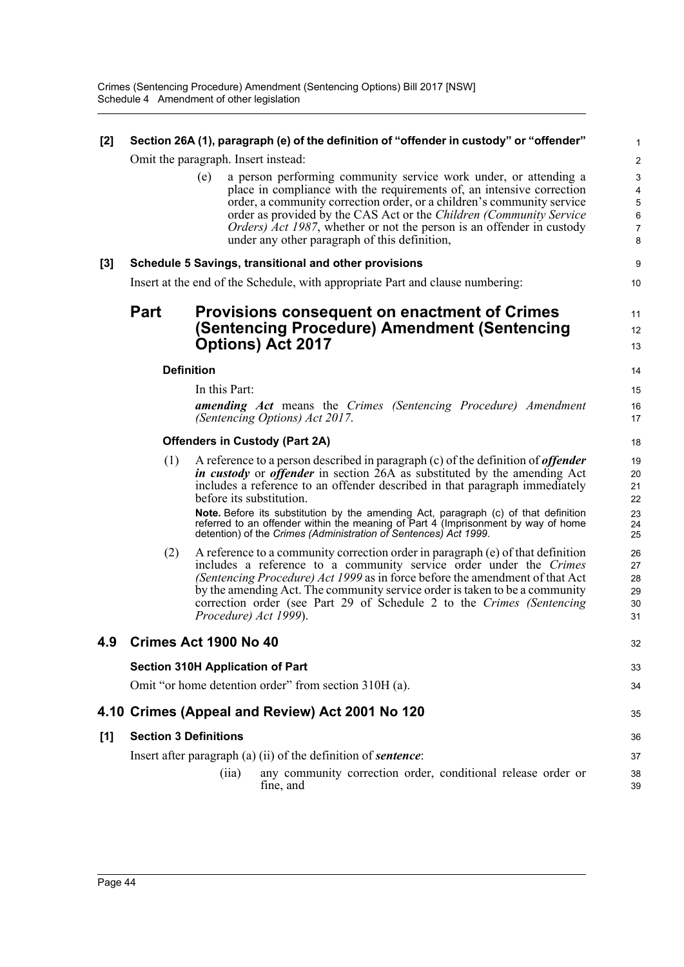| [2] |                                       |                                         | Section 26A (1), paragraph (e) of the definition of "offender in custody" or "offender"                                                                                                                                                                                                                                                                                                                                                                                                                            | 1                                                                  |  |  |  |
|-----|---------------------------------------|-----------------------------------------|--------------------------------------------------------------------------------------------------------------------------------------------------------------------------------------------------------------------------------------------------------------------------------------------------------------------------------------------------------------------------------------------------------------------------------------------------------------------------------------------------------------------|--------------------------------------------------------------------|--|--|--|
|     |                                       | Omit the paragraph. Insert instead:     |                                                                                                                                                                                                                                                                                                                                                                                                                                                                                                                    | $\overline{\mathbf{c}}$                                            |  |  |  |
|     |                                       | (e)                                     | a person performing community service work under, or attending a<br>place in compliance with the requirements of, an intensive correction<br>order, a community correction order, or a children's community service<br>order as provided by the CAS Act or the Children (Community Service<br><i>Orders</i> ) <i>Act 1987</i> , whether or not the person is an offender in custody<br>under any other paragraph of this definition,                                                                               | 3<br>4<br>5<br>$\epsilon$<br>$\begin{array}{c} 7 \\ 8 \end{array}$ |  |  |  |
| [3] |                                       |                                         | Schedule 5 Savings, transitional and other provisions                                                                                                                                                                                                                                                                                                                                                                                                                                                              | g                                                                  |  |  |  |
|     |                                       |                                         | Insert at the end of the Schedule, with appropriate Part and clause numbering:                                                                                                                                                                                                                                                                                                                                                                                                                                     | 10                                                                 |  |  |  |
|     | <b>Part</b>                           |                                         | <b>Provisions consequent on enactment of Crimes</b><br>(Sentencing Procedure) Amendment (Sentencing<br><b>Options) Act 2017</b>                                                                                                                                                                                                                                                                                                                                                                                    | 11<br>12<br>13                                                     |  |  |  |
|     | <b>Definition</b>                     |                                         |                                                                                                                                                                                                                                                                                                                                                                                                                                                                                                                    | 14                                                                 |  |  |  |
|     |                                       | In this Part:                           | <b>amending Act</b> means the Crimes (Sentencing Procedure) Amendment<br>(Sentencing Options) Act 2017.                                                                                                                                                                                                                                                                                                                                                                                                            | 15<br>16<br>17                                                     |  |  |  |
|     | <b>Offenders in Custody (Part 2A)</b> |                                         |                                                                                                                                                                                                                                                                                                                                                                                                                                                                                                                    |                                                                    |  |  |  |
|     | (1)                                   | before its substitution.                | A reference to a person described in paragraph $(c)$ of the definition of <i>offender</i><br><i>in custody</i> or <i>offender</i> in section 26A as substituted by the amending Act<br>includes a reference to an offender described in that paragraph immediately<br>Note. Before its substitution by the amending Act, paragraph (c) of that definition<br>referred to an offender within the meaning of Part 4 (Imprisonment by way of home<br>detention) of the Crimes (Administration of Sentences) Act 1999. | 19<br>20<br>21<br>22<br>23<br>24<br>25                             |  |  |  |
|     | (2)                                   | Procedure) Act 1999).                   | A reference to a community correction order in paragraph $(e)$ of that definition<br>includes a reference to a community service order under the Crimes<br>(Sentencing Procedure) Act 1999 as in force before the amendment of that Act<br>by the amending Act. The community service order is taken to be a community<br>correction order (see Part 29 of Schedule 2 to the Crimes (Sentencing                                                                                                                    | 26<br>27<br>28<br>29<br>30<br>31                                   |  |  |  |
| 4.9 |                                       | Crimes Act 1900 No 40                   |                                                                                                                                                                                                                                                                                                                                                                                                                                                                                                                    | 32                                                                 |  |  |  |
|     |                                       | <b>Section 310H Application of Part</b> |                                                                                                                                                                                                                                                                                                                                                                                                                                                                                                                    | 33                                                                 |  |  |  |
|     |                                       |                                         | Omit "or home detention order" from section 310H (a).                                                                                                                                                                                                                                                                                                                                                                                                                                                              | 34                                                                 |  |  |  |
|     |                                       |                                         | 4.10 Crimes (Appeal and Review) Act 2001 No 120                                                                                                                                                                                                                                                                                                                                                                                                                                                                    | 35                                                                 |  |  |  |
| [1] | <b>Section 3 Definitions</b>          |                                         |                                                                                                                                                                                                                                                                                                                                                                                                                                                                                                                    | 36                                                                 |  |  |  |
|     |                                       | (iia)                                   | Insert after paragraph (a) (ii) of the definition of <b>sentence</b> :<br>any community correction order, conditional release order or<br>fine, and                                                                                                                                                                                                                                                                                                                                                                | 37<br>38<br>39                                                     |  |  |  |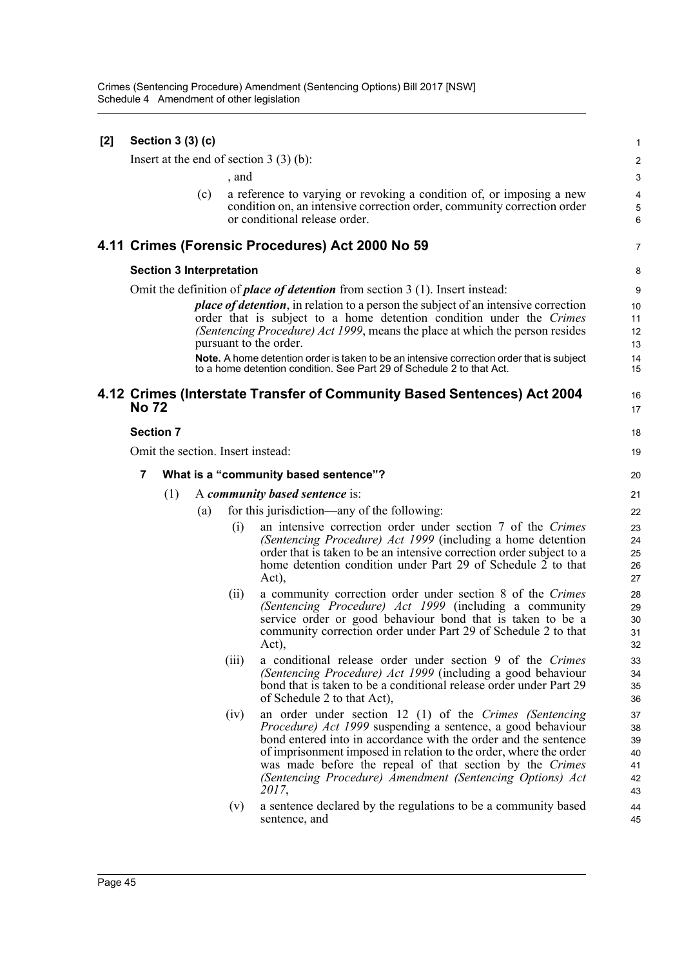| $[2]$ |                                            | Section 3 (3) (c) |                                 |       |                                                                                                                                   | $\mathbf{1}$   |
|-------|--------------------------------------------|-------------------|---------------------------------|-------|-----------------------------------------------------------------------------------------------------------------------------------|----------------|
|       |                                            |                   |                                 |       | Insert at the end of section $3(3)(b)$ :                                                                                          | $\overline{c}$ |
|       |                                            |                   |                                 | , and |                                                                                                                                   | 3              |
|       |                                            |                   | (c)                             |       | a reference to varying or revoking a condition of, or imposing a new                                                              | $\overline{4}$ |
|       |                                            |                   |                                 |       | condition on, an intensive correction order, community correction order                                                           | $\,$ 5 $\,$    |
|       |                                            |                   |                                 |       | or conditional release order.                                                                                                     | 6              |
|       |                                            |                   |                                 |       | 4.11 Crimes (Forensic Procedures) Act 2000 No 59                                                                                  | 7              |
|       |                                            |                   | <b>Section 3 Interpretation</b> |       |                                                                                                                                   | 8              |
|       |                                            |                   |                                 |       | Omit the definition of <i>place of detention</i> from section 3 (1). Insert instead:                                              | 9              |
|       |                                            |                   |                                 |       | <i>place of detention</i> , in relation to a person the subject of an intensive correction                                        | 10             |
|       |                                            |                   |                                 |       | order that is subject to a home detention condition under the Crimes                                                              | 11             |
|       |                                            |                   |                                 |       | (Sentencing Procedure) Act 1999, means the place at which the person resides<br>pursuant to the order.                            | 12<br>13       |
|       |                                            |                   |                                 |       | <b>Note.</b> A home detention order is taken to be an intensive correction order that is subject                                  | 14             |
|       |                                            |                   |                                 |       | to a home detention condition. See Part 29 of Schedule 2 to that Act.                                                             | 15             |
|       |                                            |                   |                                 |       | 4.12 Crimes (Interstate Transfer of Community Based Sentences) Act 2004                                                           | 16             |
|       | <b>No 72</b>                               |                   |                                 |       |                                                                                                                                   | 17             |
|       | <b>Section 7</b>                           |                   |                                 |       |                                                                                                                                   | 18             |
|       |                                            |                   |                                 |       | Omit the section. Insert instead:                                                                                                 | 19             |
|       | 7<br>What is a "community based sentence"? |                   |                                 |       |                                                                                                                                   |                |
|       |                                            | (1)               |                                 |       | A community based sentence is:                                                                                                    | 21             |
|       |                                            |                   | (a)                             |       | for this jurisdiction—any of the following:                                                                                       | 22             |
|       |                                            |                   |                                 | (i)   | an intensive correction order under section 7 of the Crimes                                                                       | 23             |
|       |                                            |                   |                                 |       | (Sentencing Procedure) Act 1999 (including a home detention                                                                       | 24             |
|       |                                            |                   |                                 |       | order that is taken to be an intensive correction order subject to a                                                              | 25             |
|       |                                            |                   |                                 |       | home detention condition under Part 29 of Schedule 2 to that<br>Act),                                                             | 26<br>27       |
|       |                                            |                   |                                 | (ii)  | a community correction order under section 8 of the Crimes                                                                        | 28             |
|       |                                            |                   |                                 |       | (Sentencing Procedure) Act 1999 (including a community                                                                            | 29             |
|       |                                            |                   |                                 |       | service order or good behaviour bond that is taken to be a                                                                        | 30             |
|       |                                            |                   |                                 |       | community correction order under Part 29 of Schedule 2 to that                                                                    | 31             |
|       |                                            |                   |                                 |       | Act),                                                                                                                             | 32             |
|       |                                            |                   |                                 | (iii) | a conditional release order under section 9 of the Crimes                                                                         | 33             |
|       |                                            |                   |                                 |       | (Sentencing Procedure) Act 1999 (including a good behaviour<br>bond that is taken to be a conditional release order under Part 29 | 34<br>35       |
|       |                                            |                   |                                 |       | of Schedule 2 to that Act),                                                                                                       | 36             |
|       |                                            |                   |                                 | (iv)  | an order under section 12 (1) of the Crimes (Sentencing                                                                           | 37             |
|       |                                            |                   |                                 |       | Procedure) Act 1999 suspending a sentence, a good behaviour                                                                       | 38             |
|       |                                            |                   |                                 |       | bond entered into in accordance with the order and the sentence                                                                   | 39             |
|       |                                            |                   |                                 |       | of imprisonment imposed in relation to the order, where the order<br>was made before the repeal of that section by the Crimes     | 40<br>41       |
|       |                                            |                   |                                 |       | (Sentencing Procedure) Amendment (Sentencing Options) Act                                                                         | 42             |
|       |                                            |                   |                                 |       | 2017,                                                                                                                             | 43             |
|       |                                            |                   |                                 | (v)   | a sentence declared by the regulations to be a community based                                                                    | 44             |
|       |                                            |                   |                                 |       | sentence, and                                                                                                                     | 45             |
|       |                                            |                   |                                 |       |                                                                                                                                   |                |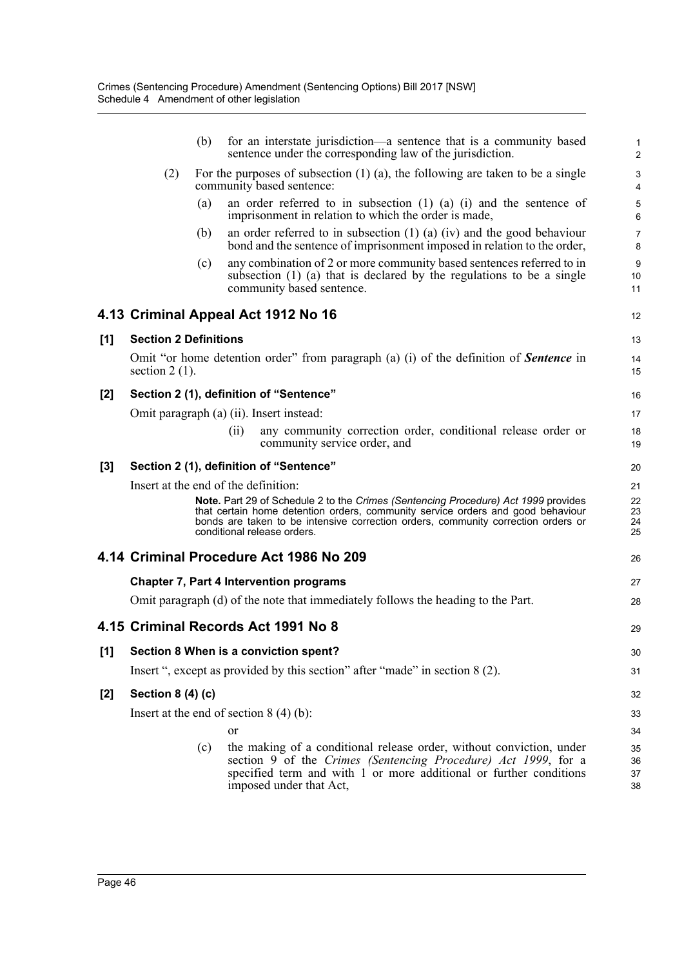|     |                              | (b) | for an interstate jurisdiction—a sentence that is a community based<br>sentence under the corresponding law of the jurisdiction.                                                                                                                                                          | 1<br>$\overline{c}$  |
|-----|------------------------------|-----|-------------------------------------------------------------------------------------------------------------------------------------------------------------------------------------------------------------------------------------------------------------------------------------------|----------------------|
|     | (2)                          |     | For the purposes of subsection $(1)$ $(a)$ , the following are taken to be a single<br>community based sentence:                                                                                                                                                                          | 3<br>4               |
|     |                              | (a) | an order referred to in subsection $(1)$ $(a)$ $(i)$ and the sentence of<br>imprisonment in relation to which the order is made,                                                                                                                                                          | 5<br>6               |
|     |                              | (b) | an order referred to in subsection $(1)$ $(a)$ $(iv)$ and the good behaviour<br>bond and the sentence of imprisonment imposed in relation to the order,                                                                                                                                   | $\overline{7}$<br>8  |
|     |                              | (c) | any combination of 2 or more community based sentences referred to in<br>subsection (1) (a) that is declared by the regulations to be a single<br>community based sentence.                                                                                                               | 9<br>10<br>11        |
|     |                              |     | 4.13 Criminal Appeal Act 1912 No 16                                                                                                                                                                                                                                                       | 12                   |
| [1] | <b>Section 2 Definitions</b> |     |                                                                                                                                                                                                                                                                                           | 13                   |
|     | section $2(1)$ .             |     | Omit "or home detention order" from paragraph (a) (i) of the definition of <b>Sentence</b> in                                                                                                                                                                                             | 14<br>15             |
| [2] |                              |     | Section 2 (1), definition of "Sentence"                                                                                                                                                                                                                                                   | 16                   |
|     |                              |     | Omit paragraph (a) (ii). Insert instead:                                                                                                                                                                                                                                                  | 17                   |
|     |                              |     | any community correction order, conditional release order or<br>(ii)<br>community service order, and                                                                                                                                                                                      | 18<br>19             |
| [3] |                              |     | Section 2 (1), definition of "Sentence"                                                                                                                                                                                                                                                   | 20                   |
|     |                              |     | Insert at the end of the definition:                                                                                                                                                                                                                                                      | 21                   |
|     |                              |     | Note. Part 29 of Schedule 2 to the Crimes (Sentencing Procedure) Act 1999 provides<br>that certain home detention orders, community service orders and good behaviour<br>bonds are taken to be intensive correction orders, community correction orders or<br>conditional release orders. | 22<br>23<br>24<br>25 |
|     |                              |     | 4.14 Criminal Procedure Act 1986 No 209                                                                                                                                                                                                                                                   | 26                   |
|     |                              |     | <b>Chapter 7, Part 4 Intervention programs</b>                                                                                                                                                                                                                                            | 27                   |
|     |                              |     | Omit paragraph (d) of the note that immediately follows the heading to the Part.                                                                                                                                                                                                          | 28                   |
|     |                              |     | 4.15 Criminal Records Act 1991 No 8                                                                                                                                                                                                                                                       | 29                   |
| [1] |                              |     | Section 8 When is a conviction spent?                                                                                                                                                                                                                                                     | 30                   |
|     |                              |     | Insert ", except as provided by this section" after "made" in section 8 (2).                                                                                                                                                                                                              | 31                   |
| [2] | Section $8(4)(c)$            |     |                                                                                                                                                                                                                                                                                           | 32                   |
|     |                              |     | Insert at the end of section $8(4)(b)$ :                                                                                                                                                                                                                                                  | 33                   |
|     |                              |     | <b>or</b>                                                                                                                                                                                                                                                                                 | 34                   |
|     |                              | (c) | the making of a conditional release order, without conviction, under<br>section 9 of the Crimes (Sentencing Procedure) Act 1999, for a<br>specified term and with 1 or more additional or further conditions<br>imposed under that Act,                                                   | 35<br>36<br>37<br>38 |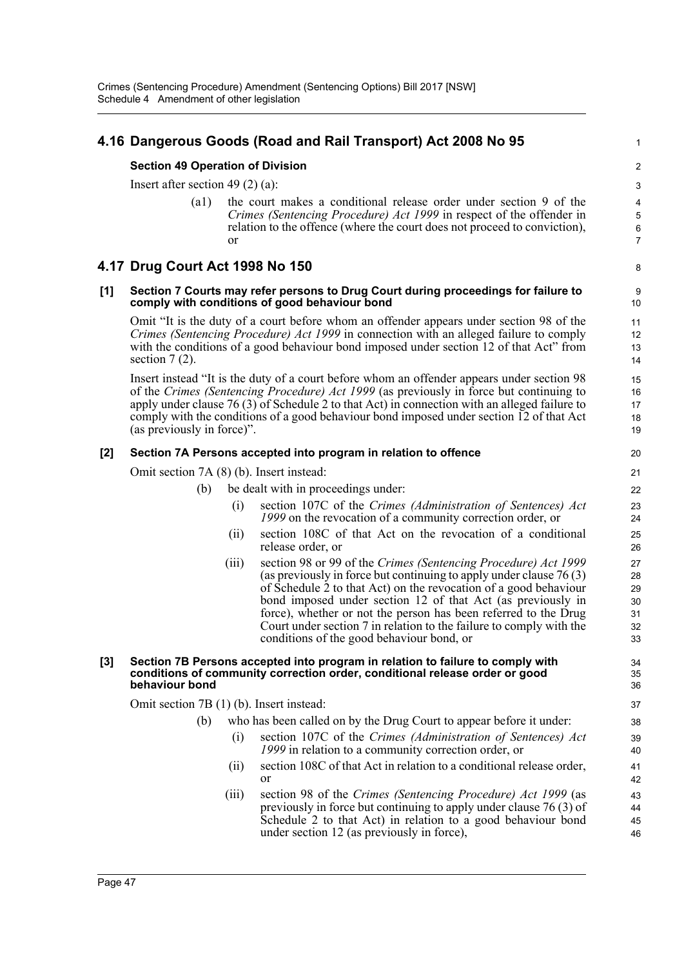### **4.16 Dangerous Goods (Road and Rail Transport) Act 2008 No 95**

#### **Section 49 Operation of Division**

Insert after section 49 (2) (a):

(a1) the court makes a conditional release order under section 9 of the *Crimes (Sentencing Procedure) Act 1999* in respect of the offender in relation to the offence (where the court does not proceed to conviction), or

1

8

#### **4.17 Drug Court Act 1998 No 150**

#### **[1] Section 7 Courts may refer persons to Drug Court during proceedings for failure to comply with conditions of good behaviour bond**

Omit "It is the duty of a court before whom an offender appears under section 98 of the *Crimes (Sentencing Procedure) Act 1999* in connection with an alleged failure to comply with the conditions of a good behaviour bond imposed under section 12 of that Act" from section  $7(2)$ .

Insert instead "It is the duty of a court before whom an offender appears under section 98 of the *Crimes (Sentencing Procedure) Act 1999* (as previously in force but continuing to apply under clause 76 (3) of Schedule 2 to that Act) in connection with an alleged failure to comply with the conditions of a good behaviour bond imposed under section 12 of that Act (as previously in force)".

#### **[2] Section 7A Persons accepted into program in relation to offence**

Omit section 7A (8) (b). Insert instead:

- (b) be dealt with in proceedings under:
	- (i) section 107C of the *Crimes (Administration of Sentences) Act 1999* on the revocation of a community correction order, or
	- (ii) section 108C of that Act on the revocation of a conditional release order, or
	- (iii) section 98 or 99 of the *Crimes (Sentencing Procedure) Act 1999* (as previously in force but continuing to apply under clause 76 (3) of Schedule 2 to that Act) on the revocation of a good behaviour bond imposed under section 12 of that Act (as previously in force), whether or not the person has been referred to the Drug Court under section 7 in relation to the failure to comply with the conditions of the good behaviour bond, or

#### **[3] Section 7B Persons accepted into program in relation to failure to comply with conditions of community correction order, conditional release order or good behaviour bond**

Omit section 7B (1) (b). Insert instead:

who has been called on by the Drug Court to appear before it under:

- (i) section 107C of the *Crimes (Administration of Sentences) Act 1999* in relation to a community correction order, or
- (ii) section 108C of that Act in relation to a conditional release order, or
- (iii) section 98 of the *Crimes (Sentencing Procedure) Act 1999* (as previously in force but continuing to apply under clause 76 (3) of Schedule 2 to that Act) in relation to a good behaviour bond under section 12 (as previously in force),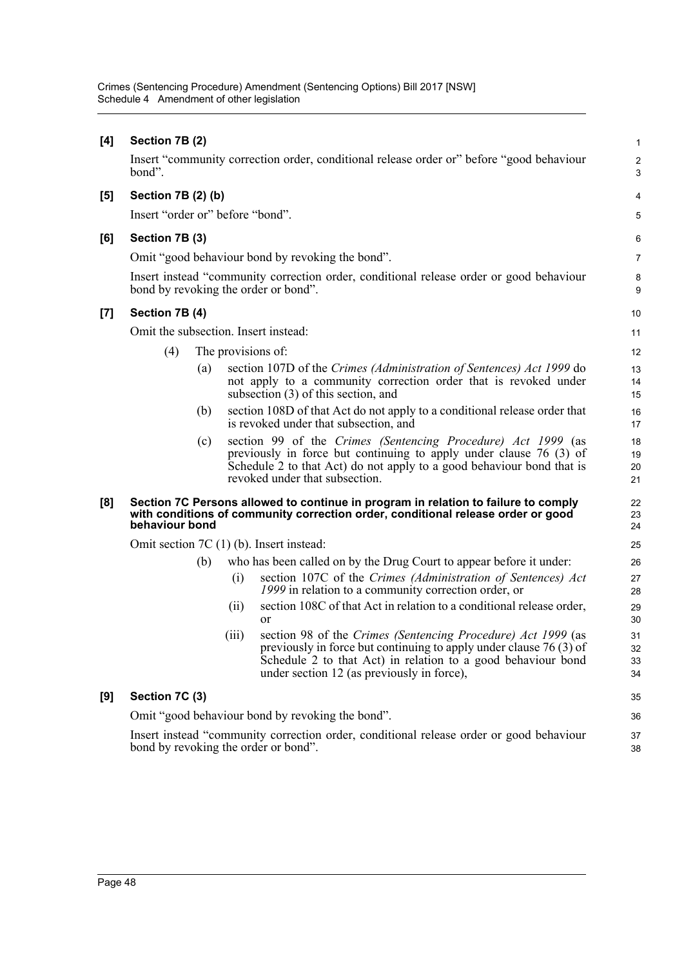| [4] | Section 7B (2)                                                                                                                  |                   |       |                                                                                                                                                                                                                                                   | $\mathbf{1}$         |  |  |
|-----|---------------------------------------------------------------------------------------------------------------------------------|-------------------|-------|---------------------------------------------------------------------------------------------------------------------------------------------------------------------------------------------------------------------------------------------------|----------------------|--|--|
|     | bond".                                                                                                                          |                   |       | Insert "community correction order, conditional release order or" before "good behaviour                                                                                                                                                          | $\overline{c}$<br>3  |  |  |
| [5] | Section 7B (2) (b)                                                                                                              |                   |       |                                                                                                                                                                                                                                                   | 4                    |  |  |
|     | Insert "order or" before "bond".                                                                                                |                   |       |                                                                                                                                                                                                                                                   | 5                    |  |  |
| [6] | Section 7B (3)                                                                                                                  |                   |       |                                                                                                                                                                                                                                                   | 6                    |  |  |
|     |                                                                                                                                 |                   |       | Omit "good behaviour bond by revoking the bond".                                                                                                                                                                                                  | 7                    |  |  |
|     |                                                                                                                                 |                   |       | Insert instead "community correction order, conditional release order or good behaviour<br>bond by revoking the order or bond".                                                                                                                   | 8<br>9               |  |  |
| [7] | Section 7B (4)                                                                                                                  |                   |       |                                                                                                                                                                                                                                                   | 10                   |  |  |
|     | Omit the subsection. Insert instead:                                                                                            |                   |       |                                                                                                                                                                                                                                                   | 11                   |  |  |
|     | (4)                                                                                                                             |                   |       | The provisions of:                                                                                                                                                                                                                                | 12                   |  |  |
|     |                                                                                                                                 | $\left( a\right)$ |       | section 107D of the Crimes (Administration of Sentences) Act 1999 do<br>not apply to a community correction order that is revoked under<br>subsection $(3)$ of this section, and                                                                  | 13<br>14<br>15       |  |  |
|     |                                                                                                                                 | (b)               |       | section 108D of that Act do not apply to a conditional release order that<br>is revoked under that subsection, and                                                                                                                                | 16<br>17             |  |  |
|     |                                                                                                                                 | (c)               |       | section 99 of the Crimes (Sentencing Procedure) Act 1999 (as<br>previously in force but continuing to apply under clause 76 (3) of<br>Schedule 2 to that Act) do not apply to a good behaviour bond that is<br>revoked under that subsection.     | 18<br>19<br>20<br>21 |  |  |
| [8] | behaviour bond                                                                                                                  |                   |       | Section 7C Persons allowed to continue in program in relation to failure to comply<br>with conditions of community correction order, conditional release order or good                                                                            | 22<br>23<br>24       |  |  |
|     |                                                                                                                                 |                   |       | Omit section $7C(1)$ (b). Insert instead:                                                                                                                                                                                                         | 25                   |  |  |
|     |                                                                                                                                 | (b)               |       | who has been called on by the Drug Court to appear before it under:                                                                                                                                                                               | 26                   |  |  |
|     |                                                                                                                                 |                   | (i)   | section 107C of the Crimes (Administration of Sentences) Act<br>1999 in relation to a community correction order, or                                                                                                                              | 27<br>28             |  |  |
|     |                                                                                                                                 |                   | (ii)  | section 108C of that Act in relation to a conditional release order,<br>or                                                                                                                                                                        | 29<br>30             |  |  |
|     |                                                                                                                                 |                   | (iii) | section 98 of the Crimes (Sentencing Procedure) Act 1999 (as<br>previously in force but continuing to apply under clause $76(3)$ of<br>Schedule 2 to that Act) in relation to a good behaviour bond<br>under section 12 (as previously in force), | 31<br>32<br>33<br>34 |  |  |
| [9] | Section 7C (3)                                                                                                                  |                   |       |                                                                                                                                                                                                                                                   | 35                   |  |  |
|     |                                                                                                                                 |                   |       | Omit "good behaviour bond by revoking the bond".                                                                                                                                                                                                  | 36                   |  |  |
|     | Insert instead "community correction order, conditional release order or good behaviour<br>bond by revoking the order or bond". |                   |       |                                                                                                                                                                                                                                                   |                      |  |  |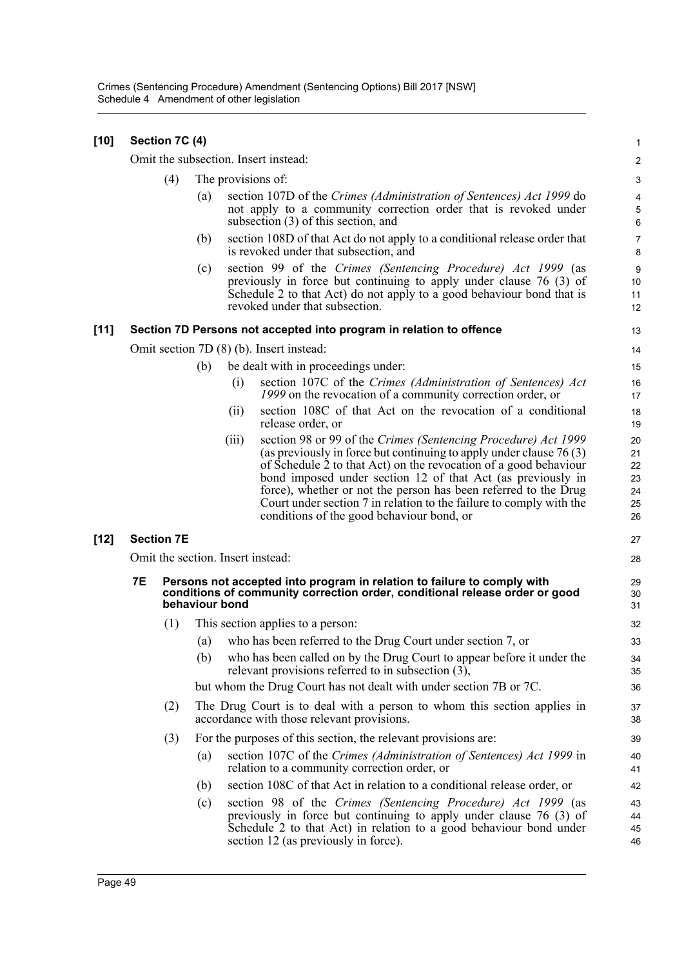| $[10]$ |    | Section 7C (4)    |                |       |                                                                                                                                                                                                                                                                                                                                                                                                                                                                    | $\mathbf{1}$                           |
|--------|----|-------------------|----------------|-------|--------------------------------------------------------------------------------------------------------------------------------------------------------------------------------------------------------------------------------------------------------------------------------------------------------------------------------------------------------------------------------------------------------------------------------------------------------------------|----------------------------------------|
|        |    |                   |                |       | Omit the subsection. Insert instead:                                                                                                                                                                                                                                                                                                                                                                                                                               | 2                                      |
|        |    | (4)               |                |       | The provisions of:                                                                                                                                                                                                                                                                                                                                                                                                                                                 | $\ensuremath{\mathsf{3}}$              |
|        |    |                   | (a)            |       | section 107D of the Crimes (Administration of Sentences) Act 1999 do<br>not apply to a community correction order that is revoked under<br>subsection $(3)$ of this section, and                                                                                                                                                                                                                                                                                   | 4<br>5<br>6                            |
|        |    |                   | (b)            |       | section 108D of that Act do not apply to a conditional release order that<br>is revoked under that subsection, and                                                                                                                                                                                                                                                                                                                                                 | $\overline{7}$<br>8                    |
|        |    |                   | (c)            |       | section 99 of the Crimes (Sentencing Procedure) Act 1999 (as<br>previously in force but continuing to apply under clause $76$ (3) of<br>Schedule 2 to that Act) do not apply to a good behaviour bond that is<br>revoked under that subsection.                                                                                                                                                                                                                    | 9<br>10<br>11<br>12                    |
| $[11]$ |    |                   |                |       | Section 7D Persons not accepted into program in relation to offence                                                                                                                                                                                                                                                                                                                                                                                                | 13                                     |
|        |    |                   |                |       | Omit section 7D (8) (b). Insert instead:                                                                                                                                                                                                                                                                                                                                                                                                                           | 14                                     |
|        |    |                   | (b)            |       | be dealt with in proceedings under:                                                                                                                                                                                                                                                                                                                                                                                                                                | 15                                     |
|        |    |                   |                | (i)   | section 107C of the Crimes (Administration of Sentences) Act<br>1999 on the revocation of a community correction order, or                                                                                                                                                                                                                                                                                                                                         | 16<br>17                               |
|        |    |                   |                | (i)   | section 108C of that Act on the revocation of a conditional<br>release order, or                                                                                                                                                                                                                                                                                                                                                                                   | 18<br>19                               |
|        |    |                   |                | (iii) | section 98 or 99 of the Crimes (Sentencing Procedure) Act 1999<br>(as previously in force but continuing to apply under clause $76(3)$ )<br>of Schedule 2 to that Act) on the revocation of a good behaviour<br>bond imposed under section 12 of that Act (as previously in<br>force), whether or not the person has been referred to the Drug<br>Court under section 7 in relation to the failure to comply with the<br>conditions of the good behaviour bond, or | 20<br>21<br>22<br>23<br>24<br>25<br>26 |
| $[12]$ |    | <b>Section 7E</b> |                |       |                                                                                                                                                                                                                                                                                                                                                                                                                                                                    | 27                                     |
|        |    |                   |                |       | Omit the section. Insert instead:                                                                                                                                                                                                                                                                                                                                                                                                                                  | 28                                     |
|        | 7E |                   | behaviour bond |       | Persons not accepted into program in relation to failure to comply with<br>conditions of community correction order, conditional release order or good                                                                                                                                                                                                                                                                                                             | 29<br>30<br>31                         |
|        |    | (1)               |                |       | This section applies to a person:                                                                                                                                                                                                                                                                                                                                                                                                                                  | 32                                     |
|        |    |                   | (a)            |       | who has been referred to the Drug Court under section 7, or                                                                                                                                                                                                                                                                                                                                                                                                        | 33                                     |
|        |    |                   | (b)            |       | who has been called on by the Drug Court to appear before it under the<br>relevant provisions referred to in subsection $(3)$ ,                                                                                                                                                                                                                                                                                                                                    | 34<br>35                               |
|        |    |                   |                |       | but whom the Drug Court has not dealt with under section 7B or 7C.                                                                                                                                                                                                                                                                                                                                                                                                 | 36                                     |
|        |    | (2)               |                |       | The Drug Court is to deal with a person to whom this section applies in<br>accordance with those relevant provisions.                                                                                                                                                                                                                                                                                                                                              | 37<br>38                               |
|        |    | (3)               |                |       | For the purposes of this section, the relevant provisions are:                                                                                                                                                                                                                                                                                                                                                                                                     | 39                                     |
|        |    |                   | (a)            |       | section 107C of the Crimes (Administration of Sentences) Act 1999 in<br>relation to a community correction order, or                                                                                                                                                                                                                                                                                                                                               | 40<br>41                               |
|        |    |                   | (b)            |       | section 108C of that Act in relation to a conditional release order, or                                                                                                                                                                                                                                                                                                                                                                                            | 42                                     |
|        |    |                   | (c)            |       | section 98 of the Crimes (Sentencing Procedure) Act 1999 (as<br>previously in force but continuing to apply under clause $76(3)$ of<br>Schedule 2 to that Act) in relation to a good behaviour bond under<br>section 12 (as previously in force).                                                                                                                                                                                                                  | 43<br>44<br>45<br>46                   |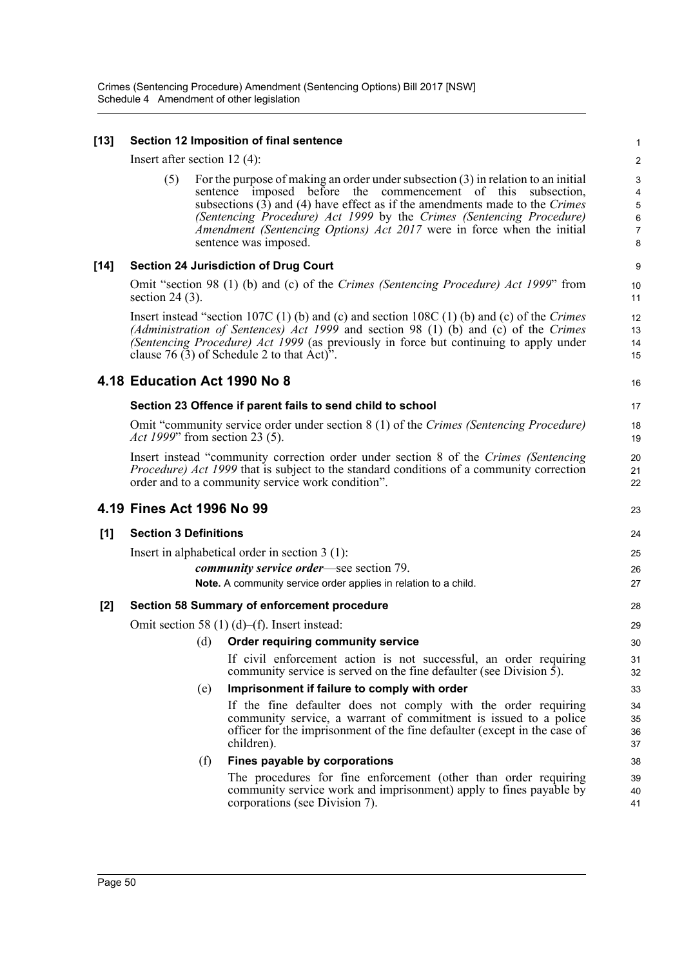#### **[13] Section 12 Imposition of final sentence**

Insert after section 12 (4):

(5) For the purpose of making an order under subsection (3) in relation to an initial sentence imposed before the commencement of this subsection, subsections (3) and (4) have effect as if the amendments made to the *Crimes (Sentencing Procedure) Act 1999* by the *Crimes (Sentencing Procedure) Amendment (Sentencing Options) Act 2017* were in force when the initial sentence was imposed.

#### **[14] Section 24 Jurisdiction of Drug Court**

Omit "section 98 (1) (b) and (c) of the *Crimes (Sentencing Procedure) Act 1999*" from section 24 (3).

Insert instead "section 107C (1) (b) and (c) and section 108C (1) (b) and (c) of the *Crimes (Administration of Sentences) Act 1999* and section 98 (1) (b) and (c) of the *Crimes (Sentencing Procedure) Act 1999* (as previously in force but continuing to apply under clause 76 (3) of Schedule 2 to that Act)".

#### **4.18 Education Act 1990 No 8**

#### **Section 23 Offence if parent fails to send child to school**

Omit "community service order under section 8 (1) of the *Crimes (Sentencing Procedure) Act 1999*" from section 23 (5).

Insert instead "community correction order under section 8 of the *Crimes (Sentencing Procedure) Act 1999* that is subject to the standard conditions of a community correction order and to a community service work condition".

#### **4.19 Fines Act 1996 No 99**

#### **[1] Section 3 Definitions**

Insert in alphabetical order in section 3 (1):

*community service order*—see section 79. **Note.** A community service order applies in relation to a child.

#### **[2] Section 58 Summary of enforcement procedure**

Omit section 58 (1) (d)–(f). Insert instead:

#### (d) **Order requiring community service**

If civil enforcement action is not successful, an order requiring community service is served on the fine defaulter (see Division  $\bar{5}$ ).

#### (e) **Imprisonment if failure to comply with order**

If the fine defaulter does not comply with the order requiring community service, a warrant of commitment is issued to a police officer for the imprisonment of the fine defaulter (except in the case of children).

#### (f) **Fines payable by corporations**

The procedures for fine enforcement (other than order requiring community service work and imprisonment) apply to fines payable by corporations (see Division 7).

16

17

18 19

20 21 22

23 24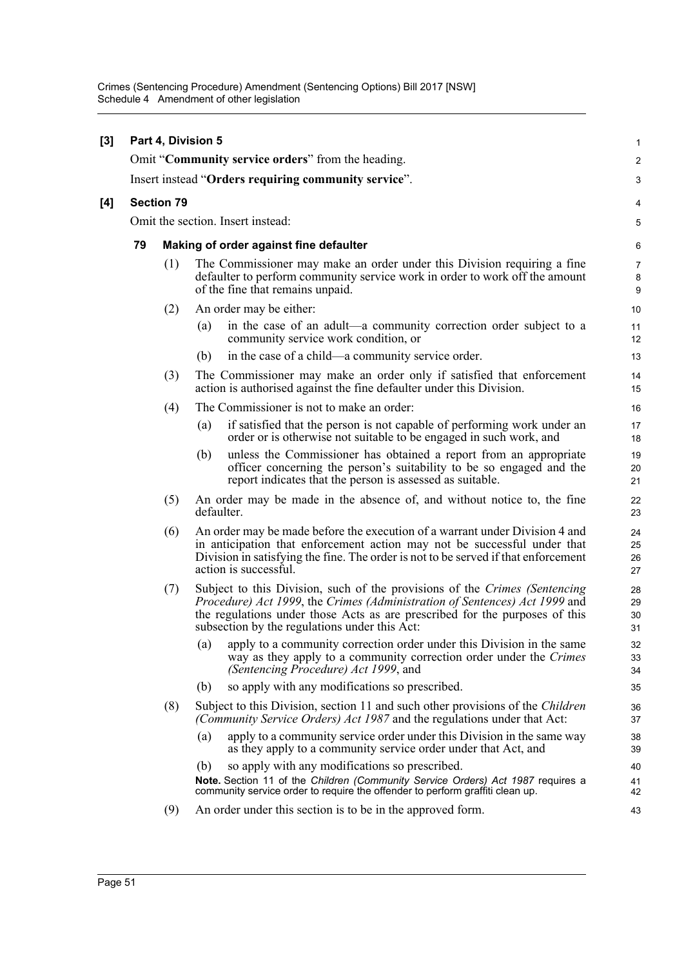| [3] |    |                                        | Part 4, Division 5                                                                                                                                                                                                                                                                       | $\mathbf{1}$             |  |  |  |
|-----|----|----------------------------------------|------------------------------------------------------------------------------------------------------------------------------------------------------------------------------------------------------------------------------------------------------------------------------------------|--------------------------|--|--|--|
|     |    |                                        | Omit "Community service orders" from the heading.                                                                                                                                                                                                                                        | $\overline{2}$           |  |  |  |
|     |    |                                        | Insert instead "Orders requiring community service".                                                                                                                                                                                                                                     | 3                        |  |  |  |
| [4] |    | <b>Section 79</b>                      |                                                                                                                                                                                                                                                                                          | 4                        |  |  |  |
|     |    |                                        | Omit the section. Insert instead:                                                                                                                                                                                                                                                        | 5                        |  |  |  |
|     | 79 | Making of order against fine defaulter |                                                                                                                                                                                                                                                                                          |                          |  |  |  |
|     |    | (1)                                    | The Commissioner may make an order under this Division requiring a fine<br>defaulter to perform community service work in order to work off the amount<br>of the fine that remains unpaid.                                                                                               | $\overline{7}$<br>8<br>9 |  |  |  |
|     |    | (2)                                    | An order may be either:                                                                                                                                                                                                                                                                  | 10                       |  |  |  |
|     |    |                                        | in the case of an adult—a community correction order subject to a<br>(a)<br>community service work condition, or                                                                                                                                                                         | 11<br>12 <sup>2</sup>    |  |  |  |
|     |    |                                        | in the case of a child—a community service order.<br>(b)                                                                                                                                                                                                                                 | 13                       |  |  |  |
|     |    | (3)                                    | The Commissioner may make an order only if satisfied that enforcement<br>action is authorised against the fine defaulter under this Division.                                                                                                                                            | 14<br>15                 |  |  |  |
|     |    | (4)                                    | The Commissioner is not to make an order:                                                                                                                                                                                                                                                | 16                       |  |  |  |
|     |    |                                        | if satisfied that the person is not capable of performing work under an<br>$\left( a\right)$<br>order or is otherwise not suitable to be engaged in such work, and                                                                                                                       | 17<br>18                 |  |  |  |
|     |    |                                        | unless the Commissioner has obtained a report from an appropriate<br>(b)<br>officer concerning the person's suitability to be so engaged and the<br>report indicates that the person is assessed as suitable.                                                                            | 19<br>20<br>21           |  |  |  |
|     |    | (5)                                    | An order may be made in the absence of, and without notice to, the fine<br>defaulter.                                                                                                                                                                                                    | 22<br>23                 |  |  |  |
|     |    | (6)                                    | An order may be made before the execution of a warrant under Division 4 and<br>in anticipation that enforcement action may not be successful under that<br>Division in satisfying the fine. The order is not to be served if that enforcement<br>action is successful.                   | 24<br>25<br>26<br>27     |  |  |  |
|     |    | (7)                                    | Subject to this Division, such of the provisions of the Crimes (Sentencing<br>Procedure) Act 1999, the Crimes (Administration of Sentences) Act 1999 and<br>the regulations under those Acts as are prescribed for the purposes of this<br>subsection by the regulations under this Act: | 28<br>29<br>30<br>31     |  |  |  |
|     |    |                                        | (a) apply to a community correction order under this Division in the same<br>way as they apply to a community correction order under the Crimes<br>(Sentencing Procedure) Act 1999, and                                                                                                  | 32<br>33<br>34           |  |  |  |
|     |    |                                        | so apply with any modifications so prescribed.<br>(b)                                                                                                                                                                                                                                    | 35                       |  |  |  |
|     |    | (8)                                    | Subject to this Division, section 11 and such other provisions of the Children<br>(Community Service Orders) Act 1987 and the regulations under that Act:                                                                                                                                | 36<br>37                 |  |  |  |
|     |    |                                        | apply to a community service order under this Division in the same way<br>(a)<br>as they apply to a community service order under that Act, and                                                                                                                                          | 38<br>39                 |  |  |  |
|     |    |                                        | so apply with any modifications so prescribed.<br>(b)                                                                                                                                                                                                                                    | 40                       |  |  |  |
|     |    |                                        | Note. Section 11 of the Children (Community Service Orders) Act 1987 requires a<br>community service order to require the offender to perform graffiti clean up.                                                                                                                         | 41<br>42                 |  |  |  |
|     |    | (9)                                    | An order under this section is to be in the approved form.                                                                                                                                                                                                                               | 43                       |  |  |  |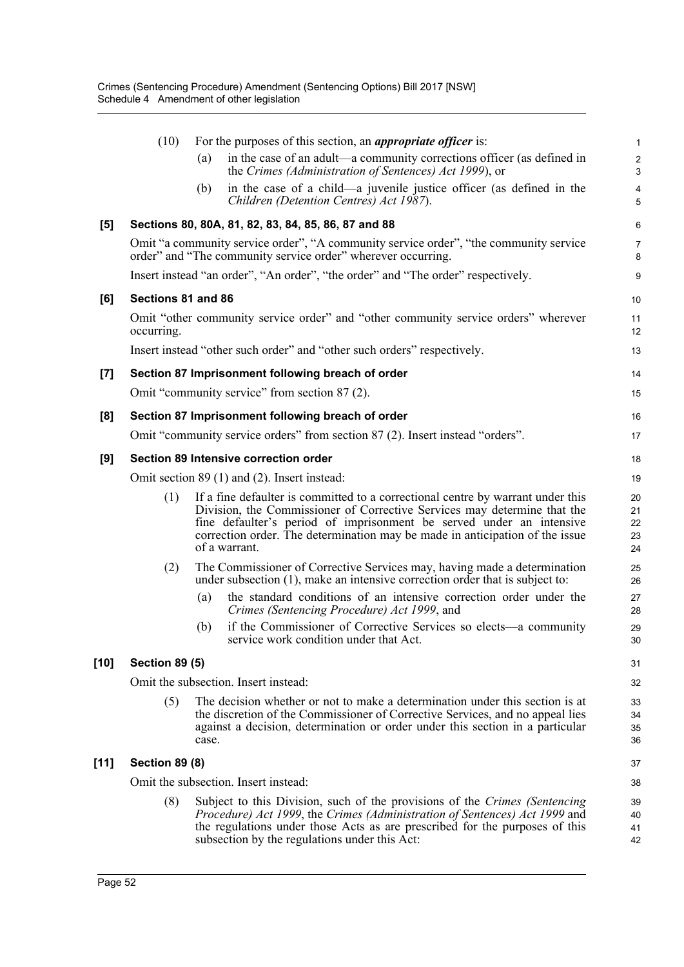|        | (10)                                                                             |                                      | For the purposes of this section, an <i>appropriate officer</i> is:                                                                                                                                                                                                                                                                  | 1                            |  |
|--------|----------------------------------------------------------------------------------|--------------------------------------|--------------------------------------------------------------------------------------------------------------------------------------------------------------------------------------------------------------------------------------------------------------------------------------------------------------------------------------|------------------------------|--|
|        |                                                                                  | (a)                                  | in the case of an adult—a community corrections officer (as defined in<br>the Crimes (Administration of Sentences) Act 1999), or                                                                                                                                                                                                     | $\overline{\mathbf{c}}$<br>3 |  |
|        |                                                                                  | (b)                                  | in the case of a child—a juvenile justice officer (as defined in the<br>Children (Detention Centres) Act 1987).                                                                                                                                                                                                                      | 4<br>5                       |  |
| [5]    |                                                                                  |                                      | Sections 80, 80A, 81, 82, 83, 84, 85, 86, 87 and 88                                                                                                                                                                                                                                                                                  | 6                            |  |
|        |                                                                                  |                                      | Omit "a community service order", "A community service order", "the community service<br>order" and "The community service order" wherever occurring.                                                                                                                                                                                | 7<br>8                       |  |
|        | Insert instead "an order", "An order", "the order" and "The order" respectively. |                                      |                                                                                                                                                                                                                                                                                                                                      |                              |  |
| [6]    | Sections 81 and 86                                                               |                                      |                                                                                                                                                                                                                                                                                                                                      | 10                           |  |
|        | occurring.                                                                       |                                      | Omit "other community service order" and "other community service orders" wherever                                                                                                                                                                                                                                                   | 11<br>12                     |  |
|        |                                                                                  |                                      | Insert instead "other such order" and "other such orders" respectively.                                                                                                                                                                                                                                                              | 13                           |  |
| $[7]$  |                                                                                  |                                      | Section 87 Imprisonment following breach of order                                                                                                                                                                                                                                                                                    | 14                           |  |
|        |                                                                                  |                                      | Omit "community service" from section 87 (2).                                                                                                                                                                                                                                                                                        | 15                           |  |
| [8]    |                                                                                  |                                      | Section 87 Imprisonment following breach of order                                                                                                                                                                                                                                                                                    | 16                           |  |
|        |                                                                                  |                                      | Omit "community service orders" from section 87 (2). Insert instead "orders".                                                                                                                                                                                                                                                        | 17                           |  |
| [9]    | Section 89 Intensive correction order                                            |                                      |                                                                                                                                                                                                                                                                                                                                      | 18                           |  |
|        | Omit section 89 (1) and (2). Insert instead:                                     |                                      |                                                                                                                                                                                                                                                                                                                                      | 19                           |  |
|        | (1)                                                                              |                                      | If a fine defaulter is committed to a correctional centre by warrant under this<br>Division, the Commissioner of Corrective Services may determine that the<br>fine defaulter's period of imprisonment be served under an intensive<br>correction order. The determination may be made in anticipation of the issue<br>of a warrant. | 20<br>21<br>22<br>23<br>24   |  |
|        | (2)                                                                              |                                      | The Commissioner of Corrective Services may, having made a determination<br>under subsection (1), make an intensive correction order that is subject to:                                                                                                                                                                             | 25<br>26                     |  |
|        |                                                                                  | (a)                                  | the standard conditions of an intensive correction order under the<br>Crimes (Sentencing Procedure) Act 1999, and                                                                                                                                                                                                                    | 27<br>28                     |  |
|        |                                                                                  | (b)                                  | if the Commissioner of Corrective Services so elects—a community<br>service work condition under that Act.                                                                                                                                                                                                                           | 29<br>30                     |  |
| $[10]$ | <b>Section 89 (5)</b>                                                            |                                      |                                                                                                                                                                                                                                                                                                                                      | 31                           |  |
|        |                                                                                  | Omit the subsection. Insert instead: |                                                                                                                                                                                                                                                                                                                                      |                              |  |
|        | (5)                                                                              | case.                                | The decision whether or not to make a determination under this section is at<br>the discretion of the Commissioner of Corrective Services, and no appeal lies<br>against a decision, determination or order under this section in a particular                                                                                       | 33<br>34<br>35<br>36         |  |
| [11]   | <b>Section 89 (8)</b>                                                            |                                      |                                                                                                                                                                                                                                                                                                                                      |                              |  |
|        | Omit the subsection. Insert instead:                                             |                                      |                                                                                                                                                                                                                                                                                                                                      |                              |  |
|        | (8)                                                                              |                                      | Subject to this Division, such of the provisions of the Crimes (Sentencing<br>Procedure) Act 1999, the Crimes (Administration of Sentences) Act 1999 and<br>the regulations under those Acts as are prescribed for the purposes of this<br>subsection by the regulations under this Act:                                             | 39<br>40<br>41<br>42         |  |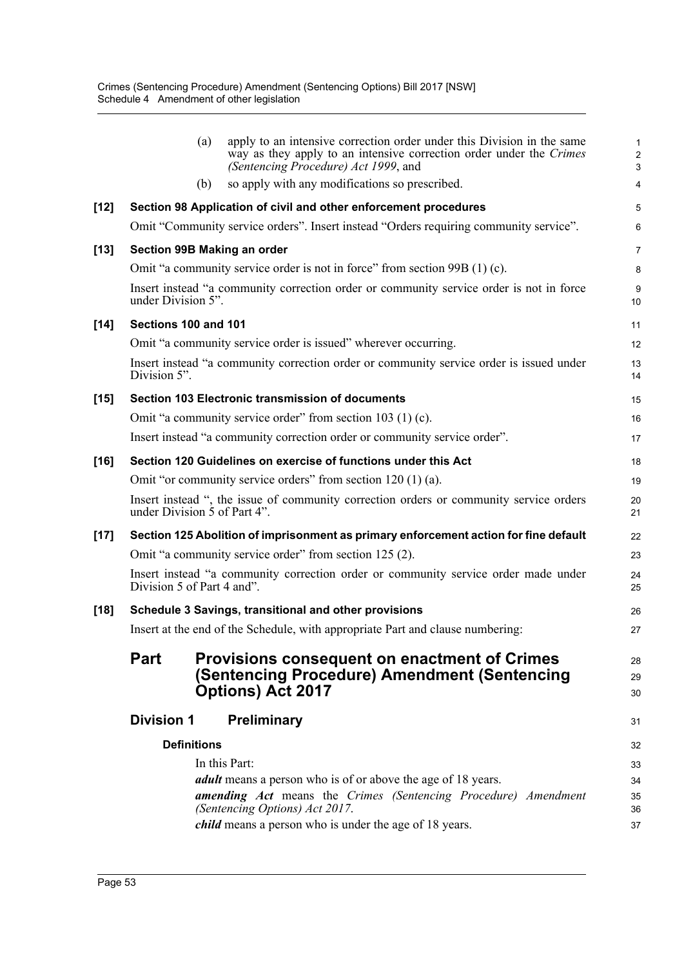|        |                                                                                                                        | (a) | apply to an intensive correction order under this Division in the same<br>way as they apply to an intensive correction order under the Crimes<br>(Sentencing Procedure) Act 1999, and | З              |
|--------|------------------------------------------------------------------------------------------------------------------------|-----|---------------------------------------------------------------------------------------------------------------------------------------------------------------------------------------|----------------|
|        |                                                                                                                        | (b) | so apply with any modifications so prescribed.                                                                                                                                        | 4              |
| $[12]$ | Section 98 Application of civil and other enforcement procedures                                                       |     |                                                                                                                                                                                       |                |
|        |                                                                                                                        |     | Omit "Community service orders". Insert instead "Orders requiring community service".                                                                                                 | Е              |
| $[13]$ | Section 99B Making an order                                                                                            |     |                                                                                                                                                                                       |                |
|        | Omit "a community service order is not in force" from section 99B (1) (c).                                             |     |                                                                                                                                                                                       |                |
|        | Insert instead "a community correction order or community service order is not in force<br>under Division 5".          |     |                                                                                                                                                                                       |                |
| $[14]$ | Sections 100 and 101                                                                                                   |     |                                                                                                                                                                                       |                |
|        |                                                                                                                        |     | Omit "a community service order is issued" wherever occurring.                                                                                                                        | 12             |
|        | Insert instead "a community correction order or community service order is issued under<br>Division 5".                |     |                                                                                                                                                                                       | 13<br>14       |
| $[15]$ | Section 103 Electronic transmission of documents                                                                       |     |                                                                                                                                                                                       | 15             |
|        |                                                                                                                        |     | Omit "a community service order" from section 103 (1) (c).                                                                                                                            | 16             |
|        | Insert instead "a community correction order or community service order".                                              |     |                                                                                                                                                                                       |                |
| $[16]$ | Section 120 Guidelines on exercise of functions under this Act                                                         |     |                                                                                                                                                                                       |                |
|        |                                                                                                                        |     | Omit "or community service orders" from section $120(1)(a)$ .                                                                                                                         | 1 <sup>c</sup> |
|        | Insert instead ", the issue of community correction orders or community service orders<br>under Division 5 of Part 4". |     |                                                                                                                                                                                       |                |
| $[17]$ | Section 125 Abolition of imprisonment as primary enforcement action for fine default                                   |     |                                                                                                                                                                                       |                |
|        | Omit "a community service order" from section 125 (2).                                                                 |     |                                                                                                                                                                                       |                |
|        | Insert instead "a community correction order or community service order made under<br>Division 5 of Part 4 and".       |     |                                                                                                                                                                                       |                |
| $[18]$ | Schedule 3 Savings, transitional and other provisions                                                                  |     |                                                                                                                                                                                       | 26             |
|        |                                                                                                                        |     | Insert at the end of the Schedule, with appropriate Part and clause numbering:                                                                                                        | 27             |
|        | <b>Part</b>                                                                                                            |     | <b>Provisions consequent on enactment of Crimes</b>                                                                                                                                   | 28             |
|        |                                                                                                                        |     | (Sentencing Procedure) Amendment (Sentencing                                                                                                                                          | 29             |
|        |                                                                                                                        |     | Options) Act 2017                                                                                                                                                                     | 30             |
|        | <b>Division 1</b>                                                                                                      |     | <b>Preliminary</b>                                                                                                                                                                    | 31             |
|        | <b>Definitions</b>                                                                                                     |     |                                                                                                                                                                                       | 32             |
|        |                                                                                                                        |     | In this Part:                                                                                                                                                                         | 33             |
|        |                                                                                                                        |     | <i>adult</i> means a person who is of or above the age of 18 years.                                                                                                                   | 34             |
|        |                                                                                                                        |     | <b>amending Act</b> means the Crimes (Sentencing Procedure) Amendment<br>(Sentencing Options) Act 2017.                                                                               | 35<br>36       |
|        |                                                                                                                        |     | <i>child</i> means a person who is under the age of 18 years.                                                                                                                         | 37             |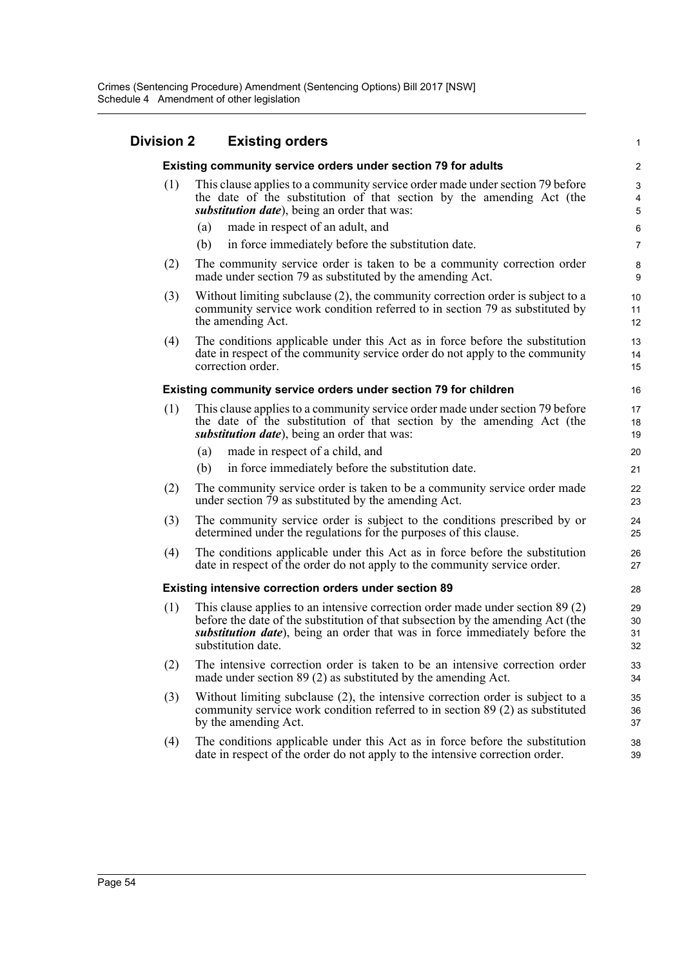#### **Division 2 Existing orders Existing community service orders under section 79 for adults** (1) This clause applies to a community service order made under section 79 before the date of the substitution of that section by the amending Act (the *substitution date*), being an order that was: (a) made in respect of an adult, and (b) in force immediately before the substitution date. (2) The community service order is taken to be a community correction order made under section 79 as substituted by the amending Act. (3) Without limiting subclause (2), the community correction order is subject to a community service work condition referred to in section 79 as substituted by the amending Act. (4) The conditions applicable under this Act as in force before the substitution date in respect of the community service order do not apply to the community correction order. **Existing community service orders under section 79 for children** (1) This clause applies to a community service order made under section 79 before the date of the substitution of that section by the amending Act (the *substitution date*), being an order that was: (a) made in respect of a child, and (b) in force immediately before the substitution date. (2) The community service order is taken to be a community service order made under section 79 as substituted by the amending Act. (3) The community service order is subject to the conditions prescribed by or determined under the regulations for the purposes of this clause. (4) The conditions applicable under this Act as in force before the substitution date in respect of the order do not apply to the community service order. **Existing intensive correction orders under section 89** (1) This clause applies to an intensive correction order made under section 89 (2) before the date of the substitution of that subsection by the amending Act (the *substitution date*), being an order that was in force immediately before the substitution date. (2) The intensive correction order is taken to be an intensive correction order made under section 89 (2) as substituted by the amending Act. (3) Without limiting subclause (2), the intensive correction order is subject to a community service work condition referred to in section 89 (2) as substituted by the amending Act. (4) The conditions applicable under this Act as in force before the substitution date in respect of the order do not apply to the intensive correction order. 1 2 3 4 5 6 7 8 9 10 11 12 13 14 15 16 17 18 19 20 21 22 23 24 25  $26$ 27 28 29 30 31 32 33 34 35 36 37 38 39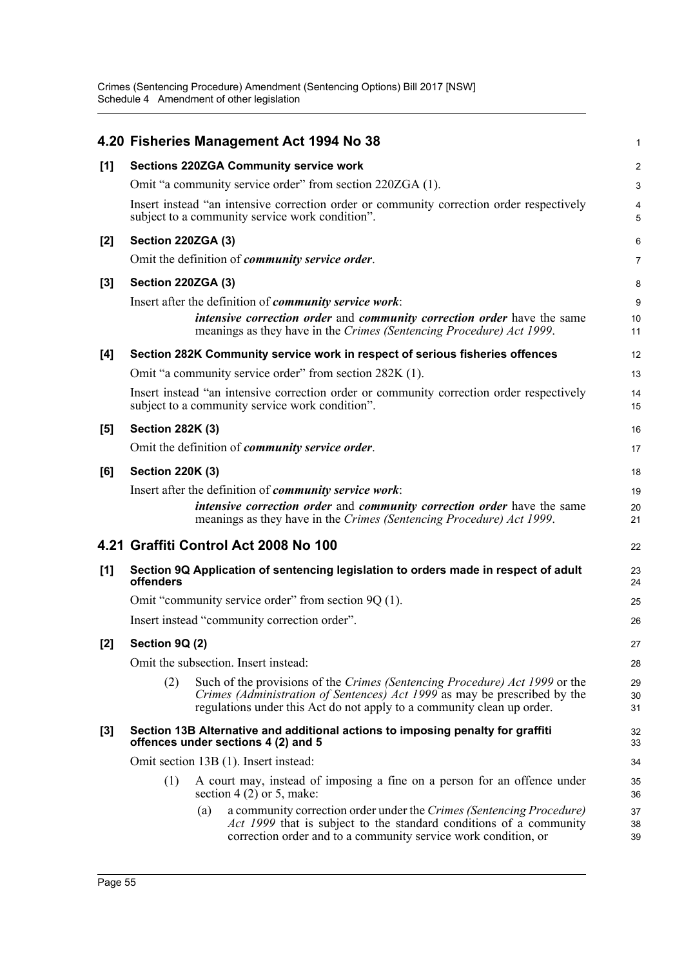Crimes (Sentencing Procedure) Amendment (Sentencing Options) Bill 2017 [NSW] Schedule 4 Amendment of other legislation

|       |                                                                                                                        |     | 4.20 Fisheries Management Act 1994 No 38                                                                                                                                                                                           | $\mathbf{1}$   |
|-------|------------------------------------------------------------------------------------------------------------------------|-----|------------------------------------------------------------------------------------------------------------------------------------------------------------------------------------------------------------------------------------|----------------|
| [1]   | <b>Sections 220ZGA Community service work</b>                                                                          |     |                                                                                                                                                                                                                                    |                |
|       |                                                                                                                        |     | Omit "a community service order" from section 220ZGA (1).                                                                                                                                                                          | 3              |
|       |                                                                                                                        |     | Insert instead "an intensive correction order or community correction order respectively<br>subject to a community service work condition".                                                                                        | 4<br>5         |
| $[2]$ | Section 220ZGA (3)                                                                                                     |     |                                                                                                                                                                                                                                    | 6              |
|       |                                                                                                                        |     | Omit the definition of community service order.                                                                                                                                                                                    | $\overline{7}$ |
| $[3]$ | Section 220ZGA (3)                                                                                                     |     |                                                                                                                                                                                                                                    | 8              |
|       |                                                                                                                        |     | Insert after the definition of <i>community service work</i> :<br><i>intensive correction order and community correction order have the same</i><br>meanings as they have in the Crimes (Sentencing Procedure) Act 1999.           | 9<br>10<br>11  |
| [4]   |                                                                                                                        |     | Section 282K Community service work in respect of serious fisheries offences                                                                                                                                                       | 12             |
|       |                                                                                                                        |     | Omit "a community service order" from section 282K (1).                                                                                                                                                                            | 13             |
|       |                                                                                                                        |     | Insert instead "an intensive correction order or community correction order respectively<br>subject to a community service work condition".                                                                                        | 14<br>15       |
| $[5]$ | <b>Section 282K (3)</b>                                                                                                |     |                                                                                                                                                                                                                                    | 16             |
|       |                                                                                                                        |     | Omit the definition of <i>community service order</i> .                                                                                                                                                                            | 17             |
| [6]   | <b>Section 220K (3)</b>                                                                                                |     |                                                                                                                                                                                                                                    | 18             |
|       |                                                                                                                        |     | Insert after the definition of <i>community service work</i> :                                                                                                                                                                     | 19             |
|       |                                                                                                                        |     | <i>intensive correction order and community correction order have the same</i><br>meanings as they have in the Crimes (Sentencing Procedure) Act 1999.                                                                             | 20<br>21       |
|       |                                                                                                                        |     | 4.21 Graffiti Control Act 2008 No 100                                                                                                                                                                                              | 22             |
| [1]   | Section 9Q Application of sentencing legislation to orders made in respect of adult<br>offenders                       |     |                                                                                                                                                                                                                                    | 23<br>24       |
|       | Omit "community service order" from section 9Q (1).                                                                    |     |                                                                                                                                                                                                                                    | 25             |
|       | Insert instead "community correction order".                                                                           |     |                                                                                                                                                                                                                                    | 26             |
| [2]   | Section 9Q (2)                                                                                                         |     |                                                                                                                                                                                                                                    | 27             |
|       | Omit the subsection. Insert instead:                                                                                   |     |                                                                                                                                                                                                                                    |                |
|       | (2)                                                                                                                    |     | Such of the provisions of the Crimes (Sentencing Procedure) Act 1999 or the<br>Crimes (Administration of Sentences) Act 1999 as may be prescribed by the<br>regulations under this Act do not apply to a community clean up order. | 29<br>30<br>31 |
| $[3]$ | Section 13B Alternative and additional actions to imposing penalty for graffiti<br>offences under sections 4 (2) and 5 |     |                                                                                                                                                                                                                                    | 32<br>33       |
|       | Omit section 13B (1). Insert instead:                                                                                  |     |                                                                                                                                                                                                                                    | 34             |
|       | (1)                                                                                                                    |     | A court may, instead of imposing a fine on a person for an offence under<br>section 4 $(2)$ or 5, make:                                                                                                                            | 35<br>36       |
|       |                                                                                                                        | (a) | a community correction order under the Crimes (Sentencing Procedure)<br>Act 1999 that is subject to the standard conditions of a community<br>correction order and to a community service work condition, or                       | 37<br>38<br>39 |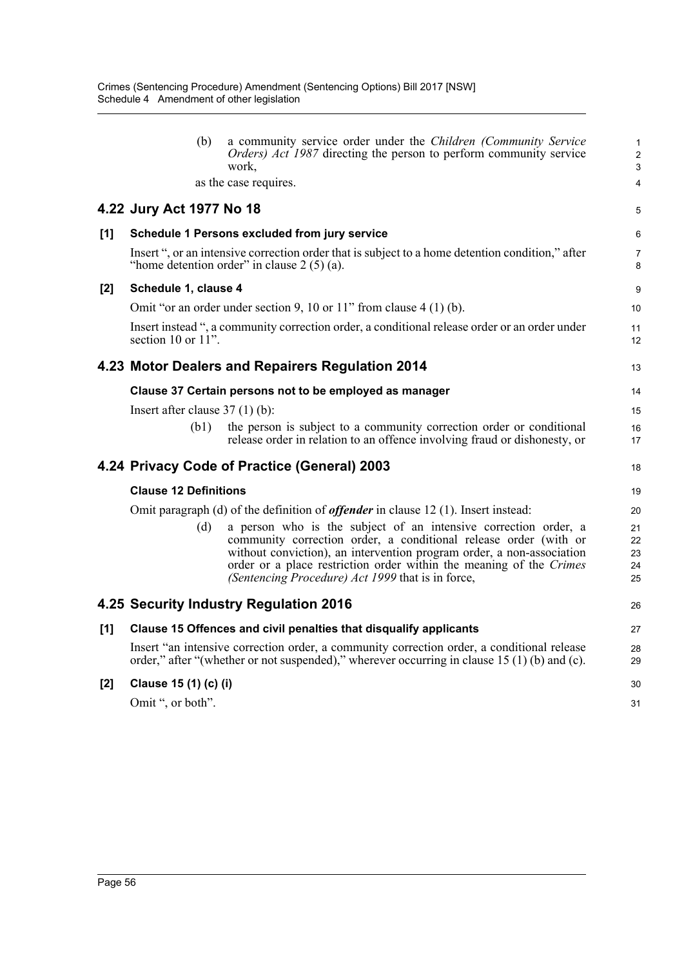|       | (b)                                                                                                                                                                                        | a community service order under the Children (Community Service<br><i>Orders</i> ) <i>Act 1987</i> directing the person to perform community service<br>work.                                                                                                                                                                            | 1<br>$\overline{c}$<br>3   |
|-------|--------------------------------------------------------------------------------------------------------------------------------------------------------------------------------------------|------------------------------------------------------------------------------------------------------------------------------------------------------------------------------------------------------------------------------------------------------------------------------------------------------------------------------------------|----------------------------|
|       |                                                                                                                                                                                            | as the case requires.                                                                                                                                                                                                                                                                                                                    | 4                          |
|       | 4.22 Jury Act 1977 No 18                                                                                                                                                                   |                                                                                                                                                                                                                                                                                                                                          | 5                          |
| [1]   |                                                                                                                                                                                            | Schedule 1 Persons excluded from jury service                                                                                                                                                                                                                                                                                            | 6                          |
|       |                                                                                                                                                                                            | Insert ", or an intensive correction order that is subject to a home detention condition," after<br>"home detention order" in clause $2(5)(a)$ .                                                                                                                                                                                         | 7<br>8                     |
| [2]   | Schedule 1, clause 4                                                                                                                                                                       |                                                                                                                                                                                                                                                                                                                                          |                            |
|       |                                                                                                                                                                                            | Omit "or an order under section 9, 10 or 11" from clause $4(1)(b)$ .                                                                                                                                                                                                                                                                     | 10                         |
|       | section 10 or 11".                                                                                                                                                                         | Insert instead ", a community correction order, a conditional release order or an order under                                                                                                                                                                                                                                            | 11<br>12                   |
|       | 4.23 Motor Dealers and Repairers Regulation 2014                                                                                                                                           |                                                                                                                                                                                                                                                                                                                                          | 13                         |
|       | Clause 37 Certain persons not to be employed as manager                                                                                                                                    |                                                                                                                                                                                                                                                                                                                                          |                            |
|       | Insert after clause $37(1)$ (b):                                                                                                                                                           |                                                                                                                                                                                                                                                                                                                                          | 15                         |
|       | (b1)                                                                                                                                                                                       | the person is subject to a community correction order or conditional<br>release order in relation to an offence involving fraud or dishonesty, or                                                                                                                                                                                        | 16<br>17                   |
|       |                                                                                                                                                                                            | 4.24 Privacy Code of Practice (General) 2003                                                                                                                                                                                                                                                                                             | 18                         |
|       | <b>Clause 12 Definitions</b>                                                                                                                                                               |                                                                                                                                                                                                                                                                                                                                          | 19                         |
|       | Omit paragraph (d) of the definition of <i>offender</i> in clause 12 (1). Insert instead:                                                                                                  |                                                                                                                                                                                                                                                                                                                                          |                            |
|       | (d)                                                                                                                                                                                        | a person who is the subject of an intensive correction order, a<br>community correction order, a conditional release order (with or<br>without conviction), an intervention program order, a non-association<br>order or a place restriction order within the meaning of the Crimes<br>(Sentencing Procedure) Act 1999 that is in force, | 21<br>22<br>23<br>24<br>25 |
|       |                                                                                                                                                                                            | 4.25 Security Industry Regulation 2016                                                                                                                                                                                                                                                                                                   | 26                         |
| [1]   | Clause 15 Offences and civil penalties that disqualify applicants                                                                                                                          |                                                                                                                                                                                                                                                                                                                                          |                            |
|       | Insert "an intensive correction order, a community correction order, a conditional release<br>order," after "(whether or not suspended)," wherever occurring in clause $15(1)(b)$ and (c). |                                                                                                                                                                                                                                                                                                                                          |                            |
| $[2]$ | Clause 15 (1) (c) (i)                                                                                                                                                                      |                                                                                                                                                                                                                                                                                                                                          |                            |
|       | Omit ", or both".                                                                                                                                                                          |                                                                                                                                                                                                                                                                                                                                          |                            |